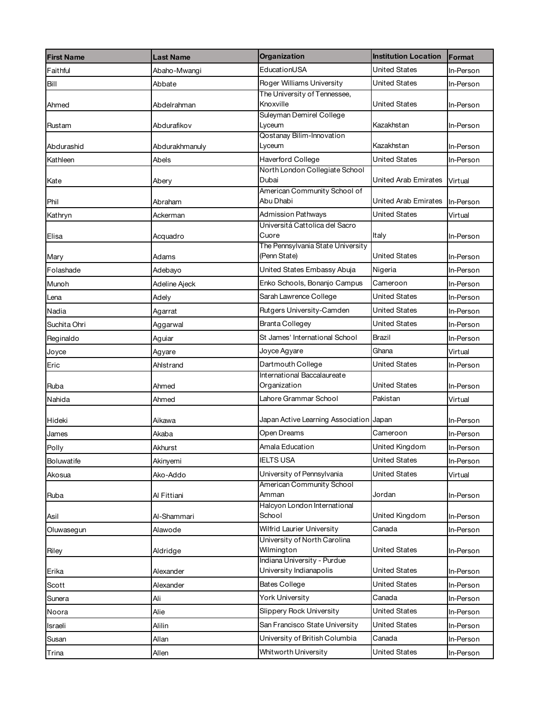| <b>First Name</b> | <b>Last Name</b> | <b>Organization</b>                                    | <b>Institution Location</b> | Format    |
|-------------------|------------------|--------------------------------------------------------|-----------------------------|-----------|
| Faithful          | Abaho-Mwangi     | EducationUSA                                           | United States               | In-Person |
| Bill              | Abbate           | Roger Williams University                              | <b>United States</b>        | In-Person |
|                   |                  | The University of Tennessee,                           |                             |           |
| Ahmed             | Abdelrahman      | Knoxville                                              | <b>United States</b>        | In-Person |
| Rustam            | Abdurafikov      | Suleyman Demirel College<br>Lyceum                     | Kazakhstan                  | In-Person |
|                   |                  | Qostanay Bilim-Innovation                              |                             |           |
| Abdurashid        | Abdurakhmanuly   | Lyceum                                                 | Kazakhstan                  | In-Person |
| Kathleen          | Abels            | Haverford College                                      | <b>United States</b>        | In-Person |
|                   |                  | North London Collegiate School                         |                             |           |
| Kate              | Abery            | Dubai<br>American Community School of                  | United Arab Emirates        | Virtual   |
| Phil              | Abraham          | Abu Dhabi                                              | United Arab Emirates        | In-Person |
| Kathryn           | Ackerman         | <b>Admission Pathways</b>                              | <b>United States</b>        | Virtual   |
|                   |                  | Universitá Cattolica del Sacro                         |                             |           |
| Elisa             | Acquadro         | Cuore                                                  | Italy                       | In-Person |
| Mary              | Adams            | The Pennsylvania State University<br>(Penn State)      | United States               | In-Person |
| Folashade         | Adebayo          | United States Embassy Abuja                            | Nigeria                     | In-Person |
| Munoh             | Adeline Ajeck    | Enko Schools, Bonanjo Campus                           | Cameroon                    | In-Person |
|                   |                  | Sarah Lawrence College                                 | <b>United States</b>        | In-Person |
| Lena              | Adely            | Rutgers University-Camden                              | United States               |           |
| Nadia             | Agarrat          |                                                        |                             | In-Person |
| Suchita Ohri      | Aggarwal         | <b>Branta Collegey</b>                                 | <b>United States</b>        | In-Person |
| Reginaldo         | Aguiar           | St James' International School                         | Brazil                      | In-Person |
| Joyce             | Agyare           | Joyce Agyare                                           | Ghana                       | Virtual   |
| Eric              | Ahlstrand        | Dartmouth College                                      | <b>United States</b>        | In-Person |
| Ruba              | Ahmed            | International Baccalaureate<br>Organization            | <b>United States</b>        | In-Person |
| Nahida            | Ahmed            | Lahore Grammar School                                  | Pakistan                    | Virtual   |
|                   |                  |                                                        |                             |           |
| Hideki            | Aikawa           | Japan Active Learning Association Japan                |                             | In-Person |
| James             | Akaba            | Open Dreams                                            | Cameroon                    | In-Person |
| Polly             | Akhurst          | Amala Education                                        | United Kingdom              | In-Person |
| Boluwatife        | Akinyemi         | <b>IELTS USA</b>                                       | <b>United States</b>        | In-Person |
| Akosua            | Ako-Addo         | University of Pennsylvania                             | <b>United States</b>        | Virtual   |
|                   |                  | American Community School                              |                             |           |
| Ruba              | Al Fittiani      | Amman<br>Halcyon London International                  | Jordan                      | In-Person |
| Asil              | Al-Shammari      | School                                                 | United Kingdom              | In-Person |
| Oluwasegun        | Alawode          | Wilfrid Laurier University                             | Canada                      | In-Person |
|                   |                  | University of North Carolina                           |                             |           |
| Riley             | Aldridge         | Wilmington                                             | <b>United States</b>        | In-Person |
| Erika             | Alexander        | Indiana University - Purdue<br>University Indianapolis | United States               | In-Person |
| Scott             | Alexander        | <b>Bates College</b>                                   | <b>United States</b>        | In-Person |
| Sunera            | Ali              | <b>York University</b>                                 | Canada                      | In-Person |
|                   | Alie             | Slippery Rock University                               | <b>United States</b>        | In-Person |
| Noora             |                  |                                                        |                             |           |
| Israeli           | Alilin           | San Francisco State University                         | United States               | In-Person |
| Susan             | Allan            | University of British Columbia                         | Canada                      | In-Person |
| Trina             | Allen            | Whitworth University                                   | United States               | In-Person |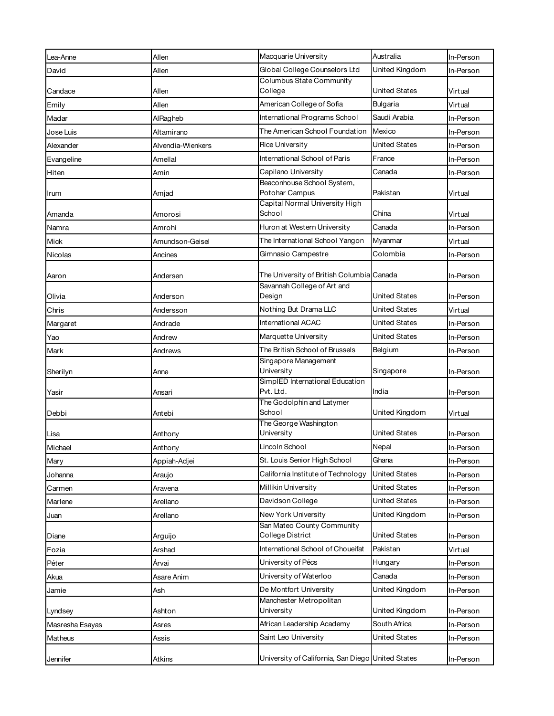|                 |                   | Macquarie University                                      | Australia            |           |
|-----------------|-------------------|-----------------------------------------------------------|----------------------|-----------|
| Lea-Anne        | Allen             |                                                           |                      | In-Person |
| David           | Allen             | Global College Counselors Ltd<br>Columbus State Community | United Kingdom       | In-Person |
| Candace         | Allen             | College                                                   | United States        | Virtual   |
| Emily           | Allen             | American College of Sofia                                 | Bulgaria             | Virtual   |
| Madar           | AlRagheb          | International Programs School                             | Saudi Arabia         | In-Person |
| Jose Luis       | Altamirano        | The American School Foundation                            | Mexico               | In-Person |
| Alexander       | Alvendia-Wienkers | <b>Rice University</b>                                    | United States        | In-Person |
|                 | Amellal           | International School of Paris                             | France               |           |
| Evangeline      |                   |                                                           |                      | In-Person |
| Hiten           | Amin              | Capilano University<br>Beaconhouse School System,         | Canada               | In-Person |
| Irum            | Amjad             | Potohar Campus                                            | Pakistan             | Virtual   |
|                 |                   | Capital Normal University High                            |                      |           |
| Amanda          | Amorosi           | School                                                    | China                | Virtual   |
| Namra           | Amrohi            | Huron at Western University                               | Canada               | In-Person |
| Mick            | Amundson-Geisel   | The International School Yangon                           | Myanmar              | Virtual   |
| Nicolas         | Ancines           | Gimnasio Campestre                                        | Colombia             | In-Person |
| Aaron           | Andersen          | The University of British Columbia Canada                 |                      | In-Person |
|                 |                   | Savannah College of Art and<br>Design                     | United States        |           |
| Olivia          | Anderson          |                                                           |                      | In-Person |
| Chris           | Andersson         | Nothing But Drama LLC                                     | United States        | Virtual   |
| Margaret        | Andrade           | International ACAC                                        | United States        | In-Person |
| Yao             | Andrew            | Marquette University                                      | United States        | In-Person |
| Mark            | Andrews           | The British School of Brussels                            | Belgium              | In-Person |
| Sherilyn        | Anne              | Singapore Management<br>University                        | Singapore            | In-Person |
| Yasir           | Ansari            | SimplED International Education<br>Pvt. Ltd.              | India                | In-Person |
|                 |                   | The Godolphin and Latymer                                 |                      |           |
| Debbi           | Antebi            | School                                                    | United Kingdom       | Virtual   |
| Lisa            | Anthony           | The George Washington<br>University                       | United States        | In-Person |
| Michael         | Anthony           | Lincoln School                                            | Nepal                | In-Person |
| Mary            | Appiah-Adjei      | St. Louis Senior High School                              | Ghana                | In-Person |
| Johanna         | Araujo            | California Institute of Technology                        | <b>United States</b> | In-Person |
| Carmen          | Aravena           | Millikin University                                       | United States        | In-Person |
| Marlene         | Arellano          | Davidson College                                          | <b>United States</b> | In-Person |
| Juan            | Arellano          | New York University                                       | United Kingdom       | In-Person |
| Diane           | Arguijo           | San Mateo County Community<br>College District            | <b>United States</b> | In-Person |
| Fozia           | Arshad            | International School of Choueifat                         | Pakistan             | Virtual   |
| Péter           | Árvai             | University of Pécs                                        | Hungary              | In-Person |
| Akua            | Asare Anim        | University of Waterloo                                    | Canada               | In-Person |
| Jamie           | Ash               | De Montfort University                                    | United Kingdom       | In-Person |
|                 |                   | Manchester Metropolitan                                   |                      |           |
| Lyndsey         | Ashton            | University                                                | United Kingdom       | In-Person |
| Masresha Esayas | Asres             | African Leadership Academy                                | South Africa         | In-Person |
| Matheus         | Assis             | Saint Leo University                                      | <b>United States</b> | In-Person |
| Jennifer        | Atkins            | University of California, San Diego United States         |                      | In-Person |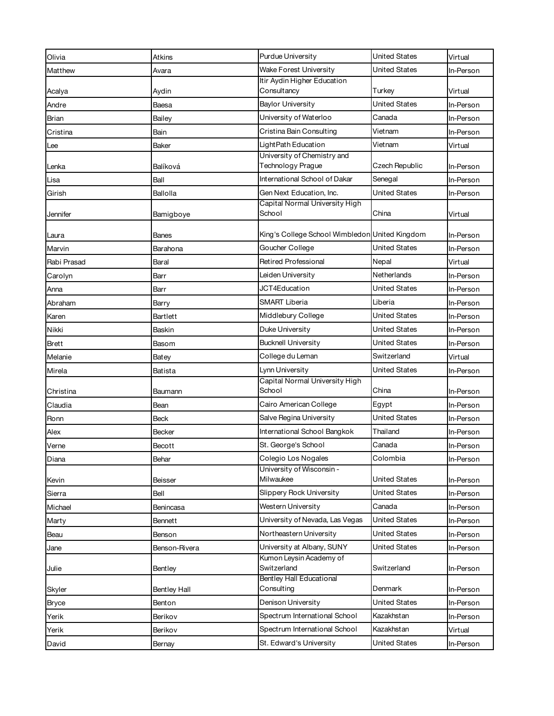| Olivia       | Atkins              | Purdue University                              | <b>United States</b> | Virtual   |
|--------------|---------------------|------------------------------------------------|----------------------|-----------|
| Matthew      | Avara               | Wake Forest University                         | <b>United States</b> | In-Person |
|              |                     | Itir Aydin Higher Education                    |                      |           |
| Acalya       | Aydin               | Consultancy                                    | Turkey               | Virtual   |
| Andre        | Baesa               | <b>Baylor University</b>                       | United States        | In-Person |
| Brian        | Bailey              | University of Waterloo                         | Canada               | In-Person |
| Cristina     | Bain                | Cristina Bain Consulting                       | Vietnam              | In-Person |
| Lee          | Baker               | LightPath Education                            | Vietnam              | Virtual   |
|              |                     | University of Chemistry and                    |                      |           |
| Lenka        | Balíková            | Technology Prague                              | Czech Republic       | In-Person |
| Lisa         | Ball                | International School of Dakar                  | Senegal              | In-Person |
| Girish       | Ballolla            | Gen Next Education, Inc.                       | <b>United States</b> | In-Person |
| Jennifer     | Bamigboye           | Capital Normal University High<br>School       | China                | Virtual   |
|              |                     |                                                |                      |           |
| Laura        | Banes               | King's College School Wimbledon United Kingdom |                      | In-Person |
| Marvin       | Barahona            | Goucher College                                | United States        | In-Person |
| Rabi Prasad  | Baral               | <b>Retired Professional</b>                    | Nepal                | Virtual   |
| Carolyn      | Barr                | Leiden University                              | Netherlands          | In-Person |
| Anna         | Barr                | JCT4Education                                  | United States        | In-Person |
| Abraham      | Barry               | <b>SMART Liberia</b>                           | Liberia              | In-Person |
| Karen        | Bartlett            | Middlebury College                             | United States        | In-Person |
| Nikki        | Baskin              | Duke University                                | <b>United States</b> | In-Person |
| <b>Brett</b> | Basom               | <b>Bucknell University</b>                     | United States        | In-Person |
| Melanie      | Batey               | College du Leman                               | Switzerland          | Virtual   |
| Mirela       | Batista             | Lynn University                                | United States        | In-Person |
|              |                     | Capital Normal University High                 |                      |           |
| Christina    | Baumann             | School                                         | China                | In-Person |
| Claudia      | Bean                | Cairo American College                         | Egypt                | In-Person |
| Ronn         | Beck                | Salve Regina University                        | United States        | In-Person |
| Alex         | Becker              | International School Bangkok                   | Thailand             | In-Person |
| Verne        | Becott              | St. George's School                            | Canada               | In-Person |
| Diana        | Behar               | Colegio Los Nogales                            | Colombia             | In-Person |
|              |                     | University of Wisconsin -                      |                      |           |
| Kevin        | Beisser             | Milwaukee                                      | <b>United States</b> | In-Person |
| Sierra       | Bell                | Slippery Rock University                       | <b>United States</b> | In-Person |
| Michael      | Benincasa           | Western University                             | Canada               | In-Person |
| Marty        | <b>Bennett</b>      | University of Nevada, Las Vegas                | <b>United States</b> | In-Person |
| Beau         | Benson              | Northeastern University                        | <b>United States</b> | In-Person |
| Jane         | Benson-Rivera       | University at Albany, SUNY                     | <b>United States</b> | In-Person |
| Julie        | Bentley             | Kumon Leysin Academy of<br>Switzerland         | Switzerland          | In-Person |
| Skyler       | <b>Bentley Hall</b> | Bentley Hall Educational<br>Consulting         | Denmark              | In-Person |
| <b>Bryce</b> | Benton              | Denison University                             | <b>United States</b> | In-Person |
| Yerik        | Berikov             | Spectrum International School                  | Kazakhstan           | In-Person |
| Yerik        | Berikov             | Spectrum International School                  | Kazakhstan           | Virtual   |
| David        | Bernay              | St. Edward's University                        | United States        | In-Person |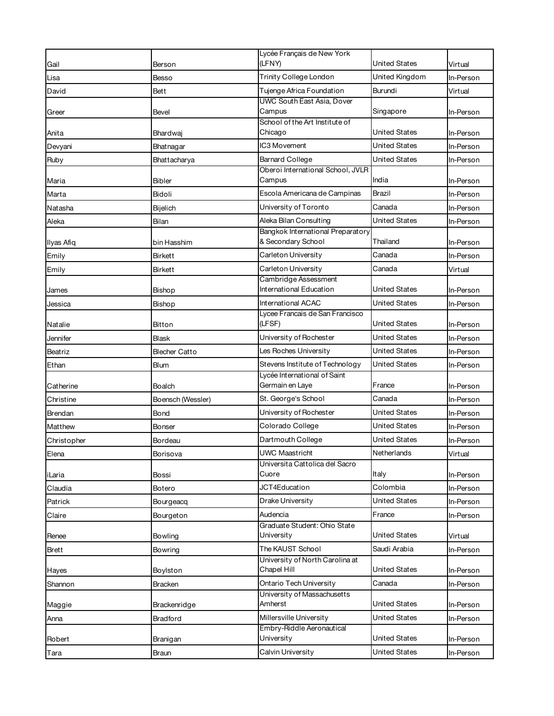|             |                      | Lycée Français de New York                              |                      |           |
|-------------|----------------------|---------------------------------------------------------|----------------------|-----------|
| Gail        | Berson               | (LFNY)                                                  | United States        | Virtual   |
| Lisa        | Besso                | Trinity College London                                  | United Kingdom       | In-Person |
| David       | Bett                 | Tujenge Africa Foundation                               | Burundi              | Virtual   |
|             |                      | UWC South East Asia, Dover                              |                      |           |
| Greer       | <b>Bevel</b>         | Campus<br>School of the Art Institute of                | Singapore            | In-Person |
| Anita       | Bhardwaj             | Chicago                                                 | United States        | In-Person |
| Devyani     | Bhatnagar            | IC3 Movement                                            | <b>United States</b> | In-Person |
| Ruby        | Bhattacharya         | <b>Barnard College</b>                                  | <b>United States</b> | In-Person |
|             |                      | Oberoi International School, JVLR                       |                      |           |
| Maria       | <b>Bibler</b>        | Campus                                                  | India                | In-Person |
| Marta       | Bidoli               | Escola Americana de Campinas                            | Brazil               | In-Person |
| Natasha     | Bijelich             | University of Toronto                                   | Canada               | In-Person |
| Aleka       | Bilan                | Aleka Bilan Consulting                                  | <b>United States</b> | In-Person |
|             |                      | Bangkok International Preparatory<br>& Secondary School | Thailand             |           |
| Ilyas Afiq  | bin Hasshim          |                                                         |                      | In-Person |
| Emily       | Birkett              | Carleton University                                     | Canada               | In-Person |
| Emily       | Birkett              | Carleton University<br>Cambridge Assessment             | Canada               | Virtual   |
| James       | Bishop               | International Education                                 | United States        | In-Person |
| Jessica     | Bishop               | International ACAC                                      | United States        | In-Person |
|             |                      | Lycee Francais de San Francisco                         |                      |           |
| Natalie     | Bitton               | (LFSF)                                                  | United States        | In-Person |
| Jennifer    | <b>Blask</b>         | University of Rochester                                 | United States        | In-Person |
| Beatriz     | <b>Blecher Catto</b> | Les Roches University                                   | <b>United States</b> | In-Person |
| Ethan       | Blum                 | Stevens Institute of Technology                         | United States        | In-Person |
|             |                      | Lycée International of Saint                            |                      |           |
| Catherine   | Boalch               | Germain en Laye                                         | France               | In-Person |
| Christine   | Boensch (Wessler)    | St. George's School                                     | Canada               | In-Person |
| Brendan     | Bond                 | University of Rochester                                 | United States        | In-Person |
| Matthew     | Bonser               | Colorado College                                        | <b>United States</b> | In-Person |
| Christopher | Bordeau              | Dartmouth College                                       | United States        | In-Person |
| Elena       | Borisova             | <b>UWC Maastricht</b>                                   | Netherlands          | Virtual   |
|             |                      | Universita Cattolica del Sacro                          |                      |           |
| iLaria      | Bossi                | Cuore                                                   | Italy                | In-Person |
| Claudia     | Botero               | JCT4Education                                           | Colombia             | In-Person |
| Patrick     | Bourgeacq            | Drake University                                        | <b>United States</b> | In-Person |
| Claire      | Bourgeton            | Audencia                                                | France               | In-Person |
| Renee       | Bowling              | Graduate Student: Ohio State<br>University              | <b>United States</b> | Virtual   |
| Brett       | Bowring              | The KAUST School                                        | Saudi Arabia         | In-Person |
|             |                      | University of North Carolina at                         |                      |           |
| Hayes       | Boylston             | Chapel Hill                                             | <b>United States</b> | In-Person |
| Shannon     | <b>Bracken</b>       | Ontario Tech University                                 | Canada               | In-Person |
|             |                      | University of Massachusetts                             |                      |           |
| Maggie      | Brackenridge         | Amherst                                                 | United States        | In-Person |
| Anna        | <b>Bradford</b>      | Millersville University                                 | <b>United States</b> | In-Person |
| Robert      | Branigan             | Embry-Riddle Aeronautical<br>University                 | <b>United States</b> | In-Person |
| Tara        | Braun                | Calvin University                                       | <b>United States</b> | In-Person |
|             |                      |                                                         |                      |           |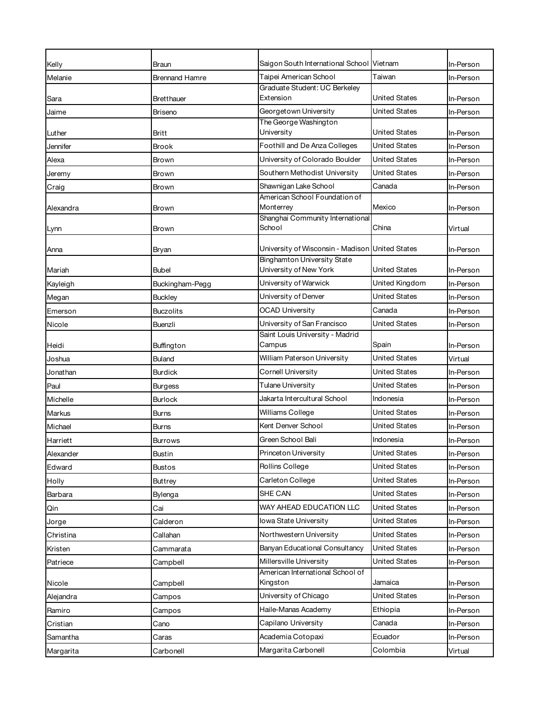| Kelly     | Braun                 | Saigon South International School Vietnam                    |                      | In-Person |
|-----------|-----------------------|--------------------------------------------------------------|----------------------|-----------|
| Melanie   | <b>Brennand Hamre</b> | Taipei American School                                       | Taiwan               | In-Person |
|           |                       | Graduate Student: UC Berkeley                                |                      |           |
| Sara      | <b>Bretthauer</b>     | Extension                                                    | United States        | In-Person |
| Jaime     | <b>Briseno</b>        | Georgetown University                                        | <b>United States</b> | In-Person |
| Luther    | <b>Britt</b>          | The George Washington<br>University                          | United States        | In-Person |
| Jennifer  | <b>Brook</b>          | Foothill and De Anza Colleges                                | <b>United States</b> | In-Person |
| Alexa     | Brown                 | University of Colorado Boulder                               | United States        | In-Person |
| Jeremy    | Brown                 | Southern Methodist University                                | <b>United States</b> | In-Person |
| Craig     | Brown                 | Shawnigan Lake School                                        | Canada               | In-Person |
|           |                       | American School Foundation of                                |                      |           |
| Alexandra | Brown                 | Monterrey                                                    | Mexico               | In-Person |
| Lynn      | <b>Brown</b>          | Shanghai Community International<br>School                   | China                | Virtual   |
|           |                       |                                                              |                      |           |
| Anna      | Bryan                 | University of Wisconsin - Madison United States              |                      | In-Person |
| Mariah    | <b>Bubel</b>          | <b>Binghamton University State</b><br>University of New York | United States        | In-Person |
| Kayleigh  | Buckingham-Pegg       | University of Warwick                                        | United Kingdom       | In-Person |
| Megan     | <b>Buckley</b>        | University of Denver                                         | United States        | In-Person |
| Emerson   | <b>Buczolits</b>      | <b>OCAD University</b>                                       | Canada               | In-Person |
| Nicole    | Buenzli               | University of San Francisco                                  | United States        | In-Person |
|           |                       | Saint Louis University - Madrid                              |                      |           |
| Heidi     | Buffington            | Campus                                                       | Spain                | In-Person |
| Joshua    | <b>Buland</b>         | William Paterson University                                  | <b>United States</b> | Virtual   |
| Jonathan  | <b>Burdick</b>        | Cornell University                                           | <b>United States</b> | In-Person |
| Paul      | <b>Burgess</b>        | Tulane University                                            | United States        | In-Person |
| Michelle  | <b>Burlock</b>        | Jakarta Intercultural School                                 | Indonesia            | In-Person |
| Markus    | <b>Burns</b>          | Williams College                                             | United States        | In-Person |
| Michael   | <b>Burns</b>          | Kent Denver School                                           | United States        | In-Person |
| Harriett  | <b>Burrows</b>        | Green School Bali                                            | Indonesia            | In-Person |
| Alexander | Bustin                | Princeton University                                         | <b>United States</b> | In-Person |
| Edward    | <b>Bustos</b>         | Rollins College                                              | <b>United States</b> | In-Person |
| Holly     | <b>Buttrey</b>        | Carleton College                                             | United States        | In-Person |
| Barbara   | Bylenga               | SHE CAN                                                      | <b>United States</b> | In-Person |
| Qin       | Cai                   | WAY AHEAD EDUCATION LLC                                      | United States        | In-Person |
| Jorge     | Calderon              | lowa State University                                        | <b>United States</b> | In-Person |
| Christina | Callahan              | Northwestern University                                      | United States        | In-Person |
| Kristen   | Cammarata             | Banyan Educational Consultancy                               | <b>United States</b> | In-Person |
| Patriece  | Campbell              | Millersville University                                      | United States        | In-Person |
| Nicole    | Campbell              | American International School of<br>Kingston                 | Jamaica              | In-Person |
| Alejandra | Campos                | University of Chicago                                        | <b>United States</b> | In-Person |
| Ramiro    | Campos                | Haile-Manas Academy                                          | Ethiopia             | In-Person |
| Cristian  | Cano                  | Capilano University                                          | Canada               | In-Person |
| Samantha  | Caras                 | Academia Cotopaxi                                            | Ecuador              | In-Person |
| Margarita | Carbonell             | Margarita Carbonell                                          | Colombia             | Virtual   |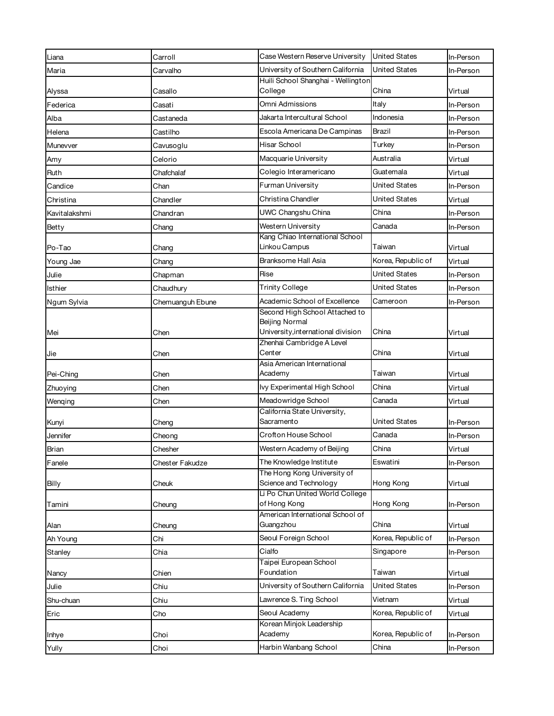| Liana         | Carroll          | Case Western Reserve University                       | <b>United States</b> | In-Person |
|---------------|------------------|-------------------------------------------------------|----------------------|-----------|
| Maria         | Carvalho         | University of Southern California                     | <b>United States</b> | In-Person |
|               |                  | Huili School Shanghai - Wellington                    | China                |           |
| Alyssa        | Casallo          | College                                               |                      | Virtual   |
| Federica      | Casati           | Omni Admissions                                       | Italy                | In-Person |
| Alba          | Castaneda        | Jakarta Intercultural School                          | Indonesia            | In-Person |
| Helena        | Castilho         | Escola Americana De Campinas                          | Brazil               | In-Person |
| Munevver      | Cavusoglu        | Hisar School                                          | Turkey               | In-Person |
| Amy           | Celorio          | Macquarie University                                  | Australia            | Virtual   |
| Ruth          | Chafchalaf       | Colegio Interamericano                                | Guatemala            | Virtual   |
| Candice       | Chan             | Furman University                                     | United States        | In-Person |
| Christina     | Chandler         | Christina Chandler                                    | United States        | Virtual   |
| Kavitalakshmi | Chandran         | UWC Changshu China                                    | China                | In-Person |
| Betty         | Chang            | Western University                                    | Canada               | In-Person |
| Po-Tao        | Chang            | Kang Chiao International School<br>Linkou Campus      | Taiwan               | Virtual   |
| Young Jae     | Chang            | Branksome Hall Asia                                   | Korea, Republic of   | Virtual   |
| Julie         | Chapman          | Rise                                                  | <b>United States</b> | In-Person |
| Isthier       | Chaudhury        | <b>Trinity College</b>                                | United States        | In-Person |
| Ngum Sylvia   | Chemuanguh Ebune | Academic School of Excellence                         | Cameroon             | In-Person |
|               |                  | Second High School Attached to                        |                      |           |
| Mei           | Chen             | Beijing Normal<br>University, international division  | China                | Virtual   |
|               |                  | Zhenhai Cambridge A Level                             |                      |           |
| Jie           | Chen             | Center                                                | China                | Virtual   |
| Pei-Ching     | Chen             | Asia American International<br>Academy                | Taiwan               | Virtual   |
| Zhuoying      | Chen             | Ivy Experimental High School                          | China                | Virtual   |
| Wenqing       | Chen             | Meadowridge School                                    | Canada               | Virtual   |
|               |                  | California State University,                          |                      |           |
| Kunyi         | Cheng            | Sacramento                                            | United States        | In-Person |
| Jennifer      | Cheong           | Crofton House School                                  | Canada               | In-Person |
| Brian         | Chesher          | Western Academy of Beijing                            | China                | Virtual   |
| Fanele        | Chester Fakudze  | The Knowledge Institute                               | Eswatini             | In-Person |
|               |                  | The Hong Kong University of<br>Science and Technology | Hong Kong            |           |
| Billy         | Cheuk            | Li Po Chun United World College                       |                      | Virtual   |
| Tamini        | Cheung           | of Hong Kong                                          | Hong Kong            | In-Person |
|               |                  | American International School of<br>Guangzhou         | China                |           |
| Alan          | Cheung           | Seoul Foreign School                                  | Korea, Republic of   | Virtual   |
| Ah Young      | Chi              | Cialfo                                                |                      | In-Person |
| Stanley       | Chia             | Taipei European School                                | Singapore            | In-Person |
| Nancy         | Chien            | Foundation                                            | Taiwan               | Virtual   |
| Julie         | Chiu             | University of Southern California                     | <b>United States</b> | In-Person |
| Shu-chuan     | Chiu             | Lawrence S. Ting School                               | Vietnam              | Virtual   |
| Eric          | Cho              | Seoul Academy                                         | Korea, Republic of   | Virtual   |
|               |                  | Korean Minjok Leadership                              |                      |           |
| Inhye         | Choi             | Academy                                               | Korea, Republic of   | In-Person |
| Yully         | Choi             | Harbin Wanbang School                                 | China                | In-Person |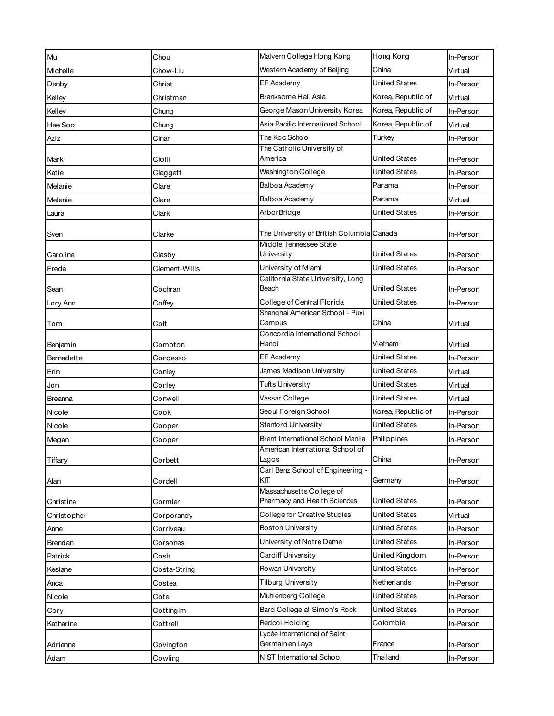| Mu          | Chou           | Malvern College Hong Kong                                | Hong Kong            | In-Person |
|-------------|----------------|----------------------------------------------------------|----------------------|-----------|
| Michelle    | Chow-Liu       | Western Academy of Beijing                               | China                | Virtual   |
| Denby       | Christ         | EF Academy                                               | <b>United States</b> | In-Person |
| Kelley      | Christman      | Branksome Hall Asia                                      | Korea, Republic of   | Virtual   |
| Kelley      | Chung          | George Mason University Korea                            | Korea, Republic of   | In-Person |
| Hee Soo     | Chung          | Asia Pacific International School                        | Korea, Republic of   | Virtual   |
| Aziz        | Cinar          | The Koc School                                           | Turkey               | In-Person |
|             |                | The Catholic University of                               |                      |           |
| Mark        | Ciolli         | America                                                  | <b>United States</b> | In-Person |
| Katie       | Claggett       | Washington College                                       | United States        | In-Person |
| Melanie     | Clare          | Balboa Academy                                           | Panama               | In-Person |
| Melanie     | Clare          | Balboa Academy                                           | Panama               | Virtual   |
| Laura       | Clark          | ArborBridge                                              | <b>United States</b> | In-Person |
| Sven        | Clarke         | The University of British Columbia Canada                |                      | In-Person |
|             |                | Middle Tennessee State                                   |                      |           |
| Caroline    | Clasby         | University                                               | <b>United States</b> | In-Person |
| Freda       | Clement-Willis | University of Miami<br>California State University, Long | <b>United States</b> | In-Person |
| Sean        | Cochran        | Beach                                                    | <b>United States</b> | In-Person |
| Lory Ann    | Coffey         | College of Central Florida                               | <b>United States</b> | In-Person |
|             |                | Shanghai American School - Puxi                          |                      |           |
| Tom         | Colt           | Campus<br>Concordia International School                 | China                | Virtual   |
| Benjamin    | Compton        | Hanoi                                                    | Vietnam              | Virtual   |
| Bernadette  | Condesso       | EF Academy                                               | <b>United States</b> | In-Person |
| Erin        | Conley         | James Madison University                                 | <b>United States</b> | Virtual   |
| Jon         | Conley         | <b>Tufts University</b>                                  | <b>United States</b> | Virtual   |
| Breanna     | Conwell        | Vassar College                                           | <b>United States</b> | Virtual   |
| Nicole      | Cook           | Seoul Foreign School                                     | Korea, Republic of   | In-Person |
| Nicole      | Cooper         | Stanford University                                      | <b>United States</b> | In-Person |
| Megan       | Cooper         | Brent International School Manila                        | Philippines          | In-Person |
|             |                | American International School of                         | China                |           |
| Tiffany     | Corbett        | Lagos<br>Carl Benz School of Engineering -               |                      | In-Person |
| Alan        | Cordell        | KIT                                                      | Germany              | In-Person |
|             |                | Massachusetts College of                                 |                      |           |
| Christina   | Cormier        | Pharmacy and Health Sciences                             | <b>United States</b> | In-Person |
| Christopher | Corporandy     | College for Creative Studies                             | United States        | Virtual   |
| Anne        | Corriveau      | <b>Boston University</b>                                 | United States        | In-Person |
| Brendan     | Corsones       | University of Notre Dame                                 | <b>United States</b> | In-Person |
| Patrick     | Cosh           | Cardiff University                                       | United Kingdom       | In-Person |
| Kesiane     | Costa-String   | Rowan University                                         | <b>United States</b> | In-Person |
| Anca        | Costea         | <b>Tilburg University</b>                                | Netherlands          | In-Person |
| Nicole      | Cote           | Muhlenberg College                                       | <b>United States</b> | In-Person |
| Cory        | Cottingim      | Bard College at Simon's Rock                             | <b>United States</b> | In-Person |
| Katharine   | Cottrell       | Redcol Holding<br>Lycée International of Saint           | Colombia             | In-Person |
| Adrienne    | Covington      | Germain en Laye                                          | France               | In-Person |
| Adam        | Cowling        | NIST International School                                | Thailand             | In-Person |
|             |                |                                                          |                      |           |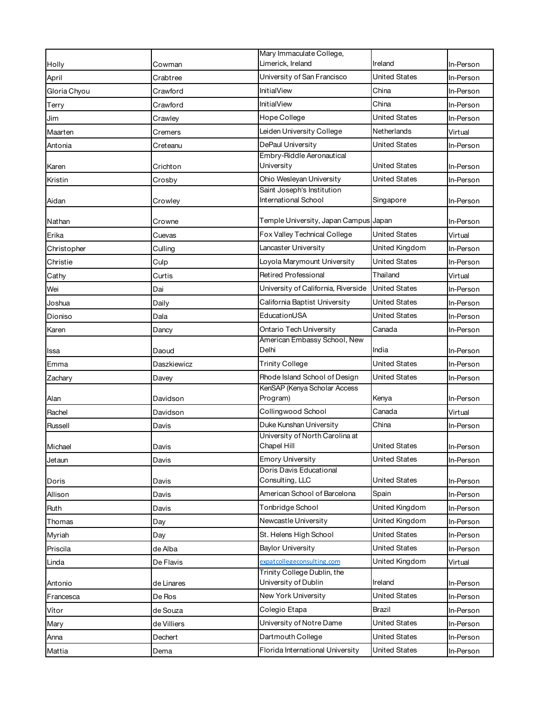|              |             | Mary Immaculate College,                            |                                              |           |
|--------------|-------------|-----------------------------------------------------|----------------------------------------------|-----------|
| Holly        | Cowman      | Limerick, Ireland                                   | Ireland                                      | In-Person |
| April        | Crabtree    | University of San Francisco                         | <b>United States</b>                         | In-Person |
| Gloria Chyou | Crawford    | <b>InitialView</b>                                  | China                                        | In-Person |
| Terry        | Crawford    | <b>InitialView</b>                                  | China                                        | In-Person |
| Jim          | Crawley     | Hope College                                        | United States                                | In-Person |
| Maarten      | Cremers     | Leiden University College                           | Netherlands                                  | Virtual   |
| Antonia      | Creteanu    | DePaul University                                   | United States                                | In-Person |
| Karen        | Crichton    | Embry-Riddle Aeronautical<br>University             | <b>United States</b>                         | In-Person |
| Kristin      |             | Ohio Wesleyan University                            | United States                                | In-Person |
|              | Crosby      | Saint Joseph's Institution                          |                                              |           |
| Aidan        | Crowley     | International School                                | Singapore                                    | In-Person |
| Nathan       | Crowne      | Temple University, Japan Campus Japan               |                                              | In-Person |
| Erika        | Cuevas      | Fox Valley Technical College                        | United States                                | Virtual   |
| Christopher  | Culling     | Lancaster University                                | United Kingdom                               | In-Person |
| Christie     | Culp        | Loyola Marymount University                         | <b>United States</b>                         | In-Person |
| Cathy        | Curtis      | Retired Professional                                | Thailand                                     | Virtual   |
| Wei          | Dai         | University of California, Riverside                 | <b>United States</b>                         | In-Person |
| Joshua       | Daily       | California Baptist University                       | United States                                | In-Person |
| Dioniso      | Dala        | EducationUSA                                        | United States                                | In-Person |
| Karen        | Dancy       | Ontario Tech University                             | Canada                                       | In-Person |
| Issa         | Daoud       | American Embassy School, New<br>Delhi               | India                                        | In-Person |
| Emma         | Daszkiewicz | <b>Trinity College</b>                              | <b>United States</b>                         | In-Person |
| Zachary      | Davey       | Rhode Island School of Design                       | <b>United States</b>                         | In-Person |
| Alan         | Davidson    | KenSAP (Kenya Scholar Access<br>Program)            | Kenya                                        | In-Person |
| Rachel       | Davidson    | Collingwood School                                  | Canada                                       | Virtual   |
| Russell      | Davis       | Duke Kunshan University                             | China                                        | In-Person |
|              |             | University of North Carolina at                     |                                              |           |
| Michael      | Davis       | Chapel Hill<br><b>Emory University</b>              | <b>United States</b><br><b>United States</b> | In-Person |
| Jetaun       | Davis       | Doris Davis Educational                             |                                              | In-Person |
| Doris        | Davis       | Consulting, LLC                                     | <b>United States</b>                         | In-Person |
| Allison      | Davis       | American School of Barcelona                        | Spain                                        | In-Person |
| Ruth         | Davis       | Tonbridge School                                    | United Kingdom                               | In-Person |
| Thomas       | Day         | Newcastle University                                | United Kingdom                               | In-Person |
| Myriah       | Day         | St. Helens High School                              | United States                                | In-Person |
| Priscila     | de Alba     | <b>Baylor University</b>                            | <b>United States</b>                         | In-Person |
| Linda        | De Flavis   | expatcollegeconsulting.com                          | United Kingdom                               | Virtual   |
| Antonio      | de Linares  | Trinity College Dublin, the<br>University of Dublin | Ireland                                      | In-Person |
| Francesca    | De Ros      | New York University                                 | <b>United States</b>                         | In-Person |
| Vítor        | de Souza    | Colegio Etapa                                       | Brazil                                       | In-Person |
| Mary         | de Villiers | University of Notre Dame                            | United States                                | In-Person |
| Anna         | Dechert     | Dartmouth College                                   | <b>United States</b>                         | In-Person |
| Mattia       | Dema        | Florida International University                    | <b>United States</b>                         | In-Person |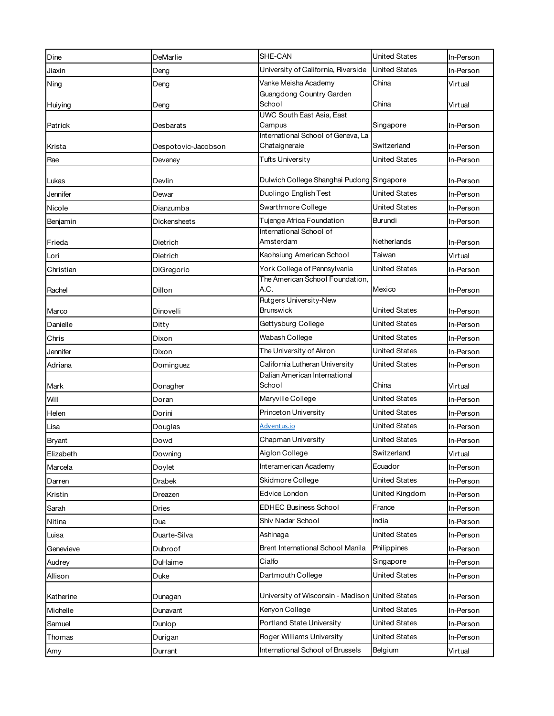| Dine          | DeMarlie            | SHE-CAN                                         | <b>United States</b> | In-Person |
|---------------|---------------------|-------------------------------------------------|----------------------|-----------|
| Jiaxin        | Deng                | University of California, Riverside             | <b>United States</b> | In-Person |
| Ning          | Deng                | Vanke Meisha Academy                            | China                | Virtual   |
|               |                     | Guangdong Country Garden                        |                      |           |
| Huiying       | Deng                | School<br>UWC South East Asia, East             | China                | Virtual   |
| Patrick       | Desbarats           | Campus                                          | Singapore            | In-Person |
|               |                     | International School of Geneva, La              |                      |           |
| Krista        | Despotovic-Jacobson | Chataigneraie                                   | Switzerland          | In-Person |
| Rae           | Deveney             | <b>Tufts University</b>                         | United States        | In-Person |
| Lukas         | Devlin              | Dulwich College Shanghai Pudong Singapore       |                      | In-Person |
| Jennifer      | Dewar               | Duolingo English Test                           | United States        | In-Person |
| Nicole        | Dianzumba           | Swarthmore College                              | United States        | In-Person |
| Benjamin      | Dickensheets        | Tujenge Africa Foundation                       | Burundi              | In-Person |
|               |                     | International School of                         |                      |           |
| Frieda        | Dietrich            | Amsterdam                                       | Netherlands          | In-Person |
| Lori          | Dietrich            | Kaohsiung American School                       | Taiwan               | Virtual   |
| Christian     | DiGregorio          | York College of Pennsylvania                    | <b>United States</b> | In-Person |
| Rachel        | Dillon              | The American School Foundation,<br>A.C.         | Mexico               | In-Person |
|               |                     | Rutgers University-New                          |                      |           |
| Marco         | Dinovelli           | <b>Brunswick</b>                                | United States        | In-Person |
| Danielle      | Ditty               | Gettysburg College                              | United States        | In-Person |
| Chris         | Dixon               | Wabash College                                  | United States        | In-Person |
| Jennifer      | Dixon               | The University of Akron                         | <b>United States</b> | In-Person |
| Adriana       | Dominguez           | California Lutheran University                  | United States        | In-Person |
|               |                     | Dalian American International                   |                      |           |
| Mark          | Donagher            | School                                          | China                | Virtual   |
| Will          | Doran               | Maryville College                               | <b>United States</b> | In-Person |
| Helen         | Dorini              | Princeton University                            | United States        | In-Person |
| Lisa          | Douglas             | Adventus.io                                     | <b>United States</b> | In-Person |
| <b>Bryant</b> | Dowd                | Chapman University                              | United States        | In-Person |
| Elizabeth     | Downing             | Aiglon College                                  | Switzerland          | Virtual   |
| Marcela       | Doylet              | Interamerican Academy                           | Ecuador              | In-Person |
| Darren        | Drabek              | Skidmore College                                | <b>United States</b> | In-Person |
| Kristin       | Dreazen             | Edvice London                                   | United Kingdom       | In-Person |
| Sarah         | Dries               | <b>EDHEC Business School</b>                    | France               | In-Person |
| Nitina        | Dua                 | Shiv Nadar School                               | India                | In-Person |
| Luisa         | Duarte-Silva        | Ashinaga                                        | United States        | In-Person |
| Genevieve     | Dubroof             | Brent International School Manila               | Philippines          | In-Person |
| Audrey        | DuHaime             | Cialfo                                          | Singapore            | In-Person |
| Allison       | Duke                | Dartmouth College                               | United States        | In-Person |
|               |                     |                                                 |                      |           |
| Katherine     | Dunagan             | University of Wisconsin - Madison United States |                      | In-Person |
| Michelle      | Dunavant            | Kenyon College                                  | <b>United States</b> | In-Person |
| Samuel        | Dunlop              | Portland State University                       | <b>United States</b> | In-Person |
| Thomas        | Durigan             | Roger Williams University                       | United States        | In-Person |
| Amy           | Durrant             | International School of Brussels                | Belgium              | Virtual   |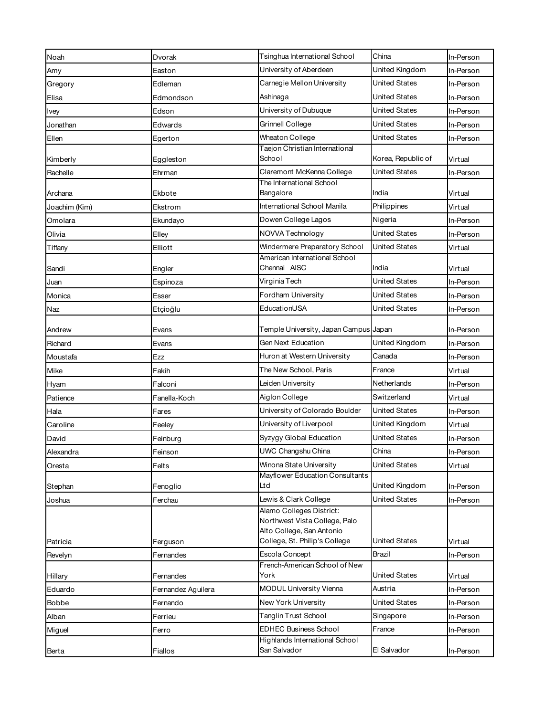| Noah          | Dvorak             | Tsinghua International School                             | China                | In-Person |
|---------------|--------------------|-----------------------------------------------------------|----------------------|-----------|
| Amy           | Easton             | University of Aberdeen                                    | United Kingdom       | In-Person |
| Gregory       | Edleman            | Carnegie Mellon University                                | <b>United States</b> | In-Person |
| Elisa         | Edmondson          | Ashinaga                                                  | United States        | In-Person |
| <b>Ivey</b>   | Edson              | University of Dubuque                                     | <b>United States</b> | In-Person |
| Jonathan      | Edwards            | Grinnell College                                          | United States        | In-Person |
| Ellen         | Egerton            | Wheaton College                                           | <b>United States</b> | In-Person |
| Kimberly      | Eggleston          | Taejon Christian International<br>School                  | Korea, Republic of   | Virtual   |
| Rachelle      | Ehrman             | Claremont McKenna College                                 | United States        | In-Person |
|               |                    | The International School                                  |                      |           |
| Archana       | Ekbote             | Bangalore                                                 | India                | Virtual   |
| Joachim (Kim) | Ekstrom            | International School Manila                               | Philippines          | Virtual   |
| Omolara       | Ekundayo           | Dowen College Lagos                                       | Nigeria              | In-Person |
| Olivia        | Elley              | NOVVA Technology                                          | United States        | In-Person |
| Tiffany       | Elliott            | Windermere Preparatory School                             | United States        | Virtual   |
| Sandi         | Engler             | American International School<br>Chennai AISC             | India                | Virtual   |
| Juan          | Espinoza           | Virginia Tech                                             | United States        | In-Person |
| Monica        | Esser              | Fordham University                                        | <b>United States</b> | In-Person |
| Naz           | Etçioğlu           | EducationUSA                                              | United States        | In-Person |
| Andrew        | Evans              | Temple University, Japan Campus Japan                     |                      | In-Person |
| Richard       | Evans              | Gen Next Education                                        | United Kingdom       | In-Person |
| Moustafa      | Ezz                | Huron at Western University                               | Canada               | In-Person |
| Mike          | Fakih              | The New School, Paris                                     | France               | Virtual   |
| Hyam          | Falconi            | Leiden University                                         | Netherlands          | In-Person |
| Patience      | Fanella-Koch       | Aiglon College                                            | Switzerland          | Virtual   |
| Hala          | Fares              | University of Colorado Boulder                            | United States        | In-Person |
| Caroline      | Feeley             | University of Liverpool                                   | United Kingdom       | Virtual   |
| David         | Feinburg           | Syzygy Global Education                                   | United States        | In-Person |
| Alexandra     | Feinson            | UWC Changshu China                                        | China                | In-Person |
| Oresta        | Felts              | Winona State University                                   | <b>United States</b> | Virtual   |
|               |                    | Mayflower Education Consultants                           |                      |           |
| Stephan       | Fenoglio           | Ltd                                                       | United Kingdom       | In-Person |
| Joshua        | Ferchau            | Lewis & Clark College                                     | United States        | In-Person |
|               |                    | Alamo Colleges District:<br>Northwest Vista College, Palo |                      |           |
|               |                    | Alto College, San Antonio                                 |                      |           |
| Patricia      | Ferguson           | College, St. Philip's College                             | United States        | Virtual   |
| Revelyn       | Fernandes          | Escola Concept                                            | Brazil               | In-Person |
| Hillary       | Fernandes          | French-American School of New<br>York                     | United States        | Virtual   |
| Eduardo       | Fernandez Aguilera | <b>MODUL University Vienna</b>                            | Austria              | In-Person |
| Bobbe         | Fernando           | New York University                                       | United States        | In-Person |
| Alban         | Ferrieu            | Tanglin Trust School                                      | Singapore            | In-Person |
| Miguel        | Ferro              | <b>EDHEC Business School</b>                              | France               | In-Person |
| Berta         | Fiallos            | Highlands International School<br>San Salvador            | El Salvador          | In-Person |
|               |                    |                                                           |                      |           |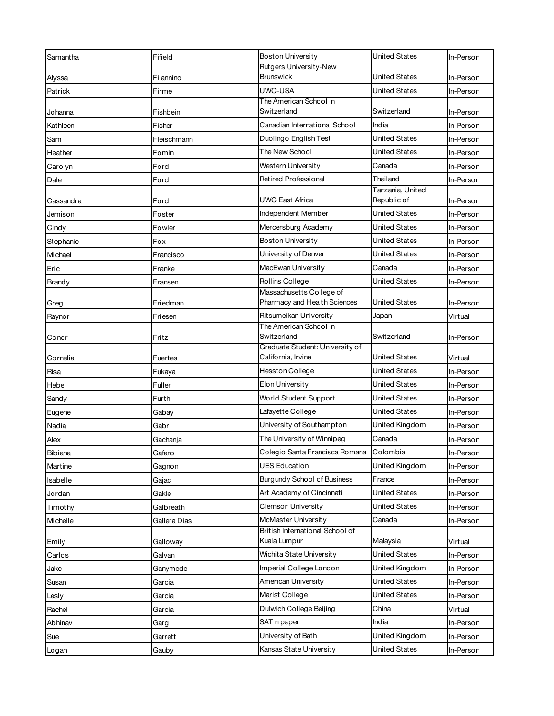| Samantha  | Fifield      | <b>Boston University</b>                                 | <b>United States</b>            | In-Person |
|-----------|--------------|----------------------------------------------------------|---------------------------------|-----------|
|           |              | Rutgers University-New                                   |                                 |           |
| Alyssa    | Filannino    | <b>Brunswick</b>                                         | United States                   | In-Person |
| Patrick   | Firme        | UWC-USA<br>The American School in                        | <b>United States</b>            | In-Person |
| Johanna   | Fishbein     | Switzerland                                              | Switzerland                     | In-Person |
| Kathleen  | Fisher       | Canadian International School                            | India                           | In-Person |
| Sam       | Fleischmann  | Duolingo English Test                                    | <b>United States</b>            | In-Person |
| Heather   | Fomin        | The New School                                           | United States                   | In-Person |
| Carolyn   | Ford         | Western University                                       | Canada                          | In-Person |
| Dale      | Ford         | <b>Retired Professional</b>                              | Thailand                        | In-Person |
| Cassandra | Ford         | UWC East Africa                                          | Tanzania, United<br>Republic of | In-Person |
| Jemison   | Foster       | Independent Member                                       | <b>United States</b>            | In-Person |
| Cindy     | Fowler       | Mercersburg Academy                                      | <b>United States</b>            | In-Person |
| Stephanie | Fox          | <b>Boston University</b>                                 | United States                   | In-Person |
| Michael   | Francisco    | University of Denver                                     | United States                   | In-Person |
| Eric      | Franke       | MacEwan University                                       | Canada                          | In-Person |
| Brandy    | Fransen      | Rollins College                                          | <b>United States</b>            | In-Person |
| Greg      | Friedman     | Massachusetts College of<br>Pharmacy and Health Sciences | <b>United States</b>            | In-Person |
| Raynor    | Friesen      | Ritsumeikan University                                   | Japan                           | Virtual   |
| Conor     | Fritz        | The American School in<br>Switzerland                    | Switzerland                     | In-Person |
|           |              | Graduate Student: University of                          |                                 |           |
| Cornelia  | Fuertes      | California, Irvine                                       | <b>United States</b>            | Virtual   |
| Risa      | Fukaya       | Hesston College                                          | <b>United States</b>            | In-Person |
| Hebe      | Fuller       | Elon University                                          | United States                   | In-Person |
| Sandy     | Furth        | World Student Support                                    | United States                   | In-Person |
| Eugene    | Gabay        | Lafayette College                                        | United States                   | In-Person |
| Nadia     | Gabr         | University of Southampton                                | United Kingdom                  | In-Person |
| Alex      | Gachanja     | The University of Winnipeg                               | Canada                          | In-Person |
| Bibiana   | Gafaro       | Colegio Santa Francisca Romana                           | Colombia                        | In-Person |
| Martine   | Gagnon       | <b>UES Education</b>                                     | United Kingdom                  | In-Person |
| Isabelle  | Gajac        | Burgundy School of Business                              | France                          | In-Person |
| Jordan    | Gakle        | Art Academy of Cincinnati                                | United States                   | In-Person |
| Timothy   | Galbreath    | Clemson University                                       | United States                   | In-Person |
| Michelle  | Gallera Dias | McMaster University                                      | Canada                          | In-Person |
| Emily     | Galloway     | British International School of<br>Kuala Lumpur          | Malaysia                        | Virtual   |
| Carlos    | Galvan       | Wichita State University                                 | United States                   | In-Person |
| Jake      | Ganymede     | Imperial College London                                  | United Kingdom                  | In-Person |
| Susan     | Garcia       | American University                                      | United States                   | In-Person |
| Lesly     | Garcia       | Marist College                                           | United States                   | In-Person |
| Rachel    | Garcia       | Dulwich College Beijing                                  | China                           | Virtual   |
| Abhinav   | Garg         | SAT n paper                                              | India                           | In-Person |
| Sue       | Garrett      | University of Bath                                       | United Kingdom                  | In-Person |
| Logan     | Gauby        | Kansas State University                                  | United States                   | In-Person |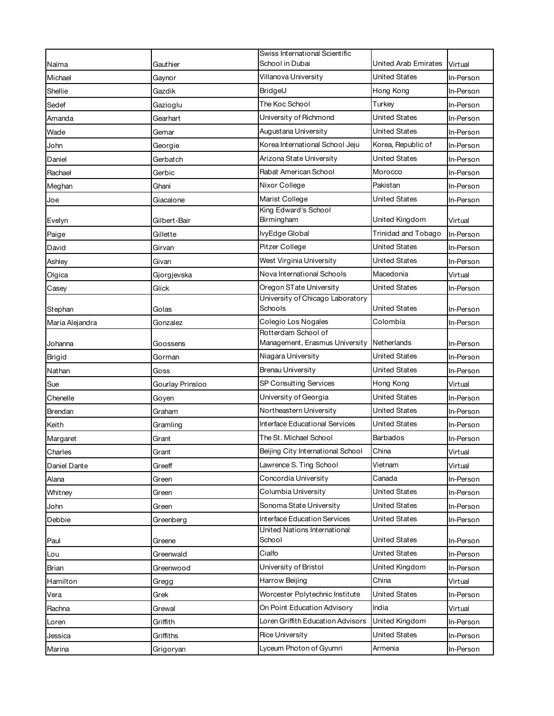|                 |                  | Swiss International Scientific             |                      |           |
|-----------------|------------------|--------------------------------------------|----------------------|-----------|
| Naïma           | Gauthier         | School in Dubai                            | United Arab Emirates | Virtual   |
| Michael         | Gaynor           | Villanova University                       | United States        | In-Person |
| Shellie         | Gazdik           | BridgeU                                    | Hong Kong            | In-Person |
| Sedef           | Gazioglu         | The Koc School                             | Turkey               | In-Person |
| Amanda          | Gearhart         | University of Richmond                     | United States        | In-Person |
| Wade            | Gemar            | Augustana University                       | United States        | In-Person |
| John            | Georgie          | Korea International School Jeju            | Korea, Republic of   | In-Person |
| Daniel          | Gerbatch         | Arizona State University                   | United States        | In-Person |
| Rachael         | Gerbic           | Rabat American School                      | Morocco              | In-Person |
| Meghan          | Ghani            | Nixor College                              | Pakistan             | In-Person |
| Joe             | Giacalone        | Marist College                             | United States        | In-Person |
| Evelyn          | Gilbert-Bair     | King Edward's School<br>Birmingham         | United Kingdom       | Virtual   |
| Paige           | Gillette         | IvyEdge Global                             | Trinidad and Tobago  | In-Person |
| David           | Girvan           | Pitzer College                             | United States        | In-Person |
| Ashley          | Givan            | West Virginia University                   | United States        | In-Person |
| Olgica          | Gjorgjevska      | Nova International Schools                 | Macedonia            | Virtual   |
| Casey           | Glick            | Oregon STate University                    | United States        | In-Person |
|                 |                  | University of Chicago Laboratory           |                      |           |
| Stephan         | Golas            | Schools                                    | United States        | In-Person |
| Maria Alejandra | Gonzalez         | Colegio Los Nogales<br>Rotterdam School of | Colombia             | In-Person |
|                 |                  |                                            |                      |           |
| Johanna         | Goossens         | Management, Erasmus University             | Netherlands          | In-Person |
| Brigid          | Gorman           | Niagara University                         | United States        | In-Person |
| Nathan          | Goss             | <b>Brenau University</b>                   | United States        | In-Person |
| Sue             | Gourlay Prinsloo | SP Consulting Services                     | Hong Kong            | Virtual   |
| Chenelle        | Goyen            | University of Georgia                      | United States        | In-Person |
| Brendan         | Graham           | Northeastern University                    | United States        | In-Person |
| Keith           | Gramling         | Interface Educational Services             | United States        | In-Person |
| Margaret        | Grant            | The St. Michael School                     | <b>Barbados</b>      | In-Person |
| Charles         | Grant            | Beijing City International School          | China                | Virtual   |
| Daniel Dante    | Greeff           | Lawrence S. Ting School                    | Vietnam              | Virtual   |
| Alana           | Green            | Concordia University                       | Canada               | In-Person |
| Whitney         | Green            | Columbia University                        | United States        | In-Person |
| John            | Green            | Sonoma State University                    | United States        | In-Person |
| Debbie          | Greenberg        | <b>Interface Education Services</b>        | <b>United States</b> | In-Person |
| Paul            | Greene           | United Nations International<br>School     | United States        | In-Person |
| Lou             | Greenwald        | Cialfo                                     | United States        | In-Person |
| Brian           | Greenwood        | University of Bristol                      | United Kingdom       | In-Person |
| Hamilton        |                  | Harrow Beijing                             | China                | Virtual   |
| Vera            | Gregg<br>Grek    | Worcester Polytechnic Institute            | <b>United States</b> | In-Person |
| Rachna          | Grewal           | On Point Education Advisory                | India                | Virtual   |
| Loren           | Griffith         | Loren Griffith Education Advisors          | United Kingdom       | In-Person |
| Jessica         | Griffiths        | <b>Rice University</b>                     | United States        | In-Person |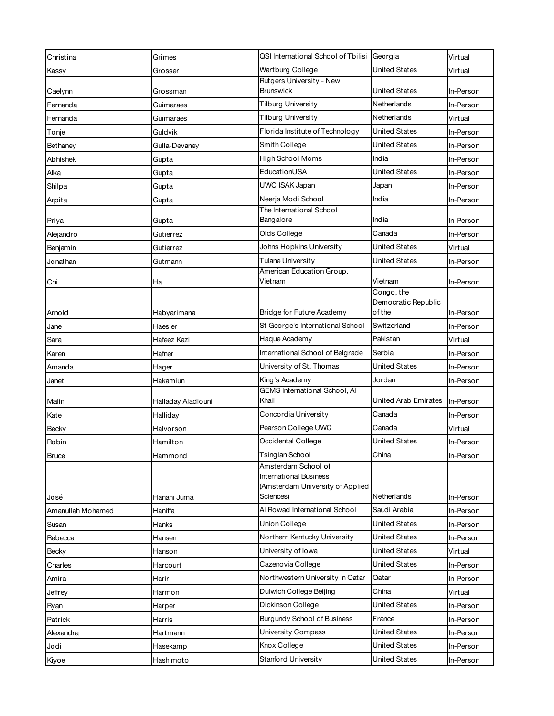| Christina         | Grimes             | QSI International School of Tbilisi                  | Georgia              | Virtual   |
|-------------------|--------------------|------------------------------------------------------|----------------------|-----------|
| Kassy             | Grosser            | Wartburg College                                     | United States        | Virtual   |
|                   |                    | Rutgers University - New                             |                      |           |
| Caelynn           | Grossman           | <b>Brunswick</b>                                     | <b>United States</b> | In-Person |
| Fernanda          | Guimaraes          | <b>Tilburg University</b>                            | Netherlands          | In-Person |
| Fernanda          | Guimaraes          | <b>Tilburg University</b>                            | Netherlands          | Virtual   |
| Tonje             | Guldvik            | Florida Institute of Technology                      | <b>United States</b> | In-Person |
| Bethaney          | Gulla-Devaney      | Smith College                                        | <b>United States</b> | In-Person |
| Abhishek          | Gupta              | <b>High School Moms</b>                              | India                | In-Person |
| Alka              | Gupta              | EducationUSA                                         | <b>United States</b> | In-Person |
| Shilpa            | Gupta              | UWC ISAK Japan                                       | Japan                | In-Person |
| Arpita            | Gupta              | Neerja Modi School                                   | India                | In-Person |
|                   |                    | The International School                             |                      |           |
| Priya             | Gupta              | Bangalore                                            | India                | In-Person |
| Alejandro         | Gutierrez          | Olds College                                         | Canada               | In-Person |
| Benjamin          | Gutierrez          | Johns Hopkins University                             | United States        | Virtual   |
| Jonathan          | Gutmann            | Tulane University                                    | United States        | In-Person |
| Chi               | Ha                 | American Education Group,<br>Vietnam                 | Vietnam              | In-Person |
|                   |                    |                                                      | Congo, the           |           |
|                   |                    |                                                      | Democratic Republic  |           |
| Arnold            | Habyarimana        | Bridge for Future Academy                            | of the               | In-Person |
| Jane              | Haesler            | St George's International School                     | Switzerland          | In-Person |
| Sara              | Hafeez Kazi        | Haque Academy                                        | Pakistan             | Virtual   |
| Karen             | Hafner             | International School of Belgrade                     | Serbia               | In-Person |
| Amanda            | Hager              | University of St. Thomas                             | <b>United States</b> | In-Person |
| Janet             | Hakamiun           | King's Academy                                       | Jordan               | In-Person |
|                   |                    | <b>GEMS International School, Al</b><br>Khail        | United Arab Emirates |           |
| Malin             | Halladay Aladlouni | Concordia University                                 | Canada               | In-Person |
| Kate              | Halliday           |                                                      |                      | In-Person |
| Becky             | Halvorson          | Pearson College UWC                                  | Canada               | Virtual   |
| Robin             | Hamilton           | Occidental College                                   | United States        | In-Person |
| <b>Bruce</b>      | Hammond            | Tsinglan School                                      | China                | In-Person |
|                   |                    | Amsterdam School of<br><b>International Business</b> |                      |           |
|                   |                    | (Amsterdam University of Applied                     |                      |           |
| José              | Hanani Juma        | Sciences)                                            | Netherlands          | In-Person |
| Amanullah Mohamed | Haniffa            | Al Rowad International School                        | Saudi Arabia         | In-Person |
| Susan             | Hanks              | Union College                                        | <b>United States</b> | In-Person |
| Rebecca           | Hansen             | Northern Kentucky University                         | United States        | In-Person |
| Becky             | Hanson             | University of lowa                                   | <b>United States</b> | Virtual   |
| Charles           | Harcourt           | Cazenovia College                                    | United States        | In-Person |
| Amira             | Hariri             | Northwestern University in Qatar                     | Qatar                | In-Person |
| Jeffrey           | Harmon             | Dulwich College Beijing                              | China                | Virtual   |
| Ryan              | Harper             | Dickinson College                                    | <b>United States</b> | In-Person |
| Patrick           | Harris             | <b>Burgundy School of Business</b>                   | France               | In-Person |
| Alexandra         | Hartmann           | University Compass                                   | <b>United States</b> | In-Person |
| Jodi              | Hasekamp           | Knox College                                         | United States        | In-Person |
| Kiyoe             | Hashimoto          | Stanford University                                  | <b>United States</b> | In-Person |
|                   |                    |                                                      |                      |           |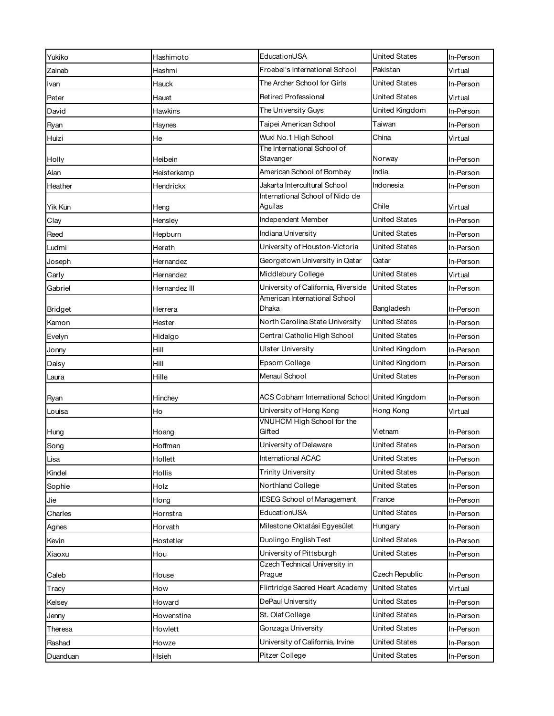| Yukiko   | Hashimoto      | EducationUSA                                                    | United States        | In-Person |
|----------|----------------|-----------------------------------------------------------------|----------------------|-----------|
| Zainab   | Hashmi         | Froebel's International School                                  | Pakistan             | Virtual   |
| Ivan     | Hauck          | The Archer School for Girls                                     | <b>United States</b> | In-Person |
| Peter    | Hauet          | Retired Professional                                            | <b>United States</b> | Virtual   |
| David    | <b>Hawkins</b> | The University Guys                                             | United Kingdom       | In-Person |
| Ryan     | Haynes         | Taipei American School                                          | Taiwan               | In-Person |
| Huizi    | He             | Wuxi No.1 High School                                           | China                | Virtual   |
|          |                | The International School of                                     |                      |           |
| Holly    | Heibein        | Stavanger                                                       | Norway               | In-Person |
| Alan     | Heisterkamp    | American School of Bombay                                       | India                | In-Person |
| Heather  | Hendrickx      | Jakarta Intercultural School<br>International School of Nido de | Indonesia            | In-Person |
| Yik Kun  | Heng           | Aguilas                                                         | Chile                | Virtual   |
| Clay     | Hensley        | Independent Member                                              | United States        | In-Person |
| Reed     | Hepburn        | Indiana University                                              | United States        | In-Person |
| Ludmi    | Herath         | University of Houston-Victoria                                  | <b>United States</b> | In-Person |
| Joseph   | Hernandez      | Georgetown University in Qatar                                  | Qatar                | In-Person |
| Carly    | Hernandez      | Middlebury College                                              | <b>United States</b> | Virtual   |
| Gabriel  | Hernandez III  | University of California, Riverside                             | United States        | In-Person |
|          |                | American International School                                   |                      |           |
| Bridget  | Herrera        | Dhaka                                                           | Bangladesh           | In-Person |
| Kamon    | Hester         | North Carolina State University                                 | <b>United States</b> | In-Person |
| Evelyn   | Hidalgo        | Central Catholic High School                                    | United States        | In-Person |
| Jonny    | Hill           | Ulster University                                               | United Kingdom       | In-Person |
| Daisy    | Hill           | Epsom College                                                   | United Kingdom       | In-Person |
| Laura    | Hille          | Menaul School                                                   | <b>United States</b> | In-Person |
| Ryan     | Hinchey        | ACS Cobham International School United Kingdom                  |                      | In-Person |
| Louisa   | Ho             | University of Hong Kong                                         | Hong Kong            | Virtual   |
| Hung     | Hoang          | VNUHCM High School for the<br>Gifted                            | Vietnam              | In-Person |
| Song     | Hoffman        | University of Delaware                                          | United States        | In-Person |
| Lisa     | Hollett        | International ACAC                                              | <b>United States</b> | In-Person |
| Kindel   | Hollis         | <b>Trinity University</b>                                       | <b>United States</b> | In-Person |
| Sophie   | Holz           | Northland College                                               | United States        | In-Person |
| Jie      | Hong           | <b>IESEG School of Management</b>                               | France               | In-Person |
| Charles  | Hornstra       | EducationUSA                                                    | <b>United States</b> | In-Person |
| Agnes    | Horvath        | Milestone Oktatási Egyesület                                    | Hungary              | In-Person |
| Kevin    | Hostetler      | Duolingo English Test                                           | <b>United States</b> | In-Person |
| Xiaoxu   | Hou            | University of Pittsburgh                                        | United States        | In-Person |
| Caleb    | House          | Czech Technical University in<br>Prague                         | Czech Republic       | In-Person |
| Tracy    | How            | Flintridge Sacred Heart Academy                                 | <b>United States</b> | Virtual   |
| Kelsey   | Howard         | DePaul University                                               | <b>United States</b> | In-Person |
| Jenny    | Howenstine     | St. Olaf College                                                | United States        | In-Person |
| Theresa  | Howlett        | Gonzaga University                                              | United States        | In-Person |
| Rashad   | Howze          | University of California, Irvine                                | United States        | In-Person |
|          |                | Pitzer College                                                  | <b>United States</b> |           |
| Duanduan | Hsieh          |                                                                 |                      | In-Person |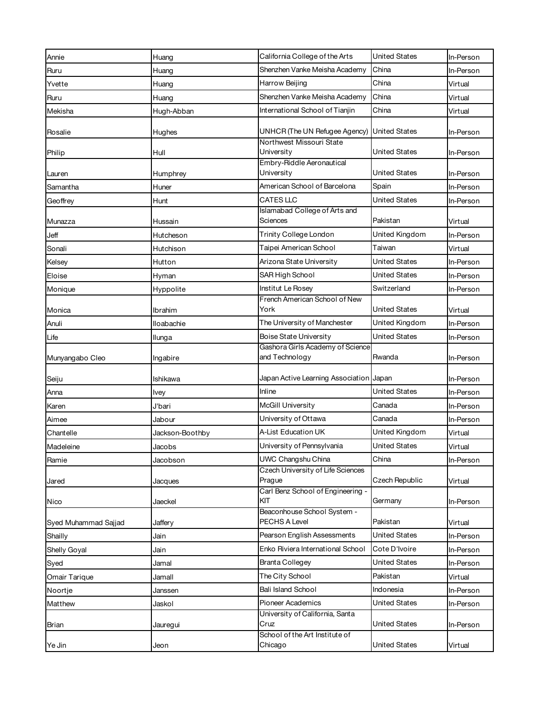| Annie                | Huang              | California College of the Arts                     | <b>United States</b> | In-Person |
|----------------------|--------------------|----------------------------------------------------|----------------------|-----------|
| Ruru                 | Huang              | Shenzhen Vanke Meisha Academy                      | China                | In-Person |
| Yvette               | Huang              | Harrow Beijing                                     | China                | Virtual   |
| Ruru                 | Huang              | Shenzhen Vanke Meisha Academy                      | China                | Virtual   |
| Mekisha              | Hugh-Abban         | International School of Tianjin                    | China                | Virtual   |
| Rosalie              | Hughes             | UNHCR (The UN Refugee Agency)                      | <b>United States</b> | In-Person |
| Philip               | Hull               | Northwest Missouri State<br>University             | United States        | In-Person |
| Lauren               | Humphrey           | Embry-Riddle Aeronautical<br>University            | United States        | In-Person |
| Samantha             | Huner              | American School of Barcelona                       | Spain                | In-Person |
| Geoffrey             | Hunt               | CATES LLC                                          | <b>United States</b> | In-Person |
| Munazza              | Hussain            | Islamabad College of Arts and<br>Sciences          | Pakistan             | Virtual   |
| Jeff                 | Hutcheson          | Trinity College London                             | United Kingdom       | In-Person |
| Sonali               | Hutchison          | Taipei American School                             | Taiwan               | Virtual   |
| Kelsey               | Hutton             | Arizona State University                           | United States        | In-Person |
| Eloise               | Hyman              | SAR High School                                    | <b>United States</b> | In-Person |
| Monique              | Hyppolite          | Institut Le Rosey                                  | Switzerland          | In-Person |
| Monica               | Ibrahim            | French American School of New<br>York              | <b>United States</b> | Virtual   |
| Anuli                | lloabachie         | The University of Manchester                       | United Kingdom       | In-Person |
| Life                 | Ilunga             | Boise State University                             | <b>United States</b> | In-Person |
| Munyangabo Cleo      | Ingabire           | Gashora Girls Academy of Science<br>and Technology | Rwanda               | In-Person |
| Seiju                | Ishikawa           | Japan Active Learning Association Japan            |                      | In-Person |
| Anna                 | Ivey               | Inline                                             | United States        | In-Person |
| Karen                | J'bari             | McGill University                                  | Canada               | In-Person |
| Aimee                | Jabour             | University of Ottawa                               | Canada               | In-Person |
| Chantelle            | Jackson-Boothby    | A-List Education UK                                | United Kingdom       | Virtual   |
| Madeleine            | Jacobs             | University of Pennsylvania                         | <b>United States</b> | Virtual   |
| Ramie                | Jacobson           | UWC Changshu China                                 | China                | In-Person |
|                      |                    | Czech University of Life Sciences<br>Prague        | Czech Republic       | Virtual   |
| Jared<br>Nico        | Jacques<br>Jaeckel | Carl Benz School of Engineering -<br>KIT           | Germany              | In-Person |
| Syed Muhammad Sajjad | Jaffery            | Beaconhouse School System -<br>PECHS A Level       | Pakistan             | Virtual   |
| Shailly              | Jain               | Pearson English Assessments                        | <b>United States</b> | In-Person |
| Shelly Goyal         | Jain               | Enko Riviera International School                  | Cote D'Ivoire        | In-Person |
| Syed                 | Jamal              | <b>Branta Collegey</b>                             | United States        | In-Person |
| Omair Tarique        | Jamall             | The City School                                    | Pakistan             | Virtual   |
| Noortje              | Janssen            | <b>Bali Island School</b>                          | Indonesia            | In-Person |
| Matthew              | Jaskol             | <b>Pioneer Academics</b>                           | United States        | In-Person |
| Brian                | Jauregui           | University of California, Santa<br>Cruz            | United States        | In-Person |
| Ye Jin               | Jeon               | School of the Art Institute of<br>Chicago          | <b>United States</b> | Virtual   |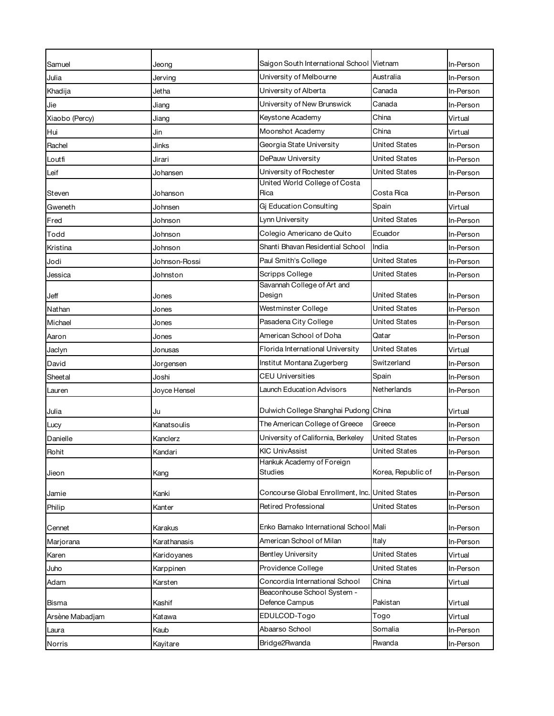| Samuel          | Jeong         | Saigon South International School Vietnam                     |                      | In-Person |
|-----------------|---------------|---------------------------------------------------------------|----------------------|-----------|
| Julia           | Jerving       | University of Melbourne                                       | Australia            | In-Person |
| Khadija         | Jetha         | University of Alberta                                         | Canada               | In-Person |
| Jie             | Jiang         | University of New Brunswick                                   | Canada               | In-Person |
| Xiaobo (Percy)  | Jiang         | Keystone Academy                                              | China                | Virtual   |
| Hui             | Jin           | Moonshot Academy                                              | China                | Virtual   |
| Rachel          | Jinks         | Georgia State University                                      | United States        | In-Person |
| Loutfi          | Jirari        | DePauw University                                             | United States        | In-Person |
| Leif            | Johansen      | University of Rochester                                       | <b>United States</b> | In-Person |
| Steven          | Johanson      | United World College of Costa<br>Rica                         | Costa Rica           | In-Person |
| Gweneth         | Johnsen       | Gi Education Consulting                                       | Spain                | Virtual   |
| Fred            | Johnson       | Lynn University                                               | <b>United States</b> | In-Person |
| Todd            | Johnson       | Colegio Americano de Quito                                    | Ecuador              | In-Person |
| Kristina        | Johnson       | Shanti Bhavan Residential School                              | India                | In-Person |
| Jodi            | Johnson-Rossi | Paul Smith's College                                          | <b>United States</b> | In-Person |
| Jessica         | Johnston      | <b>Scripps College</b>                                        | United States        | In-Person |
|                 |               | Savannah College of Art and                                   |                      |           |
| Jeff            | Jones         | Design                                                        | United States        | In-Person |
| Nathan          | Jones         | Westminster College                                           | <b>United States</b> | In-Person |
| Michael         | Jones         | Pasadena City College                                         | United States        | In-Person |
| Aaron           | Jones         | American School of Doha                                       | Qatar                | In-Person |
| Jaclyn          | Jonusas       | Florida International University                              | <b>United States</b> | Virtual   |
| David           | Jorgensen     | Institut Montana Zugerberg                                    | Switzerland          | In-Person |
| Sheetal         | Joshi         | <b>CEU Universities</b>                                       | Spain                | In-Person |
| Lauren          | Joyce Hensel  | Launch Education Advisors                                     | Netherlands          | In-Person |
| Julia           | Ju            | Dulwich College Shanghai Pudong China                         |                      | Virtual   |
| Lucy            | Kanatsoulis   | The American College of Greece                                | Greece               | In-Person |
| Danielle        | Kanclerz      | University of California, Berkeley                            | United States        | In-Person |
| Rohit           | Kandari       | <b>KIC UnivAssist</b>                                         | United States        | In-Person |
| Jieon           | Kang          | Hankuk Academy of Foreign<br><b>Studies</b>                   | Korea, Republic of   | In-Person |
| Jamie           | Kanki         | Concourse Global Enrollment, Inc. United States               |                      | In-Person |
| Philip          | Kanter        | Retired Professional                                          | <b>United States</b> | In-Person |
|                 |               | Enko Bamako International School Mali                         |                      |           |
| Cennet          | Karakus       | American School of Milan                                      | Italy                | In-Person |
| Marjorana       | Karathanasis  |                                                               | <b>United States</b> | In-Person |
| Karen           | Karidoyanes   | <b>Bentley University</b>                                     | <b>United States</b> | Virtual   |
| Juho            | Karppinen     | Providence College                                            |                      | In-Person |
| Adam            | Karsten       | Concordia International School<br>Beaconhouse School System - | China                | Virtual   |
| Bisma           | Kashif        | Defence Campus                                                | Pakistan             | Virtual   |
| Arsène Mabadjam | Katawa        | EDULCOD-Togo                                                  | Togo                 | Virtual   |
| Laura           | Kaub          | Abaarso School                                                | Somalia              | In-Person |
| Norris          | Kayitare      | Bridge2Rwanda                                                 | Rwanda               | In-Person |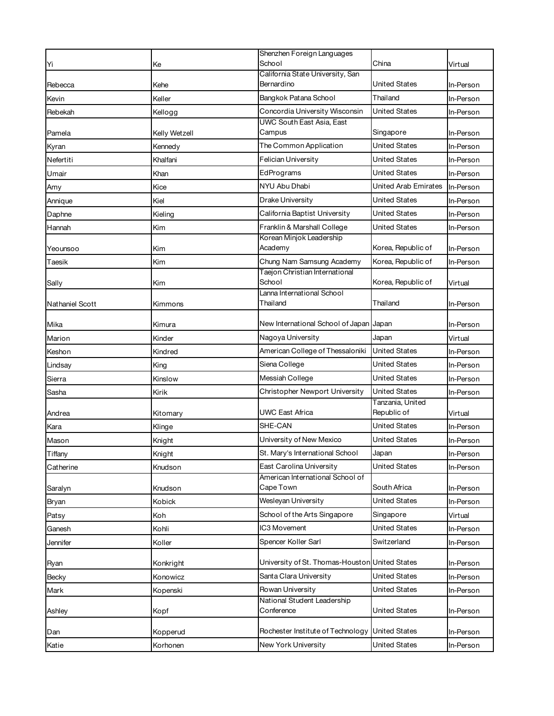|                        |               | Shenzhen Foreign Languages                     |                                 |           |
|------------------------|---------------|------------------------------------------------|---------------------------------|-----------|
| Yi                     | Ke            | School<br>California State University, San     | China                           | Virtual   |
| Rebecca                | Kehe          | Bernardino                                     | United States                   | In-Person |
| Kevin                  | Keller        | Bangkok Patana School                          | Thailand                        | In-Person |
| Rebekah                | Kellogg       | Concordia University Wisconsin                 | <b>United States</b>            | In-Person |
| Pamela                 | Kelly Wetzell | UWC South East Asia, East<br>Campus            | Singapore                       | In-Person |
| Kyran                  | Kennedy       | The Common Application                         | <b>United States</b>            | In-Person |
| Nefertiti              | Khalfani      | Felician University                            | <b>United States</b>            | In-Person |
| Umair                  | Khan          | EdPrograms                                     | United States                   | In-Person |
| Amy                    | Kice          | NYU Abu Dhabi                                  | United Arab Emirates            | In-Person |
| Annique                | Kiel          | Drake University                               | United States                   | In-Person |
| Daphne                 | Kieling       | California Baptist University                  | <b>United States</b>            | In-Person |
| Hannah                 | Kim           | Franklin & Marshall College                    | United States                   | In-Person |
| Yeounsoo               | Kim           | Korean Minjok Leadership<br>Academy            | Korea, Republic of              | In-Person |
| Taesik                 | Kim           | Chung Nam Samsung Academy                      | Korea, Republic of              | In-Person |
| Sally                  | Kim           | Taejon Christian International<br>School       | Korea, Republic of              | Virtual   |
|                        |               | Lanna International School<br>Thailand         | Thailand                        |           |
| <b>Nathaniel Scott</b> | Kimmons       |                                                |                                 | In-Person |
| Mika                   | Kimura        | New International School of Japan Japan        |                                 | In-Person |
| Marion                 | Kinder        | Nagoya University                              | Japan                           | Virtual   |
| Keshon                 | Kindred       | American College of Thessaloniki               | <b>United States</b>            | In-Person |
| Lindsay                | King          | Siena College                                  | United States                   | In-Person |
| Sierra                 | Kinslow       | Messiah College                                | United States                   | In-Person |
| Sasha                  | Kirik         | Christopher Newport University                 | <b>United States</b>            | In-Person |
| Andrea                 | Kitomary      | UWC East Africa                                | Tanzania, United<br>Republic of | Virtual   |
| Kara                   | Klinge        | SHE-CAN                                        | <b>United States</b>            | In-Person |
| Mason                  | Knight        | University of New Mexico                       | United States                   | In-Person |
| Tiffany                | Knight        | St. Mary's International School                | Japan                           | In-Person |
| Catherine              | Knudson       | East Carolina University                       | <b>United States</b>            | In-Person |
| Saralyn                | Knudson       | American International School of<br>Cape Town  | South Africa                    | In-Person |
| Bryan                  | Kobick        | Wesleyan University                            | <b>United States</b>            | In-Person |
| Patsy                  | Koh           | School of the Arts Singapore                   | Singapore                       | Virtual   |
| Ganesh                 | Kohli         | IC3 Movement                                   | <b>United States</b>            | In-Person |
| Jennifer               | Koller        | Spencer Koller Sarl                            | Switzerland                     | In-Person |
| Ryan                   | Konkright     | University of St. Thomas-Houston United States |                                 | In-Person |
| Becky                  | Konowicz      | Santa Clara University                         | <b>United States</b>            | In-Person |
| Mark                   | Kopenski      | Rowan University                               | <b>United States</b>            | In-Person |
| Ashley                 | Kopf          | National Student Leadership<br>Conference      | <b>United States</b>            | In-Person |
| Dan                    | Kopperud      | Rochester Institute of Technology              | <b>United States</b>            | In-Person |
| Katie                  | Korhonen      | New York University                            | <b>United States</b>            | In-Person |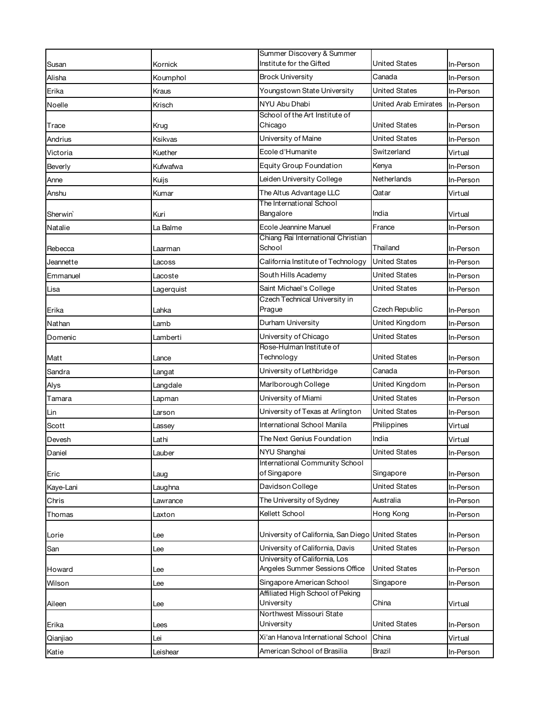|                      |            | Summer Discovery & Summer                                       |                      |           |
|----------------------|------------|-----------------------------------------------------------------|----------------------|-----------|
| Susan                | Kornick    | Institute for the Gifted                                        | United States        | In-Person |
| Alisha               | Koumphol   | <b>Brock University</b>                                         | Canada               | In-Person |
| Erika                | Kraus      | Youngstown State University                                     | United States        | In-Person |
| Noelle               | Krisch     | NYU Abu Dhabi                                                   | United Arab Emirates | In-Person |
| Trace                | Krug       | School of the Art Institute of<br>Chicago                       | United States        | In-Person |
| Andrius              | Ksikvas    | University of Maine                                             | United States        | In-Person |
| Victoria             | Kuether    | Ecole d'Humanite                                                | Switzerland          | Virtual   |
| Beverly              | Kufwafwa   | <b>Equity Group Foundation</b>                                  | Kenya                | In-Person |
| Anne                 | Kuijs      | Leiden University College                                       | Netherlands          | In-Person |
| Anshu                | Kumar      | The Altus Advantage LLC                                         | Qatar                | Virtual   |
| Sherwin <sup>®</sup> | Kuri       | The International School<br>Bangalore                           | India                | Virtual   |
| Natalie              | La Balme   | Ecole Jeannine Manuel                                           | France               | In-Person |
| Rebecca              | Laarman    | Chiang Rai International Christian<br>School                    | Thailand             | In-Person |
| Jeannette            | Lacoss     | California Institute of Technology                              | <b>United States</b> | In-Person |
| Emmanuel             | Lacoste    | South Hills Academy                                             | United States        | In-Person |
| Lisa                 | Lagerquist | Saint Michael's College                                         | United States        | In-Person |
|                      |            | Czech Technical University in                                   |                      |           |
| Erika                | Lahka      | Prague                                                          | Czech Republic       | In-Person |
| Nathan               | Lamb       | Durham University                                               | United Kingdom       | In-Person |
| Domenic              | Lamberti   | University of Chicago                                           | United States        | In-Person |
| Matt                 | Lance      | Rose-Hulman Institute of<br>Technology                          | United States        | In-Person |
| Sandra               | Langat     | University of Lethbridge                                        | Canada               | In-Person |
| Alys                 | Langdale   | Marlborough College                                             | United Kingdom       | In-Person |
| Tamara               | Lapman     | University of Miami                                             | <b>United States</b> | In-Person |
| Lin                  | Larson     | University of Texas at Arlington                                | United States        | In-Person |
| Scott                | Lassey     | International School Manila                                     | Philippines          | Virtual   |
| Devesh               | Lathi      | The Next Genius Foundation                                      | India                | Virtual   |
| Daniel               | Lauber     | NYU Shanghai                                                    | United States        | In-Person |
|                      |            | International Community School                                  |                      |           |
| Eric                 | Laug       | of Singapore                                                    | Singapore            | In-Person |
| Kaye-Lani            | Laughna    | Davidson College                                                | <b>United States</b> | In-Person |
| Chris                | Lawrance   | The University of Sydney                                        | Australia            | In-Person |
| Thomas               | Laxton     | Kellett School                                                  | Hong Kong            | In-Person |
| Lorie                | Lee        | University of California, San Diego United States               |                      | In-Person |
| San                  | Lee        | University of California, Davis                                 | United States        | In-Person |
| Howard               |            | University of California, Los<br>Angeles Summer Sessions Office | <b>United States</b> | In-Person |
| Wilson               | Lee<br>Lee | Singapore American School                                       | Singapore            | In-Person |
|                      |            | Affiliated High School of Peking                                |                      |           |
| Aileen               | Lee        | University<br>Northwest Missouri State                          | China                | Virtual   |
| Erika                | Lees       | University                                                      | <b>United States</b> | In-Person |
| Qianjiao             | Lei        | Xi'an Hanova International School                               | China                | Virtual   |
| Katie                | Leishear   | American School of Brasilia                                     | Brazil               | In-Person |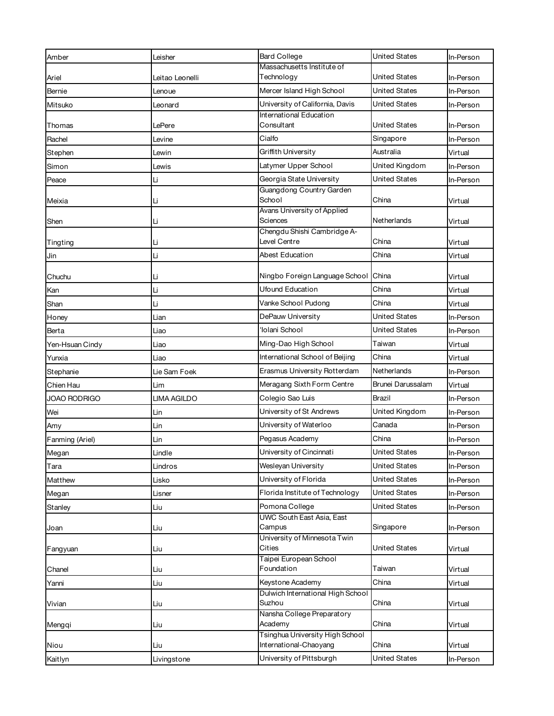| Amber               | Leisher         | <b>Bard College</b>                                        | <b>United States</b> | In-Person |
|---------------------|-----------------|------------------------------------------------------------|----------------------|-----------|
|                     |                 | Massachusetts Institute of                                 |                      |           |
| Ariel               | Leitao Leonelli | Technology                                                 | United States        | In-Person |
| Bernie              | Lenoue          | Mercer Island High School                                  | <b>United States</b> | In-Person |
| Mitsuko             | Leonard         | University of California, Davis<br>International Education | United States        | In-Person |
| Thomas              | LePere          | Consultant                                                 | <b>United States</b> | In-Person |
| Rachel              | Levine          | Cialfo                                                     | Singapore            | In-Person |
| Stephen             | Lewin           | Griffith University                                        | Australia            | Virtual   |
| Simon               | Lewis           | Latymer Upper School                                       | United Kingdom       | In-Person |
| Peace               | Li              | Georgia State University                                   | <b>United States</b> | In-Person |
| Meixia              | Li              | Guangdong Country Garden<br>School                         | China                | Virtual   |
| Shen                | Li              | Avans University of Applied<br>Sciences                    | Netherlands          | Virtual   |
| Tingting            | Li              | Chengdu Shishi Cambridge A-<br>Level Centre                | China                | Virtual   |
| Jin                 | Li              | Abest Education                                            | China                | Virtual   |
| Chuchu              | Li              | Ningbo Foreign Language School China                       |                      | Virtual   |
| Kan                 | Li              | <b>Ufound Education</b>                                    | China                | Virtual   |
| Shan                | Li              | Vanke School Pudong                                        | China                | Virtual   |
| Honey               | Lian            | DePauw University                                          | <b>United States</b> | In-Person |
| Berta               | Liao            | 'Iolani School                                             | <b>United States</b> | In-Person |
| Yen-Hsuan Cindy     | Liao            | Ming-Dao High School                                       | Taiwan               | Virtual   |
| Yunxia              | Liao            | International School of Beijing                            | China                | Virtual   |
| Stephanie           | Lie Sam Foek    | Erasmus University Rotterdam                               | Netherlands          | In-Person |
| Chien Hau           | Lim             | Meragang Sixth Form Centre                                 | Brunei Darussalam    | Virtual   |
| <b>JOAO RODRIGO</b> | LIMA AGILDO     | Colegio Sao Luis                                           | Brazil               | In-Person |
| Wei                 | Lin             | University of St Andrews                                   | United Kingdom       | In-Person |
| Amy                 | Lin             | University of Waterloo                                     | Canada               | In-Person |
| Fanming (Ariel)     | Lin             | Pegasus Academy                                            | China                | In-Person |
| Megan               | Lindle          | University of Cincinnati                                   | <b>United States</b> | In-Person |
| Tara                | Lindros         | Wesleyan University                                        | <b>United States</b> | In-Person |
| Matthew             | Lisko           | University of Florida                                      | <b>United States</b> | In-Person |
| Megan               | Lisner          | Florida Institute of Technology                            | <b>United States</b> | In-Person |
| Stanley             | Liu             | Pomona College                                             | <b>United States</b> | In-Person |
| Joan                | Liu             | <b>UWC South East Asia, East</b><br>Campus                 | Singapore            | In-Person |
| Fangyuan            | Liu             | University of Minnesota Twin<br>Cities                     | <b>United States</b> | Virtual   |
|                     |                 | Taipei European School                                     |                      |           |
| Chanel              | Liu             | Foundation                                                 | Taiwan               | Virtual   |
| Yanni               | Liu             | Keystone Academy<br>Dulwich International High School      | China                | Virtual   |
| Vivian              | Liu             | Suzhou                                                     | China                | Virtual   |
| Mengqi              | Liu             | Nansha College Preparatory<br>Academy                      | China                | Virtual   |
| Niou                | Liu             | Tsinghua University High School<br>International-Chaoyang  | China                | Virtual   |
| Kaitlyn             | Livingstone     | University of Pittsburgh                                   | <b>United States</b> | In-Person |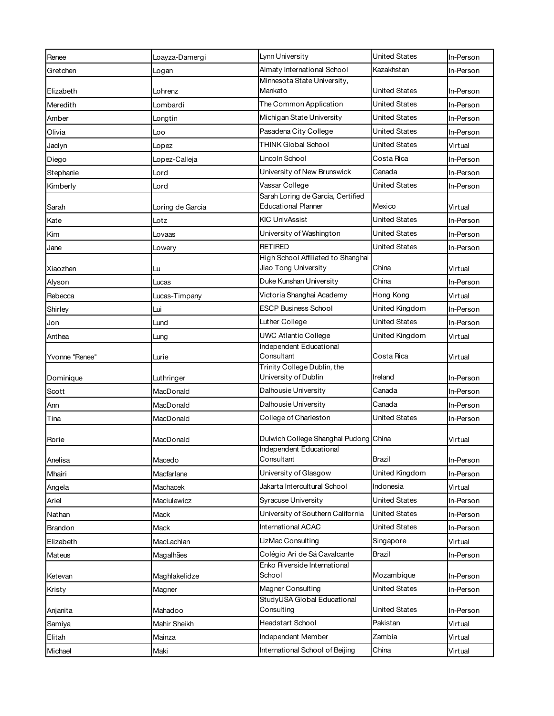| Almaty International School<br>Kazakhstan<br>Gretchen<br>In-Person<br>Logan<br>Minnesota State University,<br>United States<br>Mankato<br>In-Person<br>Elizabeth<br>Lohrenz<br>The Common Application<br>United States<br>Meredith<br>Lombardi<br>In-Person<br>Michigan State University<br>United States<br>Amber<br>In-Person<br>Longtin<br>Pasadena City College<br>United States<br>Olivia<br>In-Person<br>Loo<br>THINK Global School<br><b>United States</b><br>Virtual<br>Jaclyn<br>Lopez<br>Lincoln School<br>Costa Rica<br>Diego<br>Lopez-Calleja<br>In-Person<br>University of New Brunswick<br>Canada<br>Lord<br>In-Person<br>Stephanie<br>Vassar College<br>United States<br>In-Person<br>Kimberly<br>Lord<br>Sarah Loring de Garcia, Certified<br><b>Educational Planner</b><br>Mexico<br>Sarah<br>Loring de Garcia<br>Virtual<br><b>KIC UnivAssist</b><br>United States<br>Kate<br>In-Person<br>Lotz<br>United States<br>University of Washington<br>Kim<br>In-Person<br>Lovaas<br><b>RETIRED</b><br>United States<br>In-Person<br>Jane<br>Lowery<br>High School Affiliated to Shanghai<br>Jiao Tong University<br>China<br>Virtual<br>Xiaozhen<br>Lu<br>Duke Kunshan University<br>China<br>In-Person<br>Alyson<br>Lucas<br>Victoria Shanghai Academy<br>Hong Kong<br>Rebecca<br>Virtual<br>Lucas-Timpany<br><b>ESCP Business School</b><br>United Kingdom<br>Shirley<br>Lui<br>In-Person<br>Luther College<br><b>United States</b><br>In-Person<br>Jon<br>Lund<br><b>UWC Atlantic College</b><br>United Kingdom<br>Anthea<br>Virtual<br>Lung<br>Independent Educational<br>Consultant<br>Costa Rica<br>Yvonne "Renee"<br>Virtual<br>Lurie<br>Trinity College Dublin, the<br>University of Dublin<br>Ireland<br>Luthringer<br>In-Person<br>Dominique |
|--------------------------------------------------------------------------------------------------------------------------------------------------------------------------------------------------------------------------------------------------------------------------------------------------------------------------------------------------------------------------------------------------------------------------------------------------------------------------------------------------------------------------------------------------------------------------------------------------------------------------------------------------------------------------------------------------------------------------------------------------------------------------------------------------------------------------------------------------------------------------------------------------------------------------------------------------------------------------------------------------------------------------------------------------------------------------------------------------------------------------------------------------------------------------------------------------------------------------------------------------------------------------------------------------------------------------------------------------------------------------------------------------------------------------------------------------------------------------------------------------------------------------------------------------------------------------------------------------------------------------------------------------------------------------------------------------------------------------------------------------------------------|
|                                                                                                                                                                                                                                                                                                                                                                                                                                                                                                                                                                                                                                                                                                                                                                                                                                                                                                                                                                                                                                                                                                                                                                                                                                                                                                                                                                                                                                                                                                                                                                                                                                                                                                                                                                    |
|                                                                                                                                                                                                                                                                                                                                                                                                                                                                                                                                                                                                                                                                                                                                                                                                                                                                                                                                                                                                                                                                                                                                                                                                                                                                                                                                                                                                                                                                                                                                                                                                                                                                                                                                                                    |
|                                                                                                                                                                                                                                                                                                                                                                                                                                                                                                                                                                                                                                                                                                                                                                                                                                                                                                                                                                                                                                                                                                                                                                                                                                                                                                                                                                                                                                                                                                                                                                                                                                                                                                                                                                    |
|                                                                                                                                                                                                                                                                                                                                                                                                                                                                                                                                                                                                                                                                                                                                                                                                                                                                                                                                                                                                                                                                                                                                                                                                                                                                                                                                                                                                                                                                                                                                                                                                                                                                                                                                                                    |
|                                                                                                                                                                                                                                                                                                                                                                                                                                                                                                                                                                                                                                                                                                                                                                                                                                                                                                                                                                                                                                                                                                                                                                                                                                                                                                                                                                                                                                                                                                                                                                                                                                                                                                                                                                    |
|                                                                                                                                                                                                                                                                                                                                                                                                                                                                                                                                                                                                                                                                                                                                                                                                                                                                                                                                                                                                                                                                                                                                                                                                                                                                                                                                                                                                                                                                                                                                                                                                                                                                                                                                                                    |
|                                                                                                                                                                                                                                                                                                                                                                                                                                                                                                                                                                                                                                                                                                                                                                                                                                                                                                                                                                                                                                                                                                                                                                                                                                                                                                                                                                                                                                                                                                                                                                                                                                                                                                                                                                    |
|                                                                                                                                                                                                                                                                                                                                                                                                                                                                                                                                                                                                                                                                                                                                                                                                                                                                                                                                                                                                                                                                                                                                                                                                                                                                                                                                                                                                                                                                                                                                                                                                                                                                                                                                                                    |
|                                                                                                                                                                                                                                                                                                                                                                                                                                                                                                                                                                                                                                                                                                                                                                                                                                                                                                                                                                                                                                                                                                                                                                                                                                                                                                                                                                                                                                                                                                                                                                                                                                                                                                                                                                    |
|                                                                                                                                                                                                                                                                                                                                                                                                                                                                                                                                                                                                                                                                                                                                                                                                                                                                                                                                                                                                                                                                                                                                                                                                                                                                                                                                                                                                                                                                                                                                                                                                                                                                                                                                                                    |
|                                                                                                                                                                                                                                                                                                                                                                                                                                                                                                                                                                                                                                                                                                                                                                                                                                                                                                                                                                                                                                                                                                                                                                                                                                                                                                                                                                                                                                                                                                                                                                                                                                                                                                                                                                    |
|                                                                                                                                                                                                                                                                                                                                                                                                                                                                                                                                                                                                                                                                                                                                                                                                                                                                                                                                                                                                                                                                                                                                                                                                                                                                                                                                                                                                                                                                                                                                                                                                                                                                                                                                                                    |
|                                                                                                                                                                                                                                                                                                                                                                                                                                                                                                                                                                                                                                                                                                                                                                                                                                                                                                                                                                                                                                                                                                                                                                                                                                                                                                                                                                                                                                                                                                                                                                                                                                                                                                                                                                    |
|                                                                                                                                                                                                                                                                                                                                                                                                                                                                                                                                                                                                                                                                                                                                                                                                                                                                                                                                                                                                                                                                                                                                                                                                                                                                                                                                                                                                                                                                                                                                                                                                                                                                                                                                                                    |
|                                                                                                                                                                                                                                                                                                                                                                                                                                                                                                                                                                                                                                                                                                                                                                                                                                                                                                                                                                                                                                                                                                                                                                                                                                                                                                                                                                                                                                                                                                                                                                                                                                                                                                                                                                    |
|                                                                                                                                                                                                                                                                                                                                                                                                                                                                                                                                                                                                                                                                                                                                                                                                                                                                                                                                                                                                                                                                                                                                                                                                                                                                                                                                                                                                                                                                                                                                                                                                                                                                                                                                                                    |
|                                                                                                                                                                                                                                                                                                                                                                                                                                                                                                                                                                                                                                                                                                                                                                                                                                                                                                                                                                                                                                                                                                                                                                                                                                                                                                                                                                                                                                                                                                                                                                                                                                                                                                                                                                    |
|                                                                                                                                                                                                                                                                                                                                                                                                                                                                                                                                                                                                                                                                                                                                                                                                                                                                                                                                                                                                                                                                                                                                                                                                                                                                                                                                                                                                                                                                                                                                                                                                                                                                                                                                                                    |
|                                                                                                                                                                                                                                                                                                                                                                                                                                                                                                                                                                                                                                                                                                                                                                                                                                                                                                                                                                                                                                                                                                                                                                                                                                                                                                                                                                                                                                                                                                                                                                                                                                                                                                                                                                    |
|                                                                                                                                                                                                                                                                                                                                                                                                                                                                                                                                                                                                                                                                                                                                                                                                                                                                                                                                                                                                                                                                                                                                                                                                                                                                                                                                                                                                                                                                                                                                                                                                                                                                                                                                                                    |
|                                                                                                                                                                                                                                                                                                                                                                                                                                                                                                                                                                                                                                                                                                                                                                                                                                                                                                                                                                                                                                                                                                                                                                                                                                                                                                                                                                                                                                                                                                                                                                                                                                                                                                                                                                    |
|                                                                                                                                                                                                                                                                                                                                                                                                                                                                                                                                                                                                                                                                                                                                                                                                                                                                                                                                                                                                                                                                                                                                                                                                                                                                                                                                                                                                                                                                                                                                                                                                                                                                                                                                                                    |
|                                                                                                                                                                                                                                                                                                                                                                                                                                                                                                                                                                                                                                                                                                                                                                                                                                                                                                                                                                                                                                                                                                                                                                                                                                                                                                                                                                                                                                                                                                                                                                                                                                                                                                                                                                    |
|                                                                                                                                                                                                                                                                                                                                                                                                                                                                                                                                                                                                                                                                                                                                                                                                                                                                                                                                                                                                                                                                                                                                                                                                                                                                                                                                                                                                                                                                                                                                                                                                                                                                                                                                                                    |
| Dalhousie University                                                                                                                                                                                                                                                                                                                                                                                                                                                                                                                                                                                                                                                                                                                                                                                                                                                                                                                                                                                                                                                                                                                                                                                                                                                                                                                                                                                                                                                                                                                                                                                                                                                                                                                                               |
| Canada<br>MacDonald<br>Scott<br>In-Person                                                                                                                                                                                                                                                                                                                                                                                                                                                                                                                                                                                                                                                                                                                                                                                                                                                                                                                                                                                                                                                                                                                                                                                                                                                                                                                                                                                                                                                                                                                                                                                                                                                                                                                          |
| Dalhousie University<br>Canada<br>Ann<br>MacDonald<br>In-Person                                                                                                                                                                                                                                                                                                                                                                                                                                                                                                                                                                                                                                                                                                                                                                                                                                                                                                                                                                                                                                                                                                                                                                                                                                                                                                                                                                                                                                                                                                                                                                                                                                                                                                    |
| College of Charleston<br>United States<br>Tina<br>MacDonald<br>In-Person                                                                                                                                                                                                                                                                                                                                                                                                                                                                                                                                                                                                                                                                                                                                                                                                                                                                                                                                                                                                                                                                                                                                                                                                                                                                                                                                                                                                                                                                                                                                                                                                                                                                                           |
| Dulwich College Shanghai Pudong China<br>Rorie<br>MacDonald<br>Virtual                                                                                                                                                                                                                                                                                                                                                                                                                                                                                                                                                                                                                                                                                                                                                                                                                                                                                                                                                                                                                                                                                                                                                                                                                                                                                                                                                                                                                                                                                                                                                                                                                                                                                             |
| Independent Educational<br>Consultant                                                                                                                                                                                                                                                                                                                                                                                                                                                                                                                                                                                                                                                                                                                                                                                                                                                                                                                                                                                                                                                                                                                                                                                                                                                                                                                                                                                                                                                                                                                                                                                                                                                                                                                              |
| Brazil<br>Anelisa<br>Macedo<br>In-Person                                                                                                                                                                                                                                                                                                                                                                                                                                                                                                                                                                                                                                                                                                                                                                                                                                                                                                                                                                                                                                                                                                                                                                                                                                                                                                                                                                                                                                                                                                                                                                                                                                                                                                                           |
| University of Glasgow<br>United Kingdom<br>Mhairi<br>Macfarlane<br>In-Person                                                                                                                                                                                                                                                                                                                                                                                                                                                                                                                                                                                                                                                                                                                                                                                                                                                                                                                                                                                                                                                                                                                                                                                                                                                                                                                                                                                                                                                                                                                                                                                                                                                                                       |
| Jakarta Intercultural School<br>Indonesia<br>Machacek<br>Angela<br>Virtual                                                                                                                                                                                                                                                                                                                                                                                                                                                                                                                                                                                                                                                                                                                                                                                                                                                                                                                                                                                                                                                                                                                                                                                                                                                                                                                                                                                                                                                                                                                                                                                                                                                                                         |
| Syracuse University<br>United States<br>Ariel<br>Maciulewicz<br>In-Person                                                                                                                                                                                                                                                                                                                                                                                                                                                                                                                                                                                                                                                                                                                                                                                                                                                                                                                                                                                                                                                                                                                                                                                                                                                                                                                                                                                                                                                                                                                                                                                                                                                                                          |
| University of Southern California<br><b>United States</b><br>Nathan<br>Mack<br>In-Person                                                                                                                                                                                                                                                                                                                                                                                                                                                                                                                                                                                                                                                                                                                                                                                                                                                                                                                                                                                                                                                                                                                                                                                                                                                                                                                                                                                                                                                                                                                                                                                                                                                                           |
| International ACAC<br>United States<br>Mack<br>In-Person<br>Brandon                                                                                                                                                                                                                                                                                                                                                                                                                                                                                                                                                                                                                                                                                                                                                                                                                                                                                                                                                                                                                                                                                                                                                                                                                                                                                                                                                                                                                                                                                                                                                                                                                                                                                                |
| LizMac Consulting<br>Singapore<br>MacLachlan<br>Elizabeth<br>Virtual                                                                                                                                                                                                                                                                                                                                                                                                                                                                                                                                                                                                                                                                                                                                                                                                                                                                                                                                                                                                                                                                                                                                                                                                                                                                                                                                                                                                                                                                                                                                                                                                                                                                                               |
| Colégio Ari de Sá Cavalcante<br>Brazil<br>Magalhães<br>In-Person<br>Mateus                                                                                                                                                                                                                                                                                                                                                                                                                                                                                                                                                                                                                                                                                                                                                                                                                                                                                                                                                                                                                                                                                                                                                                                                                                                                                                                                                                                                                                                                                                                                                                                                                                                                                         |
| Enko Riverside International<br>School<br>Mozambique<br>Maghlakelidze<br>In-Person<br>Ketevan                                                                                                                                                                                                                                                                                                                                                                                                                                                                                                                                                                                                                                                                                                                                                                                                                                                                                                                                                                                                                                                                                                                                                                                                                                                                                                                                                                                                                                                                                                                                                                                                                                                                      |
| Magner Consulting<br>United States                                                                                                                                                                                                                                                                                                                                                                                                                                                                                                                                                                                                                                                                                                                                                                                                                                                                                                                                                                                                                                                                                                                                                                                                                                                                                                                                                                                                                                                                                                                                                                                                                                                                                                                                 |
| Magner<br>In-Person<br>Kristy<br>StudyUSA Global Educational                                                                                                                                                                                                                                                                                                                                                                                                                                                                                                                                                                                                                                                                                                                                                                                                                                                                                                                                                                                                                                                                                                                                                                                                                                                                                                                                                                                                                                                                                                                                                                                                                                                                                                       |
| Consulting<br>United States<br>Mahadoo<br>In-Person<br>Anjanita                                                                                                                                                                                                                                                                                                                                                                                                                                                                                                                                                                                                                                                                                                                                                                                                                                                                                                                                                                                                                                                                                                                                                                                                                                                                                                                                                                                                                                                                                                                                                                                                                                                                                                    |
| Headstart School<br>Pakistan<br>Mahir Sheikh<br>Virtual<br>Samiya                                                                                                                                                                                                                                                                                                                                                                                                                                                                                                                                                                                                                                                                                                                                                                                                                                                                                                                                                                                                                                                                                                                                                                                                                                                                                                                                                                                                                                                                                                                                                                                                                                                                                                  |
| Independent Member<br>Zambia<br>Mainza<br>Virtual<br>Elitah                                                                                                                                                                                                                                                                                                                                                                                                                                                                                                                                                                                                                                                                                                                                                                                                                                                                                                                                                                                                                                                                                                                                                                                                                                                                                                                                                                                                                                                                                                                                                                                                                                                                                                        |
| International School of Beijing<br>China<br>Maki<br>Michael<br>Virtual                                                                                                                                                                                                                                                                                                                                                                                                                                                                                                                                                                                                                                                                                                                                                                                                                                                                                                                                                                                                                                                                                                                                                                                                                                                                                                                                                                                                                                                                                                                                                                                                                                                                                             |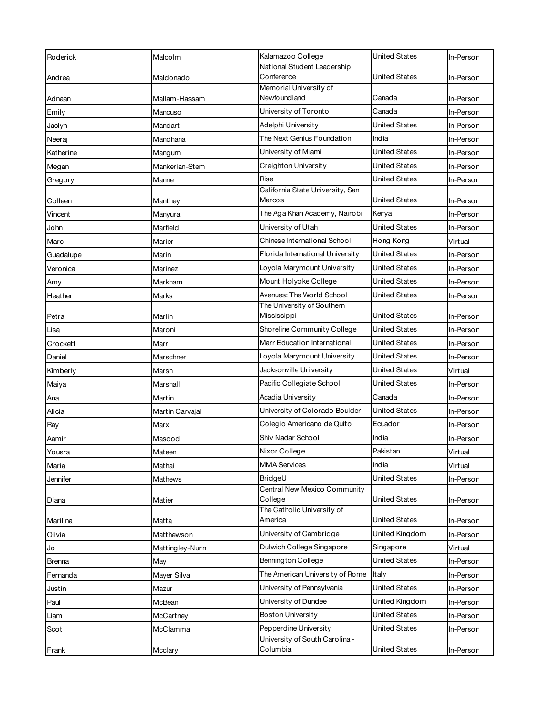| Roderick  | Malcolm         | Kalamazoo College                          | <b>United States</b> | In-Person |
|-----------|-----------------|--------------------------------------------|----------------------|-----------|
|           |                 | National Student Leadership                |                      |           |
| Andrea    | Maldonado       | Conference<br>Memorial University of       | United States        | In-Person |
| Adnaan    | Mallam-Hassam   | Newfoundland                               | Canada               | In-Person |
| Emily     | Mancuso         | University of Toronto                      | Canada               | In-Person |
| Jaclyn    | Mandart         | Adelphi University                         | United States        | In-Person |
| Neeraj    | Mandhana        | The Next Genius Foundation                 | India                | In-Person |
| Katherine | Mangum          | University of Miami                        | United States        | In-Person |
| Megan     | Mankerian-Stem  | Creighton University                       | United States        | In-Person |
| Gregory   | Manne           | Rise                                       | United States        | In-Person |
| Colleen   | Manthey         | California State University, San<br>Marcos | United States        | In-Person |
| Vincent   | Manyura         | The Aga Khan Academy, Nairobi              | Kenya                | In-Person |
| John      | Marfield        | University of Utah                         | United States        | In-Person |
| Marc      | Marier          | Chinese International School               | Hong Kong            | Virtual   |
| Guadalupe | Marin           | Florida International University           | United States        | In-Person |
| Veronica  | Marinez         | Loyola Marymount University                | <b>United States</b> | In-Person |
| Amy       | Markham         | Mount Holyoke College                      | <b>United States</b> | In-Person |
| Heather   | Marks           | Avenues: The World School                  | United States        | In-Person |
| Petra     | Marlin          | The University of Southern<br>Mississippi  | United States        | In-Person |
| Lisa      | Maroni          | Shoreline Community College                | United States        | In-Person |
| Crockett  | Marr            | Marr Education International               | United States        | In-Person |
| Daniel    | Marschner       | Loyola Marymount University                | United States        | In-Person |
| Kimberly  | Marsh           | Jacksonville University                    | United States        | Virtual   |
| Maiya     | Marshall        | Pacific Collegiate School                  | United States        | In-Person |
| Ana       | Martin          | Acadia University                          | Canada               | In-Person |
| Alicia    | Martin Carvajal | University of Colorado Boulder             | <b>United States</b> | In-Person |
| Ray       | Marx            | Colegio Americano de Quito                 | Ecuador              | In-Person |
| Aamir     | Masood          | Shiv Nadar School                          | India                | In-Person |
| Yousra    | Mateen          | Nixor College                              | Pakistan             | Virtual   |
| Maria     | Mathai          | <b>MMA Services</b>                        | India                | Virtual   |
| Jennifer  | Mathews         | BridgeU                                    | <b>United States</b> | In-Person |
| Diana     | Matier          | Central New Mexico Community<br>College    | United States        | In-Person |
| Marilina  | Matta           | The Catholic University of<br>America      | United States        | In-Person |
| Olivia    | Matthewson      | University of Cambridge                    | United Kingdom       | In-Person |
| Jo        | Mattingley-Nunn | Dulwich College Singapore                  | Singapore            | Virtual   |
| Brenna    | May             | Bennington College                         | United States        | In-Person |
| Fernanda  | Mayer Silva     | The American University of Rome            | Italy                | In-Person |
| Justin    | Mazur           | University of Pennsylvania                 | <b>United States</b> | In-Person |
| Paul      | McBean          | University of Dundee                       | United Kingdom       | In-Person |
| Liam      | McCartney       | <b>Boston University</b>                   | United States        | In-Person |
| Scot      | McClamma        | Pepperdine University                      | United States        | In-Person |
| Frank     | Mcclary         | University of South Carolina -<br>Columbia | United States        | In-Person |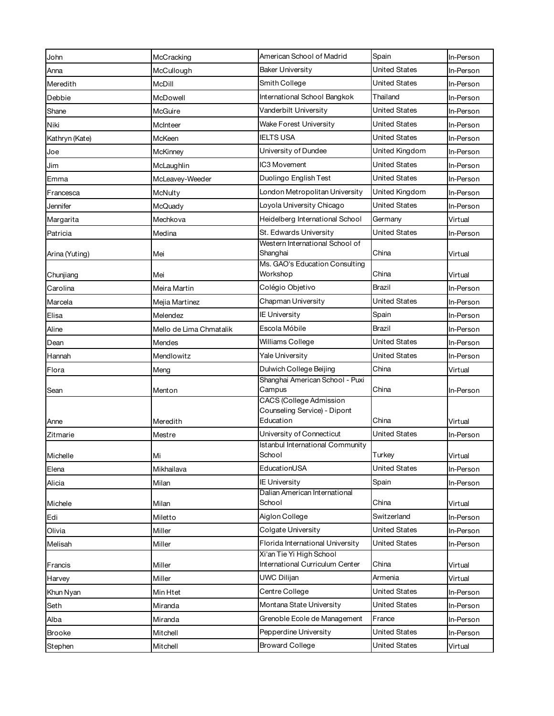| John           | McCracking              | American School of Madrid                                   | Spain                | In-Person |
|----------------|-------------------------|-------------------------------------------------------------|----------------------|-----------|
| Anna           | McCullough              | <b>Baker University</b>                                     | <b>United States</b> | In-Person |
| Meredith       | McDill                  | Smith College                                               | <b>United States</b> | In-Person |
| Debbie         | McDowell                | International School Bangkok                                | Thailand             | In-Person |
| Shane          | McGuire                 | Vanderbilt University                                       | <b>United States</b> | In-Person |
| Niki           | McInteer                | <b>Wake Forest University</b>                               | <b>United States</b> | In-Person |
| Kathryn (Kate) | McKeen                  | <b>IELTS USA</b>                                            | <b>United States</b> | In-Person |
| Joe            | McKinney                | University of Dundee                                        | United Kingdom       | In-Person |
| Jim            | McLaughlin              | IC3 Movement                                                | <b>United States</b> | In-Person |
| Emma           | McLeavey-Weeder         | Duolingo English Test                                       | <b>United States</b> | In-Person |
| Francesca      | McNulty                 | London Metropolitan University                              | United Kingdom       | In-Person |
| Jennifer       | McQuady                 | Loyola University Chicago                                   | <b>United States</b> | In-Person |
| Margarita      | Mechkova                | Heidelberg International School                             | Germany              | Virtual   |
| Patricia       | Medina                  | St. Edwards University                                      | <b>United States</b> | In-Person |
|                |                         | Western International School of                             |                      |           |
| Arina (Yuting) | Mei                     | Shanghai<br>Ms. GAO's Education Consulting                  | China                | Virtual   |
| Chunjiang      | Mei                     | Workshop                                                    | China                | Virtual   |
| Carolina       | Meira Martin            | Colégio Objetivo                                            | Brazil               | In-Person |
| Marcela        | Mejia Martinez          | Chapman University                                          | <b>United States</b> | In-Person |
| Elisa          | Melendez                | <b>IE University</b>                                        | Spain                | In-Person |
| Aline          | Mello de Lima Chmatalik | Escola Móbile                                               | Brazil               | In-Person |
| Dean           | Mendes                  | Williams College                                            | <b>United States</b> | In-Person |
| Hannah         | Mendlowitz              | Yale University                                             | <b>United States</b> | In-Person |
| Flora          | Meng                    | Dulwich College Beijing                                     | China                | Virtual   |
|                |                         | Shanghai American School - Puxi                             |                      |           |
| Sean           | Menton                  | Campus<br><b>CACS</b> (College Admission                    | China                | In-Person |
|                |                         | Counseling Service) - Dipont                                |                      |           |
| Anne           | Meredith                | Education                                                   | China                | Virtual   |
| Zitmarie       | Mestre                  | University of Connecticut                                   | <b>United States</b> | In-Person |
| Michelle       |                         | <b>Istanbul International Community</b><br>School           | Turkey               | Virtual   |
| Elena          | Mi<br>Mikhailava        | EducationUSA                                                | <b>United States</b> | In-Person |
|                | Milan                   | <b>IE University</b>                                        | Spain                |           |
| Alicia         |                         | Dalian American International                               |                      | In-Person |
| Michele        | Milan                   | School                                                      | China                | Virtual   |
| Edi            | Miletto                 | Aiglon College                                              | Switzerland          | In-Person |
| Olivia         | Miller                  | Colgate University                                          | <b>United States</b> | In-Person |
| Melisah        | Miller                  | Florida International University                            | <b>United States</b> | In-Person |
|                |                         | Xi'an Tie Yi High School<br>International Curriculum Center |                      |           |
| Francis        | Miller                  |                                                             | China                | Virtual   |
| Harvey         | Miller                  | <b>UWC Dilijan</b>                                          | Armenia              | Virtual   |
| Khun Nyan      | Min Htet                | Centre College                                              | United States        | In-Person |
| Seth           | Miranda                 | Montana State University                                    | <b>United States</b> | In-Person |
| Alba           | Miranda                 | Grenoble Ecole de Management                                | France               | In-Person |
| Brooke         | Mitchell                | Pepperdine University                                       | <b>United States</b> | In-Person |
| Stephen        | Mitchell                | <b>Broward College</b>                                      | United States        | Virtual   |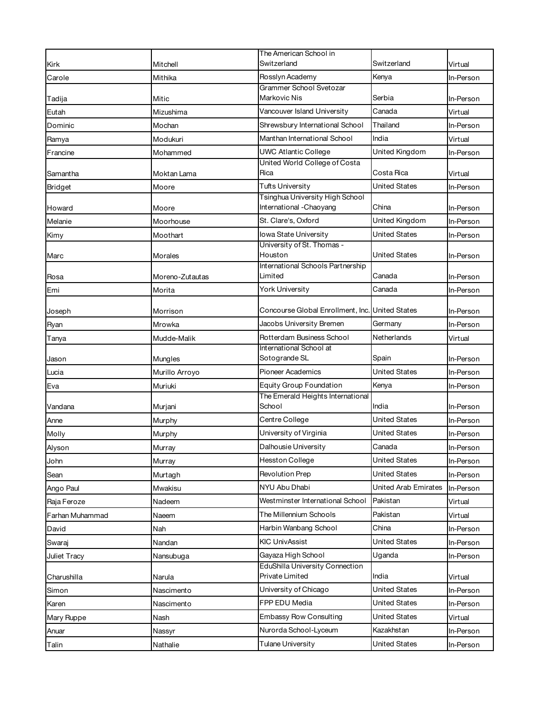|                 |                 | The American School in                                      |                             |           |
|-----------------|-----------------|-------------------------------------------------------------|-----------------------------|-----------|
| Kirk            | Mitchell        | Switzerland                                                 | Switzerland                 | Virtual   |
| Carole          | Mithika         | Rosslyn Academy                                             | Kenya                       | In-Person |
| Tadija          | Mitic           | Grammer School Svetozar<br>Markovic Nis                     | Serbia                      | In-Person |
| Eutah           | Mizushima       | Vancouver Island University                                 | Canada                      | Virtual   |
| Dominic         | Mochan          | Shrewsbury International School                             | Thailand                    | In-Person |
| Ramya           | Modukuri        | Manthan International School                                | India                       | Virtual   |
| Francine        | Mohammed        | UWC Atlantic College                                        | United Kingdom              | In-Person |
| Samantha        | Moktan Lama     | United World College of Costa<br>Rica                       | Costa Rica                  | Virtual   |
| <b>Bridget</b>  | Moore           | <b>Tufts University</b>                                     | <b>United States</b>        | In-Person |
| Howard          | Moore           | Tsinghua University High School<br>International - Chaoyang | China                       | In-Person |
| Melanie         | Moorhouse       | St. Clare's, Oxford                                         | United Kingdom              | In-Person |
| Kimy            | Moothart        | lowa State University                                       | United States               | In-Person |
|                 |                 | University of St. Thomas -                                  |                             |           |
| Marc            | Morales         | Houston                                                     | <b>United States</b>        | In-Person |
| Rosa            | Moreno-Zutautas | International Schools Partnership<br>Limited                | Canada                      | In-Person |
| Emi             | Morita          | York University                                             | Canada                      | In-Person |
| Joseph          | Morrison        | Concourse Global Enrollment, Inc. United States             |                             | In-Person |
| Ryan            | Mrowka          | Jacobs University Bremen                                    | Germany                     | In-Person |
| Tanya           | Mudde-Malik     | Rotterdam Business School                                   | Netherlands                 | Virtual   |
|                 |                 | International School at                                     |                             |           |
| Jason           | Mungles         | Sotogrande SL                                               | Spain                       | In-Person |
| Lucia           | Murillo Arroyo  | <b>Pioneer Academics</b>                                    | <b>United States</b>        | In-Person |
| Eva             | Muriuki         | <b>Equity Group Foundation</b>                              | Kenya                       | In-Person |
| Vandana         | Murjani         | The Emerald Heights International<br>School                 | India                       | In-Person |
| Anne            | Murphy          | Centre College                                              | <b>United States</b>        | In-Person |
| Molly           | Murphy          | University of Virginia                                      | United States               | In-Person |
| Alyson          | Murray          | Dalhousie University                                        | Canada                      | In-Person |
| John            | Murray          | Hesston College                                             | <b>United States</b>        | In-Person |
| Sean            | Murtagh         | <b>Revolution Prep</b>                                      | <b>United States</b>        | In-Person |
| Ango Paul       | Mwakisu         | NYU Abu Dhabi                                               | <b>United Arab Emirates</b> | In-Person |
| Raja Feroze     | Nadeem          | Westminster International School                            | Pakistan                    | Virtual   |
| Farhan Muhammad | Naeem           | The Millennium Schools                                      | Pakistan                    | Virtual   |
| David           | Nah             | Harbin Wanbang School                                       | China                       | In-Person |
| Swaraj          | Nandan          | <b>KIC UnivAssist</b>                                       | <b>United States</b>        | In-Person |
| Juliet Tracy    | Nansubuga       | Gayaza High School                                          | Uganda                      | In-Person |
| Charushilla     | Narula          | <b>EduShilla University Connection</b><br>Private Limited   | India                       | Virtual   |
| Simon           | Nascimento      | University of Chicago                                       | <b>United States</b>        | In-Person |
| Karen           | Nascimento      | FPP EDU Media                                               | <b>United States</b>        | In-Person |
| Mary Ruppe      | Nash            | <b>Embassy Row Consulting</b>                               | <b>United States</b>        | Virtual   |
| Anuar           | Nassyr          | Nurorda School-Lyceum                                       | Kazakhstan                  | In-Person |
| Talin           | Nathalie        | Tulane University                                           | <b>United States</b>        | In-Person |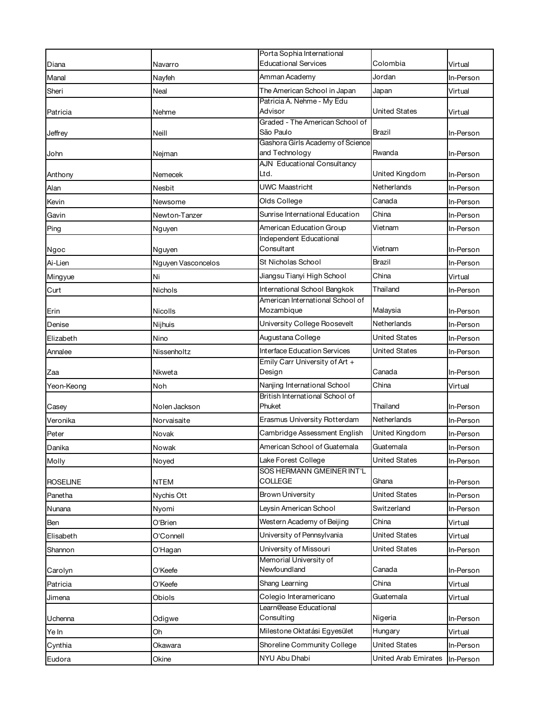| Diana<br>Virtual<br>Navarro<br>Amman Academy<br>Jordan<br>Manal<br>Nayfeh<br>In-Person<br>The American School in Japan<br>Neal<br>Japan<br>Sheri<br>Virtual<br>Patricia A. Nehme - My Edu<br>Advisor<br><b>United States</b><br>Nehme<br>Virtual<br>Patricia<br>Graded - The American School of<br>São Paulo<br>Brazil<br>Neill<br>In-Person<br>Jeffrey<br>Gashora Girls Academy of Science<br>and Technology<br>Rwanda<br>In-Person<br>John<br>Nejman<br><b>AJN Educational Consultancy</b><br>Ltd.<br>United Kingdom<br>Anthony<br>Nemecek<br>In-Person<br><b>UWC Maastricht</b><br>Netherlands<br>Nesbit<br>In-Person<br>Alan<br>Olds College<br>Canada<br>Kevin<br>Newsome<br>In-Person<br>Sunrise International Education<br>China<br>In-Person<br>Gavin<br>Newton-Tanzer<br>American Education Group<br>Vietnam<br>In-Person<br>Nguyen<br>Independent Educational<br>Consultant<br>Vietnam<br>In-Person<br>Nguyen<br>St Nicholas School<br>Brazil<br>In-Person<br>Nguyen Vasconcelos<br>China<br>Jiangsu Tianyi High School<br>Ni<br>Virtual<br>International School Bangkok<br>Thailand<br>Nichols<br>Curt<br>In-Person<br>American International School of<br>Mozambique<br>Malaysia<br>Erin<br>Nicolls<br>In-Person<br>Netherlands<br>University College Roosevelt<br>Denise<br>Nijhuis<br>In-Person<br>Augustana College<br>United States<br>Elizabeth<br>Nino<br>In-Person<br><b>Interface Education Services</b><br><b>United States</b><br>Nissenholtz<br>In-Person<br>Annalee<br>Emily Carr University of Art +<br>Design<br>Canada<br>Nkweta<br>In-Person<br>Zaa<br>Nanjing International School<br>China<br>Noh<br>Virtual<br>Yeon-Keong<br>British International School of<br>Phuket<br>Thailand<br>Nolen Jackson<br>In-Person<br>Casey<br>Erasmus University Rotterdam<br>Netherlands<br>Veronika<br>In-Person<br>Norvaisaite<br>Cambridge Assessment English<br>United Kingdom<br>Peter<br>Novak<br>In-Person<br>American School of Guatemala<br>Guatemala<br>Nowak<br>Danika<br>In-Person<br>Lake Forest College<br><b>United States</b><br>Noyed<br>In-Person<br>SOS HERMANN GMEINER INT'L<br><b>COLLEGE</b><br>Ghana<br><b>NTEM</b><br>In-Person<br>United States<br><b>Brown University</b><br>Nychis Ott<br>Panetha<br>In-Person<br>Leysin American School<br>Switzerland<br>In-Person<br>Nyomi<br>Western Academy of Beijing<br>China<br>O'Brien<br>Virtual<br>University of Pennsylvania<br><b>United States</b><br>O'Connell<br>Virtual<br>Elisabeth<br>University of Missouri<br>United States<br>Shannon<br>O'Hagan<br>In-Person<br>Memorial University of<br>Newfoundland<br>Canada<br>O'Keefe<br>In-Person<br>Carolyn<br>Shang Learning<br>China<br>Virtual<br>O'Keefe<br>Colegio Interamericano<br>Guatemala<br>Obiols<br>Virtual<br>Jimena<br>Learn@ease Educational<br>Consulting<br>Nigeria<br>Odigwe<br>In-Person<br>Uchenna<br>Milestone Oktatási Egyesület<br>Hungary<br>Oh<br>Virtual<br>Ye In<br>Shoreline Community College<br><b>United States</b><br>Cynthia<br>Okawara<br>In-Person<br>NYU Abu Dhabi<br>United Arab Emirates<br>Okine<br>In-Person |                 | Porta Sophia International  |          |  |
|------------------------------------------------------------------------------------------------------------------------------------------------------------------------------------------------------------------------------------------------------------------------------------------------------------------------------------------------------------------------------------------------------------------------------------------------------------------------------------------------------------------------------------------------------------------------------------------------------------------------------------------------------------------------------------------------------------------------------------------------------------------------------------------------------------------------------------------------------------------------------------------------------------------------------------------------------------------------------------------------------------------------------------------------------------------------------------------------------------------------------------------------------------------------------------------------------------------------------------------------------------------------------------------------------------------------------------------------------------------------------------------------------------------------------------------------------------------------------------------------------------------------------------------------------------------------------------------------------------------------------------------------------------------------------------------------------------------------------------------------------------------------------------------------------------------------------------------------------------------------------------------------------------------------------------------------------------------------------------------------------------------------------------------------------------------------------------------------------------------------------------------------------------------------------------------------------------------------------------------------------------------------------------------------------------------------------------------------------------------------------------------------------------------------------------------------------------------------------------------------------------------------------------------------------------------------------------------------------------------------------------------------------------------------------------------------------------------------------------------------------------------------------------------------------------------------------------------------------------------------------------------------------------------------------------------------------------------------------------------------------------------------------------------------------------------------------------------------|-----------------|-----------------------------|----------|--|
|                                                                                                                                                                                                                                                                                                                                                                                                                                                                                                                                                                                                                                                                                                                                                                                                                                                                                                                                                                                                                                                                                                                                                                                                                                                                                                                                                                                                                                                                                                                                                                                                                                                                                                                                                                                                                                                                                                                                                                                                                                                                                                                                                                                                                                                                                                                                                                                                                                                                                                                                                                                                                                                                                                                                                                                                                                                                                                                                                                                                                                                                                                |                 | <b>Educational Services</b> | Colombia |  |
|                                                                                                                                                                                                                                                                                                                                                                                                                                                                                                                                                                                                                                                                                                                                                                                                                                                                                                                                                                                                                                                                                                                                                                                                                                                                                                                                                                                                                                                                                                                                                                                                                                                                                                                                                                                                                                                                                                                                                                                                                                                                                                                                                                                                                                                                                                                                                                                                                                                                                                                                                                                                                                                                                                                                                                                                                                                                                                                                                                                                                                                                                                |                 |                             |          |  |
|                                                                                                                                                                                                                                                                                                                                                                                                                                                                                                                                                                                                                                                                                                                                                                                                                                                                                                                                                                                                                                                                                                                                                                                                                                                                                                                                                                                                                                                                                                                                                                                                                                                                                                                                                                                                                                                                                                                                                                                                                                                                                                                                                                                                                                                                                                                                                                                                                                                                                                                                                                                                                                                                                                                                                                                                                                                                                                                                                                                                                                                                                                |                 |                             |          |  |
|                                                                                                                                                                                                                                                                                                                                                                                                                                                                                                                                                                                                                                                                                                                                                                                                                                                                                                                                                                                                                                                                                                                                                                                                                                                                                                                                                                                                                                                                                                                                                                                                                                                                                                                                                                                                                                                                                                                                                                                                                                                                                                                                                                                                                                                                                                                                                                                                                                                                                                                                                                                                                                                                                                                                                                                                                                                                                                                                                                                                                                                                                                |                 |                             |          |  |
|                                                                                                                                                                                                                                                                                                                                                                                                                                                                                                                                                                                                                                                                                                                                                                                                                                                                                                                                                                                                                                                                                                                                                                                                                                                                                                                                                                                                                                                                                                                                                                                                                                                                                                                                                                                                                                                                                                                                                                                                                                                                                                                                                                                                                                                                                                                                                                                                                                                                                                                                                                                                                                                                                                                                                                                                                                                                                                                                                                                                                                                                                                |                 |                             |          |  |
|                                                                                                                                                                                                                                                                                                                                                                                                                                                                                                                                                                                                                                                                                                                                                                                                                                                                                                                                                                                                                                                                                                                                                                                                                                                                                                                                                                                                                                                                                                                                                                                                                                                                                                                                                                                                                                                                                                                                                                                                                                                                                                                                                                                                                                                                                                                                                                                                                                                                                                                                                                                                                                                                                                                                                                                                                                                                                                                                                                                                                                                                                                |                 |                             |          |  |
|                                                                                                                                                                                                                                                                                                                                                                                                                                                                                                                                                                                                                                                                                                                                                                                                                                                                                                                                                                                                                                                                                                                                                                                                                                                                                                                                                                                                                                                                                                                                                                                                                                                                                                                                                                                                                                                                                                                                                                                                                                                                                                                                                                                                                                                                                                                                                                                                                                                                                                                                                                                                                                                                                                                                                                                                                                                                                                                                                                                                                                                                                                |                 |                             |          |  |
|                                                                                                                                                                                                                                                                                                                                                                                                                                                                                                                                                                                                                                                                                                                                                                                                                                                                                                                                                                                                                                                                                                                                                                                                                                                                                                                                                                                                                                                                                                                                                                                                                                                                                                                                                                                                                                                                                                                                                                                                                                                                                                                                                                                                                                                                                                                                                                                                                                                                                                                                                                                                                                                                                                                                                                                                                                                                                                                                                                                                                                                                                                |                 |                             |          |  |
|                                                                                                                                                                                                                                                                                                                                                                                                                                                                                                                                                                                                                                                                                                                                                                                                                                                                                                                                                                                                                                                                                                                                                                                                                                                                                                                                                                                                                                                                                                                                                                                                                                                                                                                                                                                                                                                                                                                                                                                                                                                                                                                                                                                                                                                                                                                                                                                                                                                                                                                                                                                                                                                                                                                                                                                                                                                                                                                                                                                                                                                                                                |                 |                             |          |  |
|                                                                                                                                                                                                                                                                                                                                                                                                                                                                                                                                                                                                                                                                                                                                                                                                                                                                                                                                                                                                                                                                                                                                                                                                                                                                                                                                                                                                                                                                                                                                                                                                                                                                                                                                                                                                                                                                                                                                                                                                                                                                                                                                                                                                                                                                                                                                                                                                                                                                                                                                                                                                                                                                                                                                                                                                                                                                                                                                                                                                                                                                                                |                 |                             |          |  |
|                                                                                                                                                                                                                                                                                                                                                                                                                                                                                                                                                                                                                                                                                                                                                                                                                                                                                                                                                                                                                                                                                                                                                                                                                                                                                                                                                                                                                                                                                                                                                                                                                                                                                                                                                                                                                                                                                                                                                                                                                                                                                                                                                                                                                                                                                                                                                                                                                                                                                                                                                                                                                                                                                                                                                                                                                                                                                                                                                                                                                                                                                                |                 |                             |          |  |
|                                                                                                                                                                                                                                                                                                                                                                                                                                                                                                                                                                                                                                                                                                                                                                                                                                                                                                                                                                                                                                                                                                                                                                                                                                                                                                                                                                                                                                                                                                                                                                                                                                                                                                                                                                                                                                                                                                                                                                                                                                                                                                                                                                                                                                                                                                                                                                                                                                                                                                                                                                                                                                                                                                                                                                                                                                                                                                                                                                                                                                                                                                |                 |                             |          |  |
|                                                                                                                                                                                                                                                                                                                                                                                                                                                                                                                                                                                                                                                                                                                                                                                                                                                                                                                                                                                                                                                                                                                                                                                                                                                                                                                                                                                                                                                                                                                                                                                                                                                                                                                                                                                                                                                                                                                                                                                                                                                                                                                                                                                                                                                                                                                                                                                                                                                                                                                                                                                                                                                                                                                                                                                                                                                                                                                                                                                                                                                                                                | Ping            |                             |          |  |
|                                                                                                                                                                                                                                                                                                                                                                                                                                                                                                                                                                                                                                                                                                                                                                                                                                                                                                                                                                                                                                                                                                                                                                                                                                                                                                                                                                                                                                                                                                                                                                                                                                                                                                                                                                                                                                                                                                                                                                                                                                                                                                                                                                                                                                                                                                                                                                                                                                                                                                                                                                                                                                                                                                                                                                                                                                                                                                                                                                                                                                                                                                |                 |                             |          |  |
|                                                                                                                                                                                                                                                                                                                                                                                                                                                                                                                                                                                                                                                                                                                                                                                                                                                                                                                                                                                                                                                                                                                                                                                                                                                                                                                                                                                                                                                                                                                                                                                                                                                                                                                                                                                                                                                                                                                                                                                                                                                                                                                                                                                                                                                                                                                                                                                                                                                                                                                                                                                                                                                                                                                                                                                                                                                                                                                                                                                                                                                                                                | Ngoc            |                             |          |  |
|                                                                                                                                                                                                                                                                                                                                                                                                                                                                                                                                                                                                                                                                                                                                                                                                                                                                                                                                                                                                                                                                                                                                                                                                                                                                                                                                                                                                                                                                                                                                                                                                                                                                                                                                                                                                                                                                                                                                                                                                                                                                                                                                                                                                                                                                                                                                                                                                                                                                                                                                                                                                                                                                                                                                                                                                                                                                                                                                                                                                                                                                                                | Ai-Lien         |                             |          |  |
|                                                                                                                                                                                                                                                                                                                                                                                                                                                                                                                                                                                                                                                                                                                                                                                                                                                                                                                                                                                                                                                                                                                                                                                                                                                                                                                                                                                                                                                                                                                                                                                                                                                                                                                                                                                                                                                                                                                                                                                                                                                                                                                                                                                                                                                                                                                                                                                                                                                                                                                                                                                                                                                                                                                                                                                                                                                                                                                                                                                                                                                                                                | Mingyue         |                             |          |  |
|                                                                                                                                                                                                                                                                                                                                                                                                                                                                                                                                                                                                                                                                                                                                                                                                                                                                                                                                                                                                                                                                                                                                                                                                                                                                                                                                                                                                                                                                                                                                                                                                                                                                                                                                                                                                                                                                                                                                                                                                                                                                                                                                                                                                                                                                                                                                                                                                                                                                                                                                                                                                                                                                                                                                                                                                                                                                                                                                                                                                                                                                                                |                 |                             |          |  |
|                                                                                                                                                                                                                                                                                                                                                                                                                                                                                                                                                                                                                                                                                                                                                                                                                                                                                                                                                                                                                                                                                                                                                                                                                                                                                                                                                                                                                                                                                                                                                                                                                                                                                                                                                                                                                                                                                                                                                                                                                                                                                                                                                                                                                                                                                                                                                                                                                                                                                                                                                                                                                                                                                                                                                                                                                                                                                                                                                                                                                                                                                                |                 |                             |          |  |
|                                                                                                                                                                                                                                                                                                                                                                                                                                                                                                                                                                                                                                                                                                                                                                                                                                                                                                                                                                                                                                                                                                                                                                                                                                                                                                                                                                                                                                                                                                                                                                                                                                                                                                                                                                                                                                                                                                                                                                                                                                                                                                                                                                                                                                                                                                                                                                                                                                                                                                                                                                                                                                                                                                                                                                                                                                                                                                                                                                                                                                                                                                |                 |                             |          |  |
|                                                                                                                                                                                                                                                                                                                                                                                                                                                                                                                                                                                                                                                                                                                                                                                                                                                                                                                                                                                                                                                                                                                                                                                                                                                                                                                                                                                                                                                                                                                                                                                                                                                                                                                                                                                                                                                                                                                                                                                                                                                                                                                                                                                                                                                                                                                                                                                                                                                                                                                                                                                                                                                                                                                                                                                                                                                                                                                                                                                                                                                                                                |                 |                             |          |  |
|                                                                                                                                                                                                                                                                                                                                                                                                                                                                                                                                                                                                                                                                                                                                                                                                                                                                                                                                                                                                                                                                                                                                                                                                                                                                                                                                                                                                                                                                                                                                                                                                                                                                                                                                                                                                                                                                                                                                                                                                                                                                                                                                                                                                                                                                                                                                                                                                                                                                                                                                                                                                                                                                                                                                                                                                                                                                                                                                                                                                                                                                                                |                 |                             |          |  |
|                                                                                                                                                                                                                                                                                                                                                                                                                                                                                                                                                                                                                                                                                                                                                                                                                                                                                                                                                                                                                                                                                                                                                                                                                                                                                                                                                                                                                                                                                                                                                                                                                                                                                                                                                                                                                                                                                                                                                                                                                                                                                                                                                                                                                                                                                                                                                                                                                                                                                                                                                                                                                                                                                                                                                                                                                                                                                                                                                                                                                                                                                                |                 |                             |          |  |
|                                                                                                                                                                                                                                                                                                                                                                                                                                                                                                                                                                                                                                                                                                                                                                                                                                                                                                                                                                                                                                                                                                                                                                                                                                                                                                                                                                                                                                                                                                                                                                                                                                                                                                                                                                                                                                                                                                                                                                                                                                                                                                                                                                                                                                                                                                                                                                                                                                                                                                                                                                                                                                                                                                                                                                                                                                                                                                                                                                                                                                                                                                |                 |                             |          |  |
|                                                                                                                                                                                                                                                                                                                                                                                                                                                                                                                                                                                                                                                                                                                                                                                                                                                                                                                                                                                                                                                                                                                                                                                                                                                                                                                                                                                                                                                                                                                                                                                                                                                                                                                                                                                                                                                                                                                                                                                                                                                                                                                                                                                                                                                                                                                                                                                                                                                                                                                                                                                                                                                                                                                                                                                                                                                                                                                                                                                                                                                                                                |                 |                             |          |  |
|                                                                                                                                                                                                                                                                                                                                                                                                                                                                                                                                                                                                                                                                                                                                                                                                                                                                                                                                                                                                                                                                                                                                                                                                                                                                                                                                                                                                                                                                                                                                                                                                                                                                                                                                                                                                                                                                                                                                                                                                                                                                                                                                                                                                                                                                                                                                                                                                                                                                                                                                                                                                                                                                                                                                                                                                                                                                                                                                                                                                                                                                                                |                 |                             |          |  |
|                                                                                                                                                                                                                                                                                                                                                                                                                                                                                                                                                                                                                                                                                                                                                                                                                                                                                                                                                                                                                                                                                                                                                                                                                                                                                                                                                                                                                                                                                                                                                                                                                                                                                                                                                                                                                                                                                                                                                                                                                                                                                                                                                                                                                                                                                                                                                                                                                                                                                                                                                                                                                                                                                                                                                                                                                                                                                                                                                                                                                                                                                                |                 |                             |          |  |
|                                                                                                                                                                                                                                                                                                                                                                                                                                                                                                                                                                                                                                                                                                                                                                                                                                                                                                                                                                                                                                                                                                                                                                                                                                                                                                                                                                                                                                                                                                                                                                                                                                                                                                                                                                                                                                                                                                                                                                                                                                                                                                                                                                                                                                                                                                                                                                                                                                                                                                                                                                                                                                                                                                                                                                                                                                                                                                                                                                                                                                                                                                |                 |                             |          |  |
|                                                                                                                                                                                                                                                                                                                                                                                                                                                                                                                                                                                                                                                                                                                                                                                                                                                                                                                                                                                                                                                                                                                                                                                                                                                                                                                                                                                                                                                                                                                                                                                                                                                                                                                                                                                                                                                                                                                                                                                                                                                                                                                                                                                                                                                                                                                                                                                                                                                                                                                                                                                                                                                                                                                                                                                                                                                                                                                                                                                                                                                                                                |                 |                             |          |  |
|                                                                                                                                                                                                                                                                                                                                                                                                                                                                                                                                                                                                                                                                                                                                                                                                                                                                                                                                                                                                                                                                                                                                                                                                                                                                                                                                                                                                                                                                                                                                                                                                                                                                                                                                                                                                                                                                                                                                                                                                                                                                                                                                                                                                                                                                                                                                                                                                                                                                                                                                                                                                                                                                                                                                                                                                                                                                                                                                                                                                                                                                                                |                 |                             |          |  |
|                                                                                                                                                                                                                                                                                                                                                                                                                                                                                                                                                                                                                                                                                                                                                                                                                                                                                                                                                                                                                                                                                                                                                                                                                                                                                                                                                                                                                                                                                                                                                                                                                                                                                                                                                                                                                                                                                                                                                                                                                                                                                                                                                                                                                                                                                                                                                                                                                                                                                                                                                                                                                                                                                                                                                                                                                                                                                                                                                                                                                                                                                                | Molly           |                             |          |  |
|                                                                                                                                                                                                                                                                                                                                                                                                                                                                                                                                                                                                                                                                                                                                                                                                                                                                                                                                                                                                                                                                                                                                                                                                                                                                                                                                                                                                                                                                                                                                                                                                                                                                                                                                                                                                                                                                                                                                                                                                                                                                                                                                                                                                                                                                                                                                                                                                                                                                                                                                                                                                                                                                                                                                                                                                                                                                                                                                                                                                                                                                                                | <b>ROSELINE</b> |                             |          |  |
|                                                                                                                                                                                                                                                                                                                                                                                                                                                                                                                                                                                                                                                                                                                                                                                                                                                                                                                                                                                                                                                                                                                                                                                                                                                                                                                                                                                                                                                                                                                                                                                                                                                                                                                                                                                                                                                                                                                                                                                                                                                                                                                                                                                                                                                                                                                                                                                                                                                                                                                                                                                                                                                                                                                                                                                                                                                                                                                                                                                                                                                                                                |                 |                             |          |  |
|                                                                                                                                                                                                                                                                                                                                                                                                                                                                                                                                                                                                                                                                                                                                                                                                                                                                                                                                                                                                                                                                                                                                                                                                                                                                                                                                                                                                                                                                                                                                                                                                                                                                                                                                                                                                                                                                                                                                                                                                                                                                                                                                                                                                                                                                                                                                                                                                                                                                                                                                                                                                                                                                                                                                                                                                                                                                                                                                                                                                                                                                                                | Nunana          |                             |          |  |
|                                                                                                                                                                                                                                                                                                                                                                                                                                                                                                                                                                                                                                                                                                                                                                                                                                                                                                                                                                                                                                                                                                                                                                                                                                                                                                                                                                                                                                                                                                                                                                                                                                                                                                                                                                                                                                                                                                                                                                                                                                                                                                                                                                                                                                                                                                                                                                                                                                                                                                                                                                                                                                                                                                                                                                                                                                                                                                                                                                                                                                                                                                | Ben             |                             |          |  |
|                                                                                                                                                                                                                                                                                                                                                                                                                                                                                                                                                                                                                                                                                                                                                                                                                                                                                                                                                                                                                                                                                                                                                                                                                                                                                                                                                                                                                                                                                                                                                                                                                                                                                                                                                                                                                                                                                                                                                                                                                                                                                                                                                                                                                                                                                                                                                                                                                                                                                                                                                                                                                                                                                                                                                                                                                                                                                                                                                                                                                                                                                                |                 |                             |          |  |
|                                                                                                                                                                                                                                                                                                                                                                                                                                                                                                                                                                                                                                                                                                                                                                                                                                                                                                                                                                                                                                                                                                                                                                                                                                                                                                                                                                                                                                                                                                                                                                                                                                                                                                                                                                                                                                                                                                                                                                                                                                                                                                                                                                                                                                                                                                                                                                                                                                                                                                                                                                                                                                                                                                                                                                                                                                                                                                                                                                                                                                                                                                |                 |                             |          |  |
|                                                                                                                                                                                                                                                                                                                                                                                                                                                                                                                                                                                                                                                                                                                                                                                                                                                                                                                                                                                                                                                                                                                                                                                                                                                                                                                                                                                                                                                                                                                                                                                                                                                                                                                                                                                                                                                                                                                                                                                                                                                                                                                                                                                                                                                                                                                                                                                                                                                                                                                                                                                                                                                                                                                                                                                                                                                                                                                                                                                                                                                                                                |                 |                             |          |  |
|                                                                                                                                                                                                                                                                                                                                                                                                                                                                                                                                                                                                                                                                                                                                                                                                                                                                                                                                                                                                                                                                                                                                                                                                                                                                                                                                                                                                                                                                                                                                                                                                                                                                                                                                                                                                                                                                                                                                                                                                                                                                                                                                                                                                                                                                                                                                                                                                                                                                                                                                                                                                                                                                                                                                                                                                                                                                                                                                                                                                                                                                                                |                 |                             |          |  |
|                                                                                                                                                                                                                                                                                                                                                                                                                                                                                                                                                                                                                                                                                                                                                                                                                                                                                                                                                                                                                                                                                                                                                                                                                                                                                                                                                                                                                                                                                                                                                                                                                                                                                                                                                                                                                                                                                                                                                                                                                                                                                                                                                                                                                                                                                                                                                                                                                                                                                                                                                                                                                                                                                                                                                                                                                                                                                                                                                                                                                                                                                                | Patricia        |                             |          |  |
|                                                                                                                                                                                                                                                                                                                                                                                                                                                                                                                                                                                                                                                                                                                                                                                                                                                                                                                                                                                                                                                                                                                                                                                                                                                                                                                                                                                                                                                                                                                                                                                                                                                                                                                                                                                                                                                                                                                                                                                                                                                                                                                                                                                                                                                                                                                                                                                                                                                                                                                                                                                                                                                                                                                                                                                                                                                                                                                                                                                                                                                                                                |                 |                             |          |  |
|                                                                                                                                                                                                                                                                                                                                                                                                                                                                                                                                                                                                                                                                                                                                                                                                                                                                                                                                                                                                                                                                                                                                                                                                                                                                                                                                                                                                                                                                                                                                                                                                                                                                                                                                                                                                                                                                                                                                                                                                                                                                                                                                                                                                                                                                                                                                                                                                                                                                                                                                                                                                                                                                                                                                                                                                                                                                                                                                                                                                                                                                                                |                 |                             |          |  |
|                                                                                                                                                                                                                                                                                                                                                                                                                                                                                                                                                                                                                                                                                                                                                                                                                                                                                                                                                                                                                                                                                                                                                                                                                                                                                                                                                                                                                                                                                                                                                                                                                                                                                                                                                                                                                                                                                                                                                                                                                                                                                                                                                                                                                                                                                                                                                                                                                                                                                                                                                                                                                                                                                                                                                                                                                                                                                                                                                                                                                                                                                                |                 |                             |          |  |
|                                                                                                                                                                                                                                                                                                                                                                                                                                                                                                                                                                                                                                                                                                                                                                                                                                                                                                                                                                                                                                                                                                                                                                                                                                                                                                                                                                                                                                                                                                                                                                                                                                                                                                                                                                                                                                                                                                                                                                                                                                                                                                                                                                                                                                                                                                                                                                                                                                                                                                                                                                                                                                                                                                                                                                                                                                                                                                                                                                                                                                                                                                |                 |                             |          |  |
|                                                                                                                                                                                                                                                                                                                                                                                                                                                                                                                                                                                                                                                                                                                                                                                                                                                                                                                                                                                                                                                                                                                                                                                                                                                                                                                                                                                                                                                                                                                                                                                                                                                                                                                                                                                                                                                                                                                                                                                                                                                                                                                                                                                                                                                                                                                                                                                                                                                                                                                                                                                                                                                                                                                                                                                                                                                                                                                                                                                                                                                                                                | Eudora          |                             |          |  |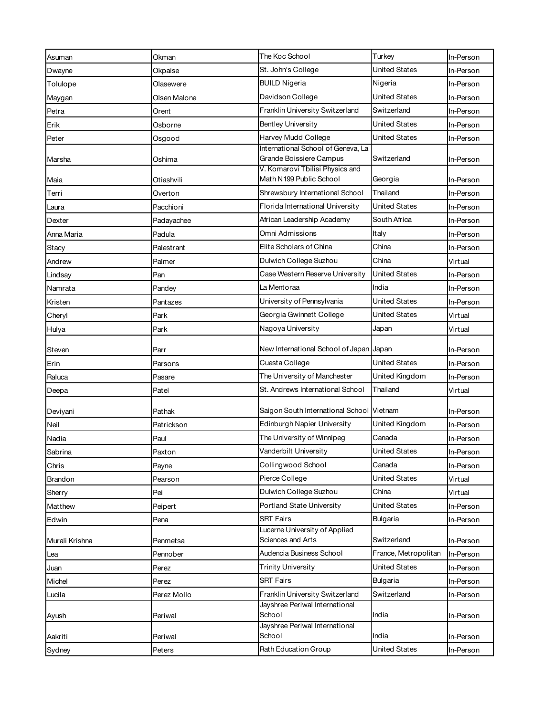| Asuman         | Okman        | The Koc School                                             | Turkey               | In-Person |
|----------------|--------------|------------------------------------------------------------|----------------------|-----------|
| Dwayne         | Okpaise      | St. John's College                                         | <b>United States</b> | In-Person |
| Tolulope       | Olasewere    | <b>BUILD Nigeria</b>                                       | Nigeria              | In-Person |
| Maygan         | Olsen Malone | Davidson College                                           | <b>United States</b> | In-Person |
| Petra          | Orent        | Franklin University Switzerland                            | Switzerland          | In-Person |
| Erik           | Osborne      | <b>Bentley University</b>                                  | <b>United States</b> | In-Person |
| Peter          | Osgood       | Harvey Mudd College                                        | <b>United States</b> | In-Person |
|                |              | International School of Geneva, La                         |                      |           |
| Marsha         | Oshima       | Grande Boissiere Campus<br>V. Komarovi Tbilisi Physics and | Switzerland          | In-Person |
| Maia           | Otiashvili   | Math N199 Public School                                    | Georgia              | In-Person |
| Terri          | Overton      | Shrewsbury International School                            | Thailand             | In-Person |
| Laura          | Pacchioni    | Florida International University                           | United States        | In-Person |
| Dexter         | Padayachee   | African Leadership Academy                                 | South Africa         | In-Person |
| Anna Maria     | Padula       | Omni Admissions                                            | Italy                | In-Person |
| Stacy          | Palestrant   | Elite Scholars of China                                    | China                | In-Person |
| Andrew         | Palmer       | Dulwich College Suzhou                                     | China                | Virtual   |
| Lindsay        | Pan          | Case Western Reserve University                            | <b>United States</b> | In-Person |
| Namrata        | Pandey       | La Mentoraa                                                | India                | In-Person |
| Kristen        | Pantazes     | University of Pennsylvania                                 | United States        | In-Person |
| Cheryl         | Park         | Georgia Gwinnett College                                   | United States        | Virtual   |
| Hulya          | Park         | Nagoya University                                          | Japan                | Virtual   |
| Steven         | Parr         | New International School of Japan Japan                    |                      | In-Person |
| Erin           | Parsons      | Cuesta College                                             | <b>United States</b> | In-Person |
| Raluca         | Pasare       | The University of Manchester                               | United Kingdom       | In-Person |
| Deepa          | Patel        | St. Andrews International School                           | Thailand             | Virtual   |
| Deviyani       | Pathak       | Saigon South International School Vietnam                  |                      | In-Person |
| Neil           | Patrickson   | Edinburgh Napier University                                | United Kingdom       | In-Person |
| Nadia          | Paul         | The University of Winnipeg                                 | Canada               | In-Person |
| Sabrina        | Paxton       | Vanderbilt University                                      | <b>United States</b> | In-Person |
| Chris          | Payne        | Collingwood School                                         | Canada               | In-Person |
| Brandon        | Pearson      | Pierce College                                             | United States        | Virtual   |
| Sherry         | Pei          | Dulwich College Suzhou                                     | China                | Virtual   |
| Matthew        | Peipert      | Portland State University                                  | United States        | In-Person |
| Edwin          | Pena         | <b>SRT Fairs</b>                                           | Bulgaria             | In-Person |
| Murali Krishna | Penmetsa     | Lucerne University of Applied<br>Sciences and Arts         | Switzerland          | In-Person |
| Lea            | Pennober     | Audencia Business School                                   | France, Metropolitan | In-Person |
| Juan           | Perez        | <b>Trinity University</b>                                  | <b>United States</b> | In-Person |
| Michel         | Perez        | <b>SRT Fairs</b>                                           | Bulgaria             | In-Person |
| Lucila         | Perez Mollo  | Franklin University Switzerland                            | Switzerland          | In-Person |
|                |              | Jayshree Periwal International                             |                      |           |
| Ayush          | Periwal      | School                                                     | India                | In-Person |
| Aakriti        | Periwal      | Jayshree Periwal International<br>School                   | India                | In-Person |
| Sydney         | Peters       | Rath Education Group                                       | <b>United States</b> | In-Person |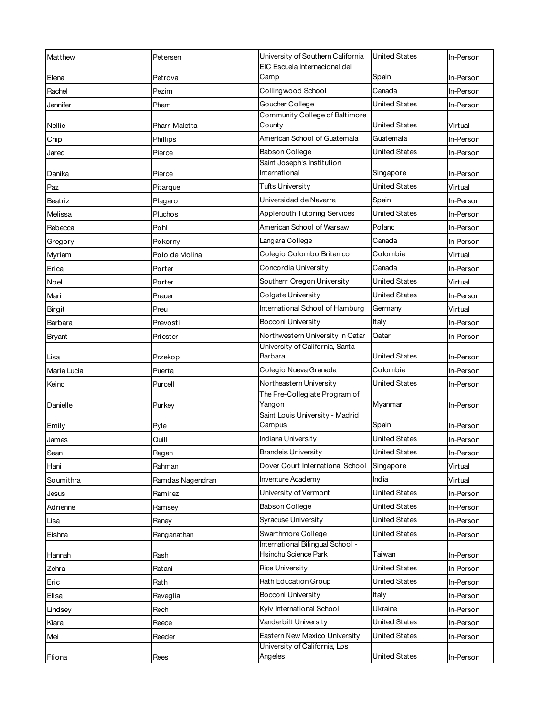| Matthew       | Petersen         | University of Southern California           | <b>United States</b> | In-Person |
|---------------|------------------|---------------------------------------------|----------------------|-----------|
|               |                  | EIC Escuela Internacional del               |                      |           |
| Elena         | Petrova          | Camp                                        | Spain                | In-Person |
| Rachel        | Pezim            | Collingwood School                          | Canada               | In-Person |
| Jennifer      | Pham             | Goucher College                             | United States        | In-Person |
| Nellie        | Pharr-Maletta    | Community College of Baltimore<br>County    | United States        | Virtual   |
| Chip          | Phillips         | American School of Guatemala                | Guatemala            | In-Person |
| Jared         | Pierce           | Babson College                              | United States        | In-Person |
| Danika        | Pierce           | Saint Joseph's Institution<br>International | Singapore            | In-Person |
| Paz           | Pitarque         | <b>Tufts University</b>                     | United States        | Virtual   |
| Beatriz       | Plagaro          | Universidad de Navarra                      | Spain                | In-Person |
| Melissa       | Pluchos          | Applerouth Tutoring Services                | <b>United States</b> | In-Person |
| Rebecca       | Pohl             | American School of Warsaw                   | Poland               | In-Person |
| Gregory       | Pokorny          | Langara College                             | Canada               | In-Person |
| Myriam        | Polo de Molina   | Colegio Colombo Britanico                   | Colombia             | Virtual   |
| Erica         | Porter           | Concordia University                        | Canada               | In-Person |
| Noel          | Porter           | Southern Oregon University                  | United States        | Virtual   |
| Mari          | Prauer           | Colgate University                          | United States        | In-Person |
| Birgit        | Preu             | International School of Hamburg             | Germany              | Virtual   |
| Barbara       | Prevosti         | Bocconi University                          | Italy                | In-Person |
| <b>Bryant</b> | Priester         | Northwestern University in Qatar            | Qatar                | In-Person |
|               |                  | University of California, Santa             |                      |           |
| Lisa          | Przekop          | Barbara                                     | United States        | In-Person |
| Maria Lucia   | Puerta           | Colegio Nueva Granada                       | Colombia             | In-Person |
| Keino         | Purcell          | Northeastern University                     | United States        | In-Person |
|               |                  | The Pre-Collegiate Program of               |                      |           |
| Danielle      | Purkey           | Yangon<br>Saint Louis University - Madrid   | Myanmar              | In-Person |
| Emily         | Pyle             | Campus                                      | Spain                | In-Person |
| James         | Quill            | Indiana University                          | <b>United States</b> | In-Person |
| Sean          | Ragan            | <b>Brandeis University</b>                  | <b>United States</b> | In-Person |
| Hani          | Rahman           | Dover Court International School            | Singapore            | Virtual   |
| Soumithra     | Ramdas Nagendran | Inventure Academy                           | India                | Virtual   |
| Jesus         | Ramirez          | University of Vermont                       | United States        | In-Person |
| Adrienne      | Ramsey           | Babson College                              | United States        | In-Person |
| Lisa          | Raney            | Syracuse University                         | United States        | In-Person |
| Eishna        | Ranganathan      | Swarthmore College                          | United States        | In-Person |
|               |                  | International Bilingual School -            |                      |           |
| Hannah        | Rash             | Hsinchu Science Park                        | Taiwan               | In-Person |
| Zehra         | Ratani           | <b>Rice University</b>                      | United States        | In-Person |
| Eric          | Rath             | Rath Education Group                        | United States        | In-Person |
| Elisa         | Raveglia         | Bocconi University                          | Italy                | In-Person |
| Lindsey       | Rech             | Kyiv International School                   | Ukraine              | In-Person |
| Kiara         | Reece            | Vanderbilt University                       | United States        | In-Person |
| Mei           | Reeder           | Eastern New Mexico University               | United States        | In-Person |
| Ffiona        | Rees             | University of California, Los<br>Angeles    | <b>United States</b> | In-Person |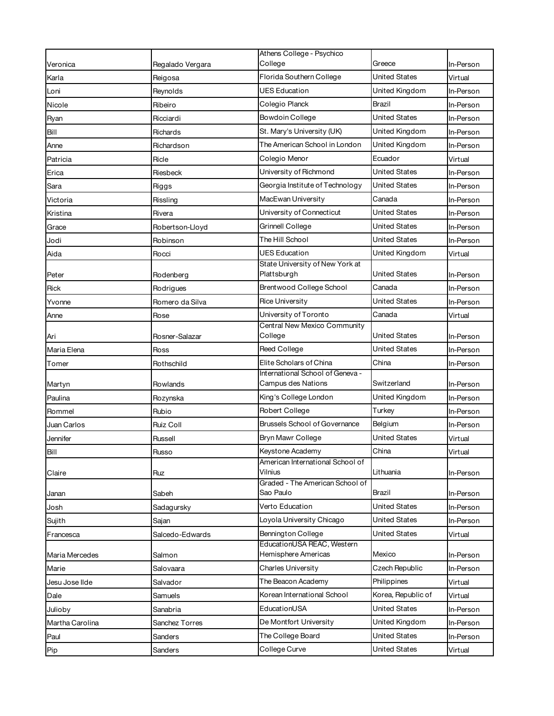|                 |                       | Athens College - Psychico                            |                      |           |
|-----------------|-----------------------|------------------------------------------------------|----------------------|-----------|
| Veronica        | Regalado Vergara      | College                                              | Greece               | In-Person |
| Karla           | Reigosa               | Florida Southern College                             | United States        | Virtual   |
| Loni            | Reynolds              | <b>UES Education</b>                                 | United Kingdom       | In-Person |
| Nicole          | Ribeiro               | Colegio Planck                                       | Brazil               | In-Person |
| Ryan            | Ricciardi             | Bowdoin College                                      | United States        | In-Person |
| Bill            | Richards              | St. Mary's University (UK)                           | United Kingdom       | In-Person |
| Anne            | Richardson            | The American School in London                        | United Kingdom       | In-Person |
| Patricia        | Ricle                 | Colegio Menor                                        | Ecuador              | Virtual   |
| Erica           | Riesbeck              | University of Richmond                               | United States        | In-Person |
| Sara            | Riggs                 | Georgia Institute of Technology                      | United States        | In-Person |
| Victoria        | Rissling              | MacEwan University                                   | Canada               | In-Person |
| Kristina        | Rivera                | University of Connecticut                            | United States        | In-Person |
| Grace           | Robertson-Lloyd       | Grinnell College                                     | United States        | In-Person |
| Jodi            | Robinson              | The Hill School                                      | United States        | In-Person |
| Aida            | Rocci                 | <b>UES Education</b>                                 | United Kingdom       | Virtual   |
| Peter           | Rodenberg             | State University of New York at<br>Plattsburgh       | United States        | In-Person |
| Rick            | Rodrigues             | Brentwood College School                             | Canada               | In-Person |
| Yvonne          | Romero da Silva       | <b>Rice University</b>                               | United States        | In-Person |
| Anne            | Rose                  | University of Toronto                                | Canada               | Virtual   |
| Ari             | Rosner-Salazar        | Central New Mexico Community<br>College              | United States        | In-Person |
| Maria Elena     | Ross                  | Reed College                                         | United States        | In-Person |
| Tomer           | Rothschild            | Elite Scholars of China                              | China                | In-Person |
|                 |                       | International School of Geneva -                     |                      |           |
| Martyn          | Rowlands              | Campus des Nations                                   | Switzerland          | In-Person |
| Paulina         | Rozynska              | King's College London                                | United Kingdom       | In-Person |
| Rommel          | Rubio                 | Robert College                                       | Turkey               | In-Person |
| Juan Carlos     | Ruiz Coll             | <b>Brussels School of Governance</b>                 | Belgium              | In-Person |
| Jennifer        | Russell               | Bryn Mawr College                                    | United States        | Virtual   |
| Bill            | Russo                 | Keystone Academy<br>American International School of | China                | Virtual   |
| Claire          | Ruz                   | Vilnius                                              | Lithuania            | In-Person |
| Janan           | Sabeh                 | Graded - The American School of<br>Sao Paulo         | Brazil               | In-Person |
| Josh            | Sadagursky            | Verto Education                                      | <b>United States</b> | In-Person |
| Sujith          | Sajan                 | Loyola University Chicago                            | United States        | In-Person |
| Francesca       | Salcedo-Edwards       | <b>Bennington College</b>                            | <b>United States</b> | Virtual   |
| Maria Mercedes  | Salmon                | EducationUSA REAC, Western<br>Hemisphere Americas    | Mexico               | In-Person |
| Marie           | Salovaara             | Charles University                                   | Czech Republic       | In-Person |
| Jesu Jose Ilde  | Salvador              | The Beacon Academy                                   | Philippines          | Virtual   |
| Dale            | Samuels               | Korean International School                          | Korea, Republic of   | Virtual   |
| Julioby         | Sanabria              | EducationUSA                                         | United States        | In-Person |
| Martha Carolina | <b>Sanchez Torres</b> | De Montfort University                               | United Kingdom       | In-Person |
| Paul            | Sanders               | The College Board                                    | United States        | In-Person |
| Pip             | Sanders               | College Curve                                        | United States        | Virtual   |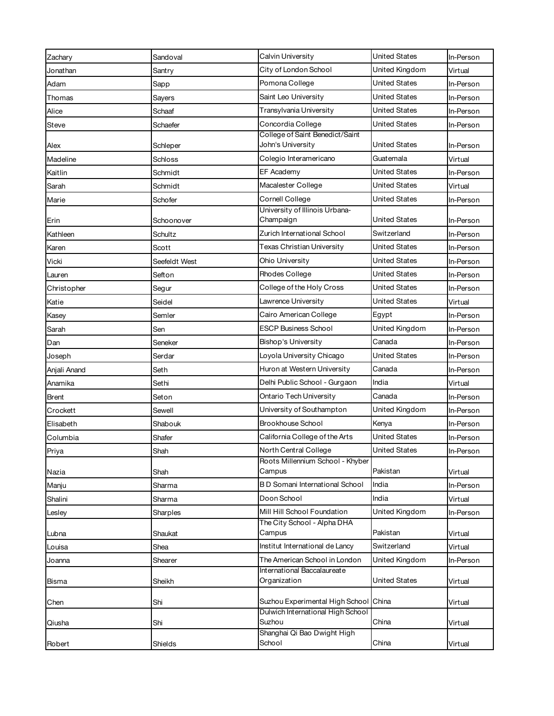| Zachary      | Sandoval      | Calvin University                                            | <b>United States</b> | In-Person |
|--------------|---------------|--------------------------------------------------------------|----------------------|-----------|
| Jonathan     | Santry        | City of London School                                        | United Kingdom       | Virtual   |
| Adam         | Sapp          | Pomona College                                               | United States        | In-Person |
| Thomas       | Sayers        | Saint Leo University                                         | <b>United States</b> | In-Person |
| Alice        | Schaaf        | Transylvania University                                      | <b>United States</b> | In-Person |
| Steve        | Schaefer      | Concordia College                                            | <b>United States</b> | In-Person |
|              |               | College of Saint Benedict/Saint                              |                      |           |
| Alex         | Schleper      | John's University                                            | United States        | In-Person |
| Madeline     | Schloss       | Colegio Interamericano                                       | Guatemala            | Virtual   |
| Kaitlin      | Schmidt       | EF Academy                                                   | United States        | In-Person |
| Sarah        | Schmidt       | Macalester College                                           | United States        | Virtual   |
| Marie        | Schofer       | Cornell College<br>University of Illinois Urbana-            | United States        | In-Person |
| Erin         | Schoonover    | Champaign                                                    | <b>United States</b> | In-Person |
| Kathleen     | Schultz       | Zurich International School                                  | Switzerland          | In-Person |
| Karen        | Scott         | Texas Christian University                                   | <b>United States</b> | In-Person |
| Vicki        | Seefeldt West | Ohio University                                              | United States        | In-Person |
| Lauren       | Sefton        | Rhodes College                                               | <b>United States</b> | In-Person |
| Christopher  | Segur         | College of the Holy Cross                                    | United States        | In-Person |
| Katie        | Seidel        | Lawrence University                                          | <b>United States</b> | Virtual   |
| Kasey        | Semler        | Cairo American College                                       | Egypt                | In-Person |
| Sarah        | Sen           | <b>ESCP Business School</b>                                  | United Kingdom       | In-Person |
| Dan          | Seneker       | <b>Bishop's University</b>                                   | Canada               | In-Person |
| Joseph       | Serdar        | Loyola University Chicago                                    | <b>United States</b> | In-Person |
| Anjali Anand | Seth          | Huron at Western University                                  | Canada               | In-Person |
| Anamika      | Sethi         | Delhi Public School - Gurgaon                                | India                | Virtual   |
| Brent        | Seton         | Ontario Tech University                                      | Canada               | In-Person |
| Crockett     | Sewell        | University of Southampton                                    | United Kingdom       | In-Person |
| Elisabeth    | Shabouk       | Brookhouse School                                            | Kenya                | In-Person |
| Columbia     | Shafer        | California College of the Arts                               | <b>United States</b> | In-Person |
| Priya        | Shah          | North Central College                                        | United States        | In-Person |
| Nazia        | Shah          | Roots Millennium School - Khyber<br>Campus                   | Pakistan             | Virtual   |
| Manju        | Sharma        | <b>BD</b> Somani International School                        | India                | In-Person |
| Shalini      | Sharma        | Doon School                                                  | India                | Virtual   |
| Lesley       | Sharples      | Mill Hill School Foundation                                  | United Kingdom       | In-Person |
|              |               | The City School - Alpha DHA                                  |                      |           |
| Lubna        | Shaukat       | Campus                                                       | Pakistan             | Virtual   |
| Louisa       | Shea          | Institut International de Lancy                              | Switzerland          | Virtual   |
| Joanna       | Shearer       | The American School in London<br>International Baccalaureate | United Kingdom       | In-Person |
| Bisma        | Sheikh        | Organization                                                 | <b>United States</b> | Virtual   |
| Chen         | Shi           | Suzhou Experimental High School China                        |                      | Virtual   |
| Qiusha       | Shi           | Dulwich International High School<br>Suzhou                  | China                | Virtual   |
| Robert       | Shields       | Shanghai Qi Bao Dwight High<br>School                        | China                | Virtual   |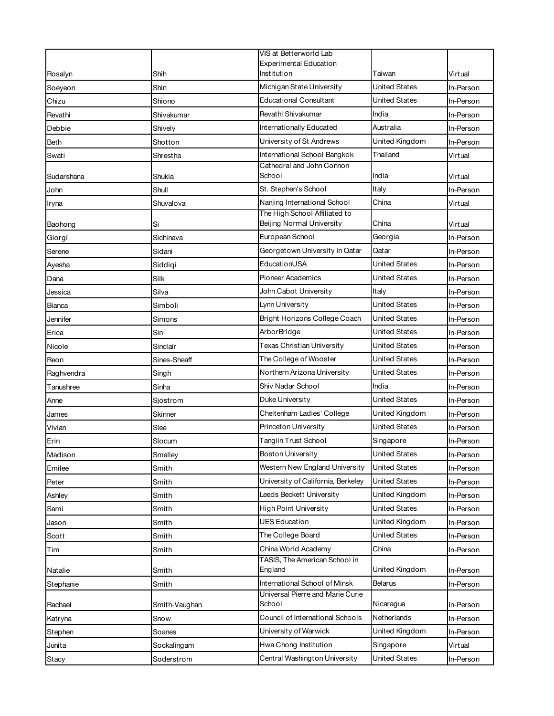|            |               | VIS at Betterworld Lab                                     |                      |           |
|------------|---------------|------------------------------------------------------------|----------------------|-----------|
|            |               | <b>Experimental Education</b><br>Institution               | Taiwan               | Virtual   |
| Rosalyn    | Shih          | Michigan State University                                  | United States        |           |
| Soeyeon    | Shin          | <b>Educational Consultant</b>                              | United States        | In-Person |
| Chizu      | Shiono        | Revathi Shivakumar                                         | India                | In-Person |
| Revathi    | Shivakumar    |                                                            | Australia            | In-Person |
| Debbie     | Shively       | Internationally Educated                                   |                      | In-Person |
| Beth       | Shotton       | University of St Andrews                                   | United Kingdom       | In-Person |
| Swati      | Shrestha      | International School Bangkok<br>Cathedral and John Connon  | Thailand             | Virtual   |
| Sudarshana | Shukla        | School                                                     | India                | Virtual   |
| John       | Shull         | St. Stephen's School                                       | Italy                | In-Person |
| Iryna      | Shuvalova     | Nanjing International School                               | China                | Virtual   |
| Baohong    | Si            | The High School Affiliated to<br>Beijing Normal University | China                | Virtual   |
| Giorgi     | Sichinava     | European School                                            | Georgia              | In-Person |
| Serene     | Sidani        | Georgetown University in Qatar                             | Qatar                | In-Person |
| Ayesha     | Siddigi       | EducationUSA                                               | <b>United States</b> | In-Person |
| Dana       | Silk          | <b>Pioneer Academics</b>                                   | United States        | In-Person |
| Jessica    | Silva         | John Cabot University                                      | Italy                | In-Person |
| Bianca     | Simboli       | Lynn University                                            | United States        | In-Person |
| Jennifer   | Simons        | Bright Horizons College Coach                              | United States        | In-Person |
| Erica      | Sin           | ArborBridge                                                | United States        | In-Person |
| Nicole     | Sinclair      | Texas Christian University                                 | United States        | In-Person |
| Reon       | Sines-Sheaff  | The College of Wooster                                     | United States        | In-Person |
| Raghvendra | Singh         | Northern Arizona University                                | United States        | In-Person |
| Tanushree  | Sinha         | Shiv Nadar School                                          | India                | In-Person |
| Anne       | Sjostrom      | Duke University                                            | United States        | In-Person |
| James      | Skinner       | Cheltenham Ladies' College                                 | United Kingdom       | In-Person |
| Vivian     | Slee          | Princeton University                                       | <b>United States</b> | In-Person |
| Erin       | Slocum        | Tanglin Trust School                                       | Singapore            | In-Person |
| Madison    | Smalley       | <b>Boston University</b>                                   | <b>United States</b> | In-Person |
| Emilee     | Smith         | Western New England University                             | United States        | In-Person |
| Peter      | Smith         | University of California, Berkeley                         | <b>United States</b> | In-Person |
| Ashley     | Smith         | Leeds Beckett University                                   | United Kingdom       | In-Person |
| Sami       | Smith         | <b>High Point University</b>                               | <b>United States</b> | In-Person |
| Jason      | Smith         | <b>UES Education</b>                                       | United Kingdom       | In-Person |
| Scott      | Smith         | The College Board                                          | <b>United States</b> | In-Person |
| Tim        | Smith         | China World Academy                                        | China                | In-Person |
|            |               | TASIS, The American School in<br>England                   | United Kingdom       |           |
| Natalie    | Smith         | International School of Minsk                              | Belarus              | In-Person |
| Stephanie  | Smith         | Universal Pierre and Marie Curie                           |                      | In-Person |
| Rachael    | Smith-Vaughan | School                                                     | Nicaragua            | In-Person |
| Katryna    | Snow          | Council of International Schools                           | Netherlands          | In-Person |
| Stephen    | Soanes        | University of Warwick                                      | United Kingdom       | In-Person |
| Junita     | Sockalingam   | Hwa Chong Institution                                      | Singapore            | Virtual   |
| Stacy      | Soderstrom    | Central Washington University                              | <b>United States</b> | In-Person |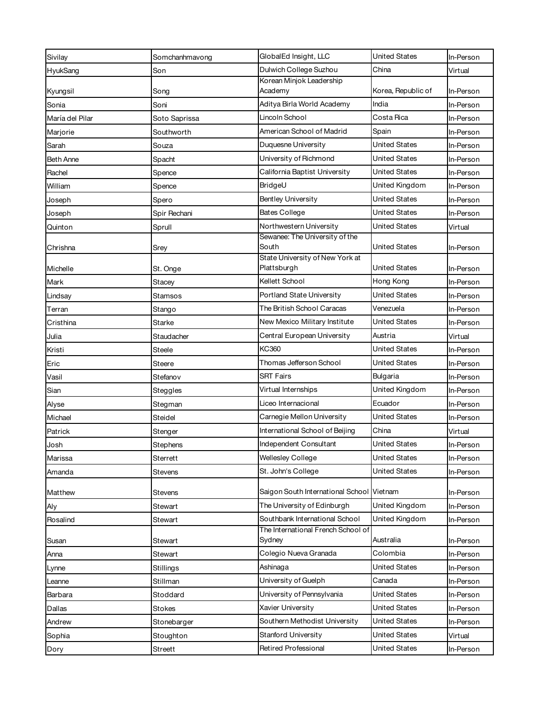| Sivilay         | Somchanhmavong | GlobalEd Insight, LLC                        | <b>United States</b> | In-Person |
|-----------------|----------------|----------------------------------------------|----------------------|-----------|
| HyukSang        | Son            | Dulwich College Suzhou                       | China                | Virtual   |
|                 |                | Korean Minjok Leadership                     |                      |           |
| Kyungsil        | Song           | Academy                                      | Korea, Republic of   | In-Person |
| Sonia           | Soni           | Aditya Birla World Academy                   | India                | In-Person |
| María del Pilar | Soto Saprissa  | Lincoln School                               | Costa Rica           | In-Person |
| Marjorie        | Southworth     | American School of Madrid                    | Spain                | In-Person |
| Sarah           | Souza          | Duquesne University                          | <b>United States</b> | In-Person |
| Beth Anne       | Spacht         | University of Richmond                       | United States        | In-Person |
| Rachel          | Spence         | California Baptist University                | <b>United States</b> | In-Person |
| William         | Spence         | BridgeU                                      | United Kingdom       | In-Person |
| Joseph          | Spero          | <b>Bentley University</b>                    | <b>United States</b> | In-Person |
| Joseph          | Spir Rechani   | <b>Bates College</b>                         | United States        | In-Person |
| Quinton         | Sprull         | Northwestern University                      | United States        | Virtual   |
| Chrishna        | Srey           | Sewanee: The University of the<br>South      | <b>United States</b> | In-Person |
|                 |                | State University of New York at              |                      |           |
| Michelle        | St. Onge       | Plattsburgh                                  | United States        | In-Person |
| Mark            | Stacey         | Kellett School                               | Hong Kong            | In-Person |
| Lindsay         | <b>Stamsos</b> | Portland State University                    | <b>United States</b> | In-Person |
| Terran          | Stango         | The British School Caracas                   | Venezuela            | In-Person |
| Cristhina       | Starke         | New Mexico Military Institute                | United States        | In-Person |
| Julia           | Staudacher     | Central European University                  | Austria              | Virtual   |
| Kristi          | Steele         | <b>KC360</b>                                 | <b>United States</b> | In-Person |
| Eric            | Steere         | Thomas Jefferson School                      | <b>United States</b> | In-Person |
| Vasil           | Stefanov       | <b>SRT Fairs</b>                             | Bulgaria             | In-Person |
| Sian            | Steggles       | Virtual Internships                          | United Kingdom       | In-Person |
| Alyse           | Stegman        | Liceo Internacional                          | Ecuador              | In-Person |
| Michael         | Steidel        | Carnegie Mellon University                   | United States        | In-Person |
| Patrick         | Stenger        | International School of Beijing              | China                | Virtual   |
| Josh            | Stephens       | Independent Consultant                       | <b>United States</b> | In-Person |
| Marissa         | Sterrett       | <b>Wellesley College</b>                     | United States        | In-Person |
| Amanda          | <b>Stevens</b> | St. John's College                           | <b>United States</b> | In-Person |
| Matthew         | Stevens        | Saigon South International School Vietnam    |                      | In-Person |
| Aly             | Stewart        | The University of Edinburgh                  | United Kingdom       | In-Person |
| Rosalind        | Stewart        | Southbank International School               | United Kingdom       | In-Person |
| Susan           | Stewart        | The International French School of<br>Sydney | Australia            | In-Person |
| Anna            | Stewart        | Colegio Nueva Granada                        | Colombia             | In-Person |
| Lynne           | Stillings      | Ashinaga                                     | <b>United States</b> | In-Person |
| _eanne          | Stillman       | University of Guelph                         | Canada               | In-Person |
| Barbara         | Stoddard       | University of Pennsylvania                   | <b>United States</b> | In-Person |
| Dallas          | <b>Stokes</b>  | Xavier University                            | <b>United States</b> | In-Person |
| Andrew          | Stonebarger    | Southern Methodist University                | <b>United States</b> | In-Person |
| Sophia          | Stoughton      | <b>Stanford University</b>                   | United States        | Virtual   |
|                 | Streett        | Retired Professional                         | United States        | In-Person |
| Dory            |                |                                              |                      |           |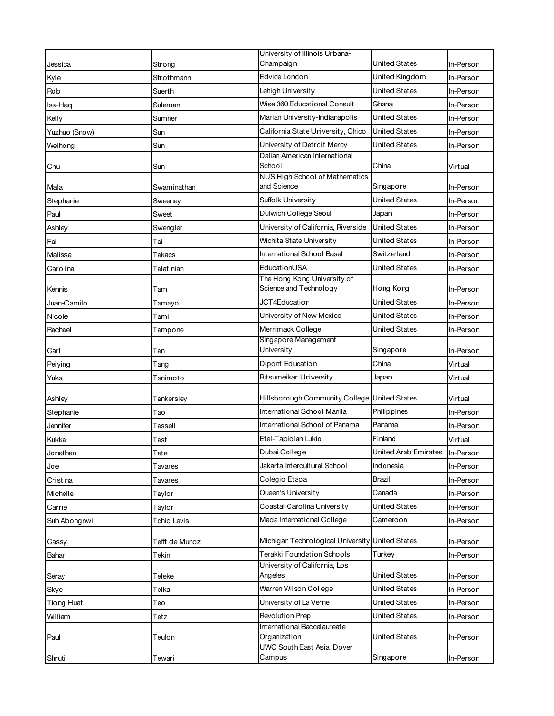| Champaign<br>United States<br>In-Person<br>Jessica<br>Strong<br>Edvice London<br>United Kingdom<br>Kyle<br>Strothmann<br>In-Person<br>Lehigh University<br>United States<br>Rob<br>Suerth<br>In-Person<br>Wise 360 Educational Consult<br>Ghana<br>Iss-Haq<br>Suleman<br>In-Person<br><b>United States</b><br>Marian University-Indianapolis<br>Kelly<br>In-Person<br>Sumner<br>California State University, Chico<br><b>United States</b><br>Yuzhuo (Snow)<br>Sun<br>In-Person<br>University of Detroit Mercy<br>United States<br>Weihong<br>Sun<br>In-Person<br>Dalian American International<br>School<br>China<br>Sun<br>Virtual<br>Chu<br>NUS High School of Mathematics<br>and Science<br>Singapore<br>Swaminathan<br>In-Person<br>Mala<br>Suffolk University<br>United States<br>In-Person<br>Stephanie<br>Sweeney<br>Dulwich College Seoul<br>Japan<br>Paul<br>Sweet<br>In-Person<br>University of California, Riverside<br><b>United States</b><br>Ashley<br>Swengler<br>In-Person<br>Wichita State University<br><b>United States</b><br>Fai<br>In-Person<br>Tai<br>International School Basel<br>Switzerland<br>Malissa<br>In-Person<br>Takacs<br>EducationUSA<br><b>United States</b><br>In-Person<br>Carolina<br>Talatinian<br>The Hong Kong University of<br>Science and Technology<br>Hong Kong<br>Tam<br>In-Person<br>Kennis<br>JCT4Education<br><b>United States</b><br>Juan-Camilo<br>In-Person<br>Tamayo<br>University of New Mexico<br>United States<br>Nicole<br>In-Person<br>Tami<br>Merrimack College<br>United States<br>Rachael<br>In-Person<br>Tampone<br>Singapore Management<br>University<br>Singapore<br>Carl<br>In-Person<br>Tan<br>Dipont Education<br>China<br>Virtual<br>Peiying<br>Tang<br>Ritsumeikan University<br>Japan<br>Virtual<br>Yuka<br>Tanimoto<br>Hillsborough Community College United States<br>Virtual<br>Ashley<br>Tankersley<br>International School Manila<br>Philippines<br>Stephanie<br>In-Person<br>Tao<br>International School of Panama<br>Panama<br>Jennifer<br>In-Person<br>Tassell<br>Etel-Tapiolan Lukio<br>Finland<br>Kukka<br>Virtual<br>Tast<br>Dubai College<br>United Arab Emirates<br>Tate<br>In-Person<br>Jonathan<br>Jakarta Intercultural School<br>Indonesia<br>In-Person<br>Joe<br>Tavares<br>Colegio Etapa<br>Brazil<br>Cristina<br>In-Person<br>Tavares<br>Queen's University<br>Canada<br>Michelle<br>Taylor<br>In-Person<br>Coastal Carolina University<br>United States<br>Carrie<br>Taylor<br>In-Person<br>Mada International College<br>Cameroon<br>Suh Abongnwi<br>Tchio Levis<br>In-Person<br>Michigan Technological University United States<br>Tefft de Munoz<br>In-Person<br>Cassy<br><b>Terakki Foundation Schools</b><br>Turkey<br>Bahar<br>Tekin<br>In-Person<br>University of California, Los<br><b>United States</b><br>Angeles<br>Teleke<br>In-Person<br>Seray<br>Warren Wilson College<br><b>United States</b><br>Telka<br>Skye<br>In-Person<br>United States<br>University of La Verne<br><b>Tiong Huat</b><br>In-Person<br>Teo |        | University of Illinois Urbana- |  |
|-----------------------------------------------------------------------------------------------------------------------------------------------------------------------------------------------------------------------------------------------------------------------------------------------------------------------------------------------------------------------------------------------------------------------------------------------------------------------------------------------------------------------------------------------------------------------------------------------------------------------------------------------------------------------------------------------------------------------------------------------------------------------------------------------------------------------------------------------------------------------------------------------------------------------------------------------------------------------------------------------------------------------------------------------------------------------------------------------------------------------------------------------------------------------------------------------------------------------------------------------------------------------------------------------------------------------------------------------------------------------------------------------------------------------------------------------------------------------------------------------------------------------------------------------------------------------------------------------------------------------------------------------------------------------------------------------------------------------------------------------------------------------------------------------------------------------------------------------------------------------------------------------------------------------------------------------------------------------------------------------------------------------------------------------------------------------------------------------------------------------------------------------------------------------------------------------------------------------------------------------------------------------------------------------------------------------------------------------------------------------------------------------------------------------------------------------------------------------------------------------------------------------------------------------------------------------------------------------------------------------------------------------------------------------------------------------------------------------------------------------------------------------------------------------------------------------------------------------------------------------------------------------------------------------------------------------------------------------------------------------------------------------------|--------|--------------------------------|--|
|                                                                                                                                                                                                                                                                                                                                                                                                                                                                                                                                                                                                                                                                                                                                                                                                                                                                                                                                                                                                                                                                                                                                                                                                                                                                                                                                                                                                                                                                                                                                                                                                                                                                                                                                                                                                                                                                                                                                                                                                                                                                                                                                                                                                                                                                                                                                                                                                                                                                                                                                                                                                                                                                                                                                                                                                                                                                                                                                                                                                                             |        |                                |  |
|                                                                                                                                                                                                                                                                                                                                                                                                                                                                                                                                                                                                                                                                                                                                                                                                                                                                                                                                                                                                                                                                                                                                                                                                                                                                                                                                                                                                                                                                                                                                                                                                                                                                                                                                                                                                                                                                                                                                                                                                                                                                                                                                                                                                                                                                                                                                                                                                                                                                                                                                                                                                                                                                                                                                                                                                                                                                                                                                                                                                                             |        |                                |  |
|                                                                                                                                                                                                                                                                                                                                                                                                                                                                                                                                                                                                                                                                                                                                                                                                                                                                                                                                                                                                                                                                                                                                                                                                                                                                                                                                                                                                                                                                                                                                                                                                                                                                                                                                                                                                                                                                                                                                                                                                                                                                                                                                                                                                                                                                                                                                                                                                                                                                                                                                                                                                                                                                                                                                                                                                                                                                                                                                                                                                                             |        |                                |  |
|                                                                                                                                                                                                                                                                                                                                                                                                                                                                                                                                                                                                                                                                                                                                                                                                                                                                                                                                                                                                                                                                                                                                                                                                                                                                                                                                                                                                                                                                                                                                                                                                                                                                                                                                                                                                                                                                                                                                                                                                                                                                                                                                                                                                                                                                                                                                                                                                                                                                                                                                                                                                                                                                                                                                                                                                                                                                                                                                                                                                                             |        |                                |  |
|                                                                                                                                                                                                                                                                                                                                                                                                                                                                                                                                                                                                                                                                                                                                                                                                                                                                                                                                                                                                                                                                                                                                                                                                                                                                                                                                                                                                                                                                                                                                                                                                                                                                                                                                                                                                                                                                                                                                                                                                                                                                                                                                                                                                                                                                                                                                                                                                                                                                                                                                                                                                                                                                                                                                                                                                                                                                                                                                                                                                                             |        |                                |  |
|                                                                                                                                                                                                                                                                                                                                                                                                                                                                                                                                                                                                                                                                                                                                                                                                                                                                                                                                                                                                                                                                                                                                                                                                                                                                                                                                                                                                                                                                                                                                                                                                                                                                                                                                                                                                                                                                                                                                                                                                                                                                                                                                                                                                                                                                                                                                                                                                                                                                                                                                                                                                                                                                                                                                                                                                                                                                                                                                                                                                                             |        |                                |  |
|                                                                                                                                                                                                                                                                                                                                                                                                                                                                                                                                                                                                                                                                                                                                                                                                                                                                                                                                                                                                                                                                                                                                                                                                                                                                                                                                                                                                                                                                                                                                                                                                                                                                                                                                                                                                                                                                                                                                                                                                                                                                                                                                                                                                                                                                                                                                                                                                                                                                                                                                                                                                                                                                                                                                                                                                                                                                                                                                                                                                                             |        |                                |  |
|                                                                                                                                                                                                                                                                                                                                                                                                                                                                                                                                                                                                                                                                                                                                                                                                                                                                                                                                                                                                                                                                                                                                                                                                                                                                                                                                                                                                                                                                                                                                                                                                                                                                                                                                                                                                                                                                                                                                                                                                                                                                                                                                                                                                                                                                                                                                                                                                                                                                                                                                                                                                                                                                                                                                                                                                                                                                                                                                                                                                                             |        |                                |  |
|                                                                                                                                                                                                                                                                                                                                                                                                                                                                                                                                                                                                                                                                                                                                                                                                                                                                                                                                                                                                                                                                                                                                                                                                                                                                                                                                                                                                                                                                                                                                                                                                                                                                                                                                                                                                                                                                                                                                                                                                                                                                                                                                                                                                                                                                                                                                                                                                                                                                                                                                                                                                                                                                                                                                                                                                                                                                                                                                                                                                                             |        |                                |  |
|                                                                                                                                                                                                                                                                                                                                                                                                                                                                                                                                                                                                                                                                                                                                                                                                                                                                                                                                                                                                                                                                                                                                                                                                                                                                                                                                                                                                                                                                                                                                                                                                                                                                                                                                                                                                                                                                                                                                                                                                                                                                                                                                                                                                                                                                                                                                                                                                                                                                                                                                                                                                                                                                                                                                                                                                                                                                                                                                                                                                                             |        |                                |  |
|                                                                                                                                                                                                                                                                                                                                                                                                                                                                                                                                                                                                                                                                                                                                                                                                                                                                                                                                                                                                                                                                                                                                                                                                                                                                                                                                                                                                                                                                                                                                                                                                                                                                                                                                                                                                                                                                                                                                                                                                                                                                                                                                                                                                                                                                                                                                                                                                                                                                                                                                                                                                                                                                                                                                                                                                                                                                                                                                                                                                                             |        |                                |  |
|                                                                                                                                                                                                                                                                                                                                                                                                                                                                                                                                                                                                                                                                                                                                                                                                                                                                                                                                                                                                                                                                                                                                                                                                                                                                                                                                                                                                                                                                                                                                                                                                                                                                                                                                                                                                                                                                                                                                                                                                                                                                                                                                                                                                                                                                                                                                                                                                                                                                                                                                                                                                                                                                                                                                                                                                                                                                                                                                                                                                                             |        |                                |  |
|                                                                                                                                                                                                                                                                                                                                                                                                                                                                                                                                                                                                                                                                                                                                                                                                                                                                                                                                                                                                                                                                                                                                                                                                                                                                                                                                                                                                                                                                                                                                                                                                                                                                                                                                                                                                                                                                                                                                                                                                                                                                                                                                                                                                                                                                                                                                                                                                                                                                                                                                                                                                                                                                                                                                                                                                                                                                                                                                                                                                                             |        |                                |  |
|                                                                                                                                                                                                                                                                                                                                                                                                                                                                                                                                                                                                                                                                                                                                                                                                                                                                                                                                                                                                                                                                                                                                                                                                                                                                                                                                                                                                                                                                                                                                                                                                                                                                                                                                                                                                                                                                                                                                                                                                                                                                                                                                                                                                                                                                                                                                                                                                                                                                                                                                                                                                                                                                                                                                                                                                                                                                                                                                                                                                                             |        |                                |  |
|                                                                                                                                                                                                                                                                                                                                                                                                                                                                                                                                                                                                                                                                                                                                                                                                                                                                                                                                                                                                                                                                                                                                                                                                                                                                                                                                                                                                                                                                                                                                                                                                                                                                                                                                                                                                                                                                                                                                                                                                                                                                                                                                                                                                                                                                                                                                                                                                                                                                                                                                                                                                                                                                                                                                                                                                                                                                                                                                                                                                                             |        |                                |  |
|                                                                                                                                                                                                                                                                                                                                                                                                                                                                                                                                                                                                                                                                                                                                                                                                                                                                                                                                                                                                                                                                                                                                                                                                                                                                                                                                                                                                                                                                                                                                                                                                                                                                                                                                                                                                                                                                                                                                                                                                                                                                                                                                                                                                                                                                                                                                                                                                                                                                                                                                                                                                                                                                                                                                                                                                                                                                                                                                                                                                                             |        |                                |  |
|                                                                                                                                                                                                                                                                                                                                                                                                                                                                                                                                                                                                                                                                                                                                                                                                                                                                                                                                                                                                                                                                                                                                                                                                                                                                                                                                                                                                                                                                                                                                                                                                                                                                                                                                                                                                                                                                                                                                                                                                                                                                                                                                                                                                                                                                                                                                                                                                                                                                                                                                                                                                                                                                                                                                                                                                                                                                                                                                                                                                                             |        |                                |  |
|                                                                                                                                                                                                                                                                                                                                                                                                                                                                                                                                                                                                                                                                                                                                                                                                                                                                                                                                                                                                                                                                                                                                                                                                                                                                                                                                                                                                                                                                                                                                                                                                                                                                                                                                                                                                                                                                                                                                                                                                                                                                                                                                                                                                                                                                                                                                                                                                                                                                                                                                                                                                                                                                                                                                                                                                                                                                                                                                                                                                                             |        |                                |  |
|                                                                                                                                                                                                                                                                                                                                                                                                                                                                                                                                                                                                                                                                                                                                                                                                                                                                                                                                                                                                                                                                                                                                                                                                                                                                                                                                                                                                                                                                                                                                                                                                                                                                                                                                                                                                                                                                                                                                                                                                                                                                                                                                                                                                                                                                                                                                                                                                                                                                                                                                                                                                                                                                                                                                                                                                                                                                                                                                                                                                                             |        |                                |  |
|                                                                                                                                                                                                                                                                                                                                                                                                                                                                                                                                                                                                                                                                                                                                                                                                                                                                                                                                                                                                                                                                                                                                                                                                                                                                                                                                                                                                                                                                                                                                                                                                                                                                                                                                                                                                                                                                                                                                                                                                                                                                                                                                                                                                                                                                                                                                                                                                                                                                                                                                                                                                                                                                                                                                                                                                                                                                                                                                                                                                                             |        |                                |  |
|                                                                                                                                                                                                                                                                                                                                                                                                                                                                                                                                                                                                                                                                                                                                                                                                                                                                                                                                                                                                                                                                                                                                                                                                                                                                                                                                                                                                                                                                                                                                                                                                                                                                                                                                                                                                                                                                                                                                                                                                                                                                                                                                                                                                                                                                                                                                                                                                                                                                                                                                                                                                                                                                                                                                                                                                                                                                                                                                                                                                                             |        |                                |  |
|                                                                                                                                                                                                                                                                                                                                                                                                                                                                                                                                                                                                                                                                                                                                                                                                                                                                                                                                                                                                                                                                                                                                                                                                                                                                                                                                                                                                                                                                                                                                                                                                                                                                                                                                                                                                                                                                                                                                                                                                                                                                                                                                                                                                                                                                                                                                                                                                                                                                                                                                                                                                                                                                                                                                                                                                                                                                                                                                                                                                                             |        |                                |  |
|                                                                                                                                                                                                                                                                                                                                                                                                                                                                                                                                                                                                                                                                                                                                                                                                                                                                                                                                                                                                                                                                                                                                                                                                                                                                                                                                                                                                                                                                                                                                                                                                                                                                                                                                                                                                                                                                                                                                                                                                                                                                                                                                                                                                                                                                                                                                                                                                                                                                                                                                                                                                                                                                                                                                                                                                                                                                                                                                                                                                                             |        |                                |  |
|                                                                                                                                                                                                                                                                                                                                                                                                                                                                                                                                                                                                                                                                                                                                                                                                                                                                                                                                                                                                                                                                                                                                                                                                                                                                                                                                                                                                                                                                                                                                                                                                                                                                                                                                                                                                                                                                                                                                                                                                                                                                                                                                                                                                                                                                                                                                                                                                                                                                                                                                                                                                                                                                                                                                                                                                                                                                                                                                                                                                                             |        |                                |  |
|                                                                                                                                                                                                                                                                                                                                                                                                                                                                                                                                                                                                                                                                                                                                                                                                                                                                                                                                                                                                                                                                                                                                                                                                                                                                                                                                                                                                                                                                                                                                                                                                                                                                                                                                                                                                                                                                                                                                                                                                                                                                                                                                                                                                                                                                                                                                                                                                                                                                                                                                                                                                                                                                                                                                                                                                                                                                                                                                                                                                                             |        |                                |  |
|                                                                                                                                                                                                                                                                                                                                                                                                                                                                                                                                                                                                                                                                                                                                                                                                                                                                                                                                                                                                                                                                                                                                                                                                                                                                                                                                                                                                                                                                                                                                                                                                                                                                                                                                                                                                                                                                                                                                                                                                                                                                                                                                                                                                                                                                                                                                                                                                                                                                                                                                                                                                                                                                                                                                                                                                                                                                                                                                                                                                                             |        |                                |  |
|                                                                                                                                                                                                                                                                                                                                                                                                                                                                                                                                                                                                                                                                                                                                                                                                                                                                                                                                                                                                                                                                                                                                                                                                                                                                                                                                                                                                                                                                                                                                                                                                                                                                                                                                                                                                                                                                                                                                                                                                                                                                                                                                                                                                                                                                                                                                                                                                                                                                                                                                                                                                                                                                                                                                                                                                                                                                                                                                                                                                                             |        |                                |  |
|                                                                                                                                                                                                                                                                                                                                                                                                                                                                                                                                                                                                                                                                                                                                                                                                                                                                                                                                                                                                                                                                                                                                                                                                                                                                                                                                                                                                                                                                                                                                                                                                                                                                                                                                                                                                                                                                                                                                                                                                                                                                                                                                                                                                                                                                                                                                                                                                                                                                                                                                                                                                                                                                                                                                                                                                                                                                                                                                                                                                                             |        |                                |  |
|                                                                                                                                                                                                                                                                                                                                                                                                                                                                                                                                                                                                                                                                                                                                                                                                                                                                                                                                                                                                                                                                                                                                                                                                                                                                                                                                                                                                                                                                                                                                                                                                                                                                                                                                                                                                                                                                                                                                                                                                                                                                                                                                                                                                                                                                                                                                                                                                                                                                                                                                                                                                                                                                                                                                                                                                                                                                                                                                                                                                                             |        |                                |  |
|                                                                                                                                                                                                                                                                                                                                                                                                                                                                                                                                                                                                                                                                                                                                                                                                                                                                                                                                                                                                                                                                                                                                                                                                                                                                                                                                                                                                                                                                                                                                                                                                                                                                                                                                                                                                                                                                                                                                                                                                                                                                                                                                                                                                                                                                                                                                                                                                                                                                                                                                                                                                                                                                                                                                                                                                                                                                                                                                                                                                                             |        |                                |  |
|                                                                                                                                                                                                                                                                                                                                                                                                                                                                                                                                                                                                                                                                                                                                                                                                                                                                                                                                                                                                                                                                                                                                                                                                                                                                                                                                                                                                                                                                                                                                                                                                                                                                                                                                                                                                                                                                                                                                                                                                                                                                                                                                                                                                                                                                                                                                                                                                                                                                                                                                                                                                                                                                                                                                                                                                                                                                                                                                                                                                                             |        |                                |  |
|                                                                                                                                                                                                                                                                                                                                                                                                                                                                                                                                                                                                                                                                                                                                                                                                                                                                                                                                                                                                                                                                                                                                                                                                                                                                                                                                                                                                                                                                                                                                                                                                                                                                                                                                                                                                                                                                                                                                                                                                                                                                                                                                                                                                                                                                                                                                                                                                                                                                                                                                                                                                                                                                                                                                                                                                                                                                                                                                                                                                                             |        |                                |  |
|                                                                                                                                                                                                                                                                                                                                                                                                                                                                                                                                                                                                                                                                                                                                                                                                                                                                                                                                                                                                                                                                                                                                                                                                                                                                                                                                                                                                                                                                                                                                                                                                                                                                                                                                                                                                                                                                                                                                                                                                                                                                                                                                                                                                                                                                                                                                                                                                                                                                                                                                                                                                                                                                                                                                                                                                                                                                                                                                                                                                                             |        |                                |  |
|                                                                                                                                                                                                                                                                                                                                                                                                                                                                                                                                                                                                                                                                                                                                                                                                                                                                                                                                                                                                                                                                                                                                                                                                                                                                                                                                                                                                                                                                                                                                                                                                                                                                                                                                                                                                                                                                                                                                                                                                                                                                                                                                                                                                                                                                                                                                                                                                                                                                                                                                                                                                                                                                                                                                                                                                                                                                                                                                                                                                                             |        |                                |  |
|                                                                                                                                                                                                                                                                                                                                                                                                                                                                                                                                                                                                                                                                                                                                                                                                                                                                                                                                                                                                                                                                                                                                                                                                                                                                                                                                                                                                                                                                                                                                                                                                                                                                                                                                                                                                                                                                                                                                                                                                                                                                                                                                                                                                                                                                                                                                                                                                                                                                                                                                                                                                                                                                                                                                                                                                                                                                                                                                                                                                                             |        |                                |  |
|                                                                                                                                                                                                                                                                                                                                                                                                                                                                                                                                                                                                                                                                                                                                                                                                                                                                                                                                                                                                                                                                                                                                                                                                                                                                                                                                                                                                                                                                                                                                                                                                                                                                                                                                                                                                                                                                                                                                                                                                                                                                                                                                                                                                                                                                                                                                                                                                                                                                                                                                                                                                                                                                                                                                                                                                                                                                                                                                                                                                                             |        |                                |  |
|                                                                                                                                                                                                                                                                                                                                                                                                                                                                                                                                                                                                                                                                                                                                                                                                                                                                                                                                                                                                                                                                                                                                                                                                                                                                                                                                                                                                                                                                                                                                                                                                                                                                                                                                                                                                                                                                                                                                                                                                                                                                                                                                                                                                                                                                                                                                                                                                                                                                                                                                                                                                                                                                                                                                                                                                                                                                                                                                                                                                                             |        |                                |  |
|                                                                                                                                                                                                                                                                                                                                                                                                                                                                                                                                                                                                                                                                                                                                                                                                                                                                                                                                                                                                                                                                                                                                                                                                                                                                                                                                                                                                                                                                                                                                                                                                                                                                                                                                                                                                                                                                                                                                                                                                                                                                                                                                                                                                                                                                                                                                                                                                                                                                                                                                                                                                                                                                                                                                                                                                                                                                                                                                                                                                                             |        |                                |  |
| Revolution Prep<br>United States<br>William<br>In-Person<br>Tetz                                                                                                                                                                                                                                                                                                                                                                                                                                                                                                                                                                                                                                                                                                                                                                                                                                                                                                                                                                                                                                                                                                                                                                                                                                                                                                                                                                                                                                                                                                                                                                                                                                                                                                                                                                                                                                                                                                                                                                                                                                                                                                                                                                                                                                                                                                                                                                                                                                                                                                                                                                                                                                                                                                                                                                                                                                                                                                                                                            |        |                                |  |
| International Baccalaureate                                                                                                                                                                                                                                                                                                                                                                                                                                                                                                                                                                                                                                                                                                                                                                                                                                                                                                                                                                                                                                                                                                                                                                                                                                                                                                                                                                                                                                                                                                                                                                                                                                                                                                                                                                                                                                                                                                                                                                                                                                                                                                                                                                                                                                                                                                                                                                                                                                                                                                                                                                                                                                                                                                                                                                                                                                                                                                                                                                                                 |        |                                |  |
| Organization<br><b>United States</b><br>In-Person<br>Teulon<br>UWC South East Asia, Dover                                                                                                                                                                                                                                                                                                                                                                                                                                                                                                                                                                                                                                                                                                                                                                                                                                                                                                                                                                                                                                                                                                                                                                                                                                                                                                                                                                                                                                                                                                                                                                                                                                                                                                                                                                                                                                                                                                                                                                                                                                                                                                                                                                                                                                                                                                                                                                                                                                                                                                                                                                                                                                                                                                                                                                                                                                                                                                                                   | Paul   |                                |  |
| Campus<br>Singapore<br>Tewari<br>In-Person                                                                                                                                                                                                                                                                                                                                                                                                                                                                                                                                                                                                                                                                                                                                                                                                                                                                                                                                                                                                                                                                                                                                                                                                                                                                                                                                                                                                                                                                                                                                                                                                                                                                                                                                                                                                                                                                                                                                                                                                                                                                                                                                                                                                                                                                                                                                                                                                                                                                                                                                                                                                                                                                                                                                                                                                                                                                                                                                                                                  | Shruti |                                |  |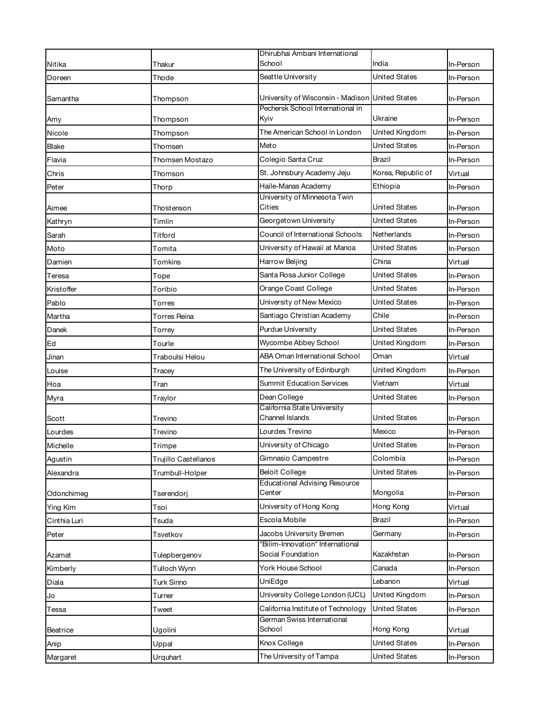|                     |                           | Dhirubhai Ambani International                                   |                      |                      |
|---------------------|---------------------------|------------------------------------------------------------------|----------------------|----------------------|
| Nitika              | Thakur                    | School                                                           | India                | In-Person            |
| Doreen              | Thode                     | Seattle University                                               | <b>United States</b> | In-Person            |
| Samantha            | Thompson                  | University of Wisconsin - Madison United States                  |                      | In-Person            |
| Amy                 | Thompson                  | Pechersk School International in<br>Kyiv                         | Ukraine              | In-Person            |
| Nicole              | Thompson                  | The American School in London                                    | United Kingdom       | In-Person            |
| Blake               | Thomsen                   | Meto                                                             | <b>United States</b> | In-Person            |
| Flavia              | Thomsen Mostazo           | Colegio Santa Cruz                                               | Brazil               | In-Person            |
| Chris               | Thomson                   | St. Johnsbury Academy Jeju                                       | Korea, Republic of   | Virtual              |
| Peter               | Thorp                     | Haile-Manas Academy                                              | Ethiopia             | In-Person            |
|                     |                           | University of Minnesota Twin<br>Cities                           | United States        |                      |
| Aimee               | Thostenson<br>Timlin      | Georgetown University                                            | <b>United States</b> | In-Person            |
| Kathryn             | Titford                   | Council of International Schools                                 | Netherlands          | In-Person            |
| Sarah               | Tomita                    | University of Hawaii at Manoa                                    | <b>United States</b> | In-Person            |
| Moto                | Tomkins                   | Harrow Beijing                                                   | China                | In-Person            |
| Damien              |                           | Santa Rosa Junior College                                        | <b>United States</b> | Virtual<br>In-Person |
| Teresa              | Tope<br>Toribio           | Orange Coast College                                             | United States        |                      |
| Kristoffer<br>Pablo |                           | University of New Mexico                                         | United States        | In-Person            |
| Martha              | Torres<br>Torres Reina    | Santiago Christian Academy                                       | Chile                | In-Person            |
|                     |                           | <b>Purdue University</b>                                         | United States        | In-Person            |
| Danek               | Torrey                    | Wycombe Abbey School                                             | United Kingdom       | In-Person            |
| Ed                  | Tourle<br>Traboulsi Helou | ABA Oman International School                                    | Oman                 | In-Person<br>Virtual |
| Jinan               |                           | The University of Edinburgh                                      | United Kingdom       | In-Person            |
| Louise<br>Hoa       | Tracey<br>Tran            | <b>Summit Education Services</b>                                 | Vietnam              | Virtual              |
|                     |                           | Dean College                                                     | United States        | In-Person            |
| Myra                | Traylor                   | California State University                                      |                      |                      |
| Scott               | Trevino                   | Channel Islands                                                  | United States        | In-Person            |
| Lourdes             | Trevino                   | Lourdes Trevino                                                  | Mexico               | In-Person            |
| Michelle            | Trimpe                    | University of Chicago                                            | United States        | In-Person            |
| Agustin             | Trujillo Castellanos      | Gimnasio Campestre                                               | Colombia             | In-Person            |
| Alexandra           | Trumbull-Holper           | <b>Beloit College</b>                                            | United States        | In-Person            |
| Odonchimeg          | Tserendori                | <b>Educational Advising Resource</b><br>Center                   | Mongolia             | In-Person            |
| Ying Kim            | Tsoi                      | University of Hong Kong                                          | Hong Kong            | Virtual              |
| Cinthia Luri        | Tsuda                     | Escola Mobile                                                    | Brazil               | In-Person            |
| Peter               | Tsvetkov                  | Jacobs University Bremen                                         | Germany              | In-Person            |
|                     |                           | "Bilim-Innovation" International                                 |                      |                      |
| Azamat              | Tulepbergenov             | Social Foundation                                                | Kazakhstan           | In-Person            |
| Kimberly            | Tulloch Wynn              | York House School                                                | Canada               | In-Person            |
| Diala               | Turk Sinno                | UniEdge                                                          | Lebanon              | Virtual              |
| Jo                  | Turner                    | University College London (UCL)                                  | United Kingdom       | In-Person            |
| Tessa               | Tweet                     | California Institute of Technology<br>German Swiss International | United States        | In-Person            |
| Beatrice            | Ugolini                   | School                                                           | Hong Kong            | Virtual              |
| Anip                | Uppal                     | Knox College                                                     | <b>United States</b> | In-Person            |
| Margaret            | Urquhart                  | The University of Tampa                                          | <b>United States</b> | In-Person            |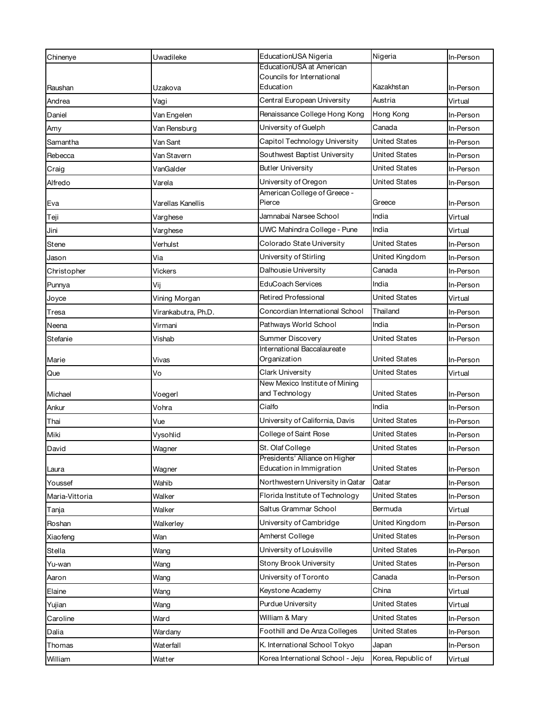| Chinenye        | Uwadileke                | EducationUSA Nigeria                                      | Nigeria              | In-Person              |
|-----------------|--------------------------|-----------------------------------------------------------|----------------------|------------------------|
|                 |                          | EducationUSA at American                                  |                      |                        |
| Raushan         | Uzakova                  | Councils for International<br>Education                   | Kazakhstan           | In-Person              |
| Andrea          | Vagi                     | Central European University                               | Austria              | Virtual                |
| Daniel          |                          | Renaissance College Hong Kong                             | Hong Kong            | In-Person              |
|                 | Van Engelen              | University of Guelph                                      | Canada               |                        |
| Amy<br>Samantha | Van Rensburg<br>Van Sant | Capitol Technology University                             | United States        | In-Person<br>In-Person |
|                 |                          | Southwest Baptist University                              | United States        |                        |
| Rebecca         | Van Stavern              | <b>Butler University</b>                                  | United States        | In-Person              |
| Craig           | VanGalder                | University of Oregon                                      | <b>United States</b> | In-Person              |
| Alfredo         | Varela                   | American College of Greece -                              |                      | In-Person              |
| Eva             | Varellas Kanellis        | Pierce                                                    | Greece               | In-Person              |
| Teji            | Varghese                 | Jamnabai Narsee School                                    | India                | Virtual                |
| Jini            | Varghese                 | UWC Mahindra College - Pune                               | India                | Virtual                |
| Stene           | Verhulst                 | Colorado State University                                 | <b>United States</b> | In-Person              |
| Jason           | Via                      | University of Stirling                                    | United Kingdom       | In-Person              |
| Christopher     | <b>Vickers</b>           | Dalhousie University                                      | Canada               | In-Person              |
| Punnya          | Vij                      | EduCoach Services                                         | India                | In-Person              |
| Joyce           | Vining Morgan            | <b>Retired Professional</b>                               | <b>United States</b> | Virtual                |
| Tresa           | Virankabutra, Ph.D.      | Concordian International School                           | Thailand             | In-Person              |
| Neena           | Virmani                  | Pathways World School                                     | India                | In-Person              |
| Stefanie        | Vishab                   | Summer Discovery                                          | <b>United States</b> | In-Person              |
|                 |                          | International Baccalaureate                               |                      |                        |
| Marie           | Vivas                    | Organization                                              | United States        | In-Person              |
| Que             | Vo                       | <b>Clark University</b><br>New Mexico Institute of Mining | <b>United States</b> | Virtual                |
| Michael         | Voegerl                  | and Technology                                            | <b>United States</b> | In-Person              |
| Ankur           | Vohra                    | Cialfo                                                    | India                | In-Person              |
| Thai            | Vue                      | University of California, Davis                           | United States        | In-Person              |
| Miki            | Vysohlid                 | College of Saint Rose                                     | United States        | In-Person              |
| David           | Wagner                   | St. Olaf College                                          | <b>United States</b> | In-Person              |
|                 |                          | Presidents' Alliance on Higher                            |                      |                        |
| Laura           | Wagner                   | Education in Immigration                                  | United States        | In-Person              |
| Youssef         | Wahib                    | Northwestern University in Qatar                          | Qatar                | In-Person              |
| Maria-Vittoria  | Walker                   | Florida Institute of Technology                           | <b>United States</b> | In-Person              |
| Tanja           | Walker                   | Saltus Grammar School                                     | Bermuda              | Virtual                |
| Roshan          | Walkerley                | University of Cambridge                                   | United Kingdom       | In-Person              |
| Xiaofeng        | Wan                      | Amherst College                                           | <b>United States</b> | In-Person              |
| Stella          | Wang                     | University of Louisville                                  | <b>United States</b> | In-Person              |
| Yu-wan          | Wang                     | Stony Brook University                                    | <b>United States</b> | In-Person              |
| Aaron           | Wang                     | University of Toronto                                     | Canada               | In-Person              |
| Elaine          | Wang                     | Keystone Academy                                          | China                | Virtual                |
| Yujian          | Wang                     | Purdue University                                         | United States        | Virtual                |
| Caroline        | Ward                     | William & Mary                                            | <b>United States</b> | In-Person              |
| Dalia           | Wardany                  | Foothill and De Anza Colleges                             | United States        | In-Person              |
| Thomas          | Waterfall                | K. International School Tokyo                             | Japan                | In-Person              |
| William         | Watter                   | Korea International School - Jeju                         | Korea, Republic of   | Virtual                |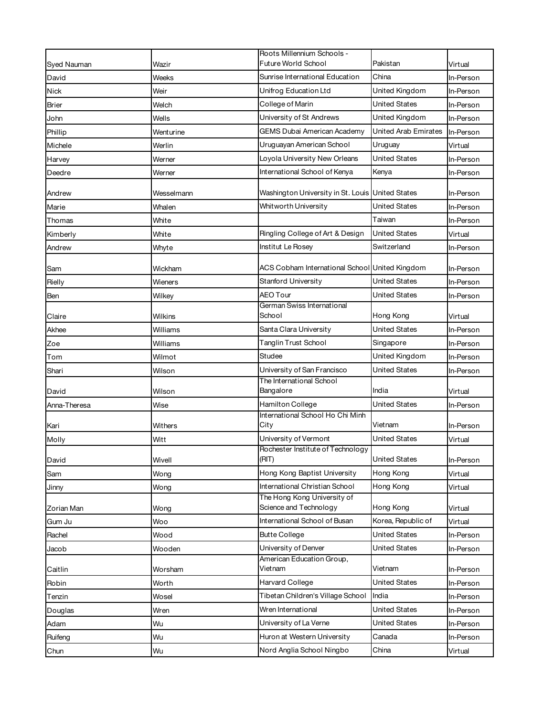|              |            | Roots Millennium Schools -                                     |                             |           |
|--------------|------------|----------------------------------------------------------------|-----------------------------|-----------|
| Syed Nauman  | Wazir      | Future World School                                            | Pakistan                    | Virtual   |
| David        | Weeks      | Sunrise International Education                                | China                       | In-Person |
| Nick         | Weir       | Unifrog Education Ltd                                          | United Kingdom              | In-Person |
| Brier        | Welch      | College of Marin                                               | United States               | In-Person |
| John         | Wells      | University of St Andrews                                       | United Kingdom              | In-Person |
| Phillip      | Wenturine  | GEMS Dubai American Academy                                    | <b>United Arab Emirates</b> | In-Person |
| Michele      | Werlin     | Uruguayan American School                                      | Uruguay                     | Virtual   |
| Harvey       | Werner     | Loyola University New Orleans                                  | <b>United States</b>        | In-Person |
| Deedre       | Werner     | International School of Kenya                                  | Kenya                       | In-Person |
| Andrew       | Wesselmann | Washington University in St. Louis United States               |                             | In-Person |
| Marie        | Whalen     | Whitworth University                                           | United States               | In-Person |
| Thomas       | White      |                                                                | Taiwan                      | In-Person |
| Kimberly     | White      | Ringling College of Art & Design                               | <b>United States</b>        | Virtual   |
| Andrew       | Whyte      | Institut Le Rosey                                              | Switzerland                 | In-Person |
| Sam          | Wickham    | ACS Cobham International School United Kingdom                 |                             | In-Person |
| Rielly       | Wieners    | Stanford University                                            | <b>United States</b>        | In-Person |
| Ben          | Wilkey     | <b>AEO Tour</b>                                                | <b>United States</b>        | In-Person |
| Claire       | Wilkins    | German Swiss International<br>School                           | Hong Kong                   | Virtual   |
| Akhee        | Williams   | Santa Clara University                                         | <b>United States</b>        | In-Person |
| Zoe          | Williams   | <b>Tanglin Trust School</b>                                    | Singapore                   | In-Person |
| Tom          | Wilmot     | Studee                                                         | United Kingdom              | In-Person |
| Shari        | Wilson     | University of San Francisco                                    | United States               | In-Person |
| David        | Wilson     | The International School<br>Bangalore                          | India                       | Virtual   |
| Anna-Theresa | Wise       | Hamilton College                                               | <b>United States</b>        | In-Person |
| Kari         | Withers    | International School Ho Chi Minh<br>City                       | Vietnam                     | In-Person |
| Molly        | Witt       | University of Vermont                                          | <b>United States</b>        | Virtual   |
|              |            | Rochester Institute of Technology<br>(RIT)                     | <b>United States</b>        |           |
| David        | Wivell     |                                                                |                             | In-Person |
| Sam          | Wong       | Hong Kong Baptist University<br>International Christian School | Hong Kong                   | Virtual   |
| Jinny        | Wong       | The Hong Kong University of                                    | Hong Kong                   | Virtual   |
| Zorian Man   | Wong       | Science and Technology                                         | Hong Kong                   | Virtual   |
| Gum Ju       | Woo        | International School of Busan                                  | Korea, Republic of          | Virtual   |
| Rachel       | Wood       | <b>Butte College</b>                                           | <b>United States</b>        | In-Person |
| Jacob        | Wooden     | University of Denver                                           | <b>United States</b>        | In-Person |
| Caitlin      | Worsham    | American Education Group,<br>Vietnam                           | Vietnam                     | In-Person |
| Robin        | Worth      | Harvard College                                                | <b>United States</b>        | In-Person |
| Tenzin       | Wosel      | Tibetan Children's Village School                              | India                       | In-Person |
| Douglas      | Wren       | Wren International                                             | United States               | In-Person |
| Adam         | Wu         | University of La Verne                                         | United States               | In-Person |
| Ruifeng      | Wu         | Huron at Western University                                    | Canada                      | In-Person |
| Chun         | Wu         | Nord Anglia School Ningbo                                      | China                       | Virtual   |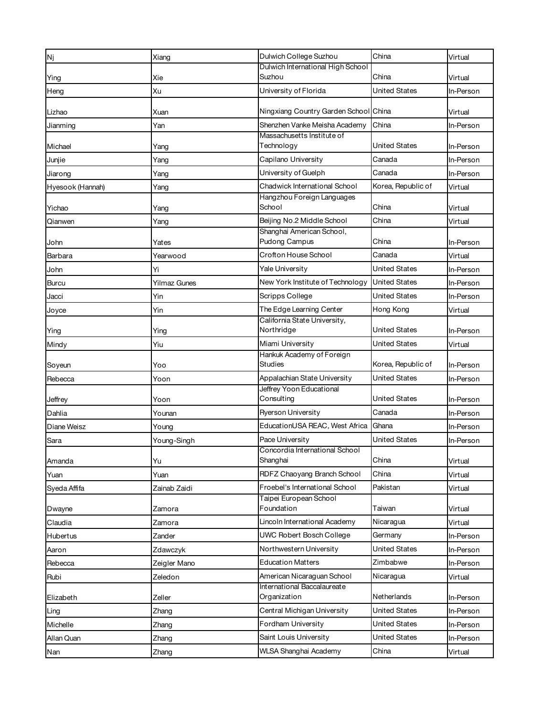| Nj               | Xiang               | Dulwich College Suzhou                            | China                | Virtual   |
|------------------|---------------------|---------------------------------------------------|----------------------|-----------|
|                  |                     | Dulwich International High School                 |                      |           |
| Ying             | Xie                 | Suzhou                                            | China                | Virtual   |
| Heng             | Xu                  | University of Florida                             | <b>United States</b> | In-Person |
| Lizhao           | Xuan                | Ningxiang Country Garden School China             |                      | Virtual   |
| Jianming         | Yan                 | Shenzhen Vanke Meisha Academy                     | China                | In-Person |
|                  |                     | Massachusetts Institute of                        |                      |           |
| Michael          | Yang                | Technology                                        | <b>United States</b> | In-Person |
| Junjie           | Yang                | Capilano University                               | Canada               | In-Person |
| Jiarong          | Yang                | University of Guelph                              | Canada               | In-Person |
| Hyesook (Hannah) | Yang                | Chadwick International School                     | Korea, Republic of   | Virtual   |
| Yichao           | Yang                | Hangzhou Foreign Languages<br>School              | China                | Virtual   |
| Qianwen          | Yang                | Beijing No.2 Middle School                        | China                | Virtual   |
|                  |                     | Shanghai American School,                         |                      |           |
| John             | Yates               | Pudong Campus                                     | China                | In-Person |
| Barbara          | Yearwood            | Crofton House School                              | Canada               | Virtual   |
| John             | Yi                  | Yale University                                   | <b>United States</b> | In-Person |
| <b>Burcu</b>     | <b>Yilmaz Gunes</b> | New York Institute of Technology                  | <b>United States</b> | In-Person |
| Jacci            | Yin                 | <b>Scripps College</b>                            | <b>United States</b> | In-Person |
| Joyce            | Yin                 | The Edge Learning Center                          | Hong Kong            | Virtual   |
| Ying             | Ying                | California State University,<br>Northridge        | <b>United States</b> | In-Person |
|                  | Yiu                 | Miami University                                  | United States        | Virtual   |
| Mindy            |                     | Hankuk Academy of Foreign                         |                      |           |
| Soyeun           | Yoo                 | <b>Studies</b>                                    | Korea, Republic of   | In-Person |
| Rebecca          | Yoon                | Appalachian State University                      | <b>United States</b> | In-Person |
|                  |                     | Jeffrey Yoon Educational                          |                      |           |
| Jeffrey          | Yoon                | Consulting                                        | United States        | In-Person |
| Dahlia           | Younan              | Ryerson University                                | Canada               | In-Person |
| Diane Weisz      | Young               | EducationUSA REAC, West Africa                    | Ghana                | In-Person |
| Sara             | Young-Singh         | Pace University<br>Concordia International School | <b>United States</b> | In-Person |
| Amanda           | Yu                  | Shanghai                                          | China                | Virtual   |
| Yuan             | Yuan                | RDFZ Chaoyang Branch School                       | China                | Virtual   |
| Syeda Affifa     | Zainab Zaidi        | Froebel's International School                    | Pakistan             | Virtual   |
|                  |                     | Taipei European School                            |                      |           |
| Dwayne           | Zamora              | Foundation                                        | Taiwan               | Virtual   |
| Claudia          | Zamora              | Lincoln International Academy                     | Nicaragua            | Virtual   |
| Hubertus         | Zander              | UWC Robert Bosch College                          | Germany              | In-Person |
| Aaron            | Zdawczyk            | Northwestern University                           | United States        | In-Person |
| Rebecca          | Zeigler Mano        | <b>Education Matters</b>                          | Zimbabwe             | In-Person |
| Rubi             | Zeledon             | American Nicaraguan School                        | Nicaragua            | Virtual   |
| Elizabeth        | Zeller              | International Baccalaureate<br>Organization       | Netherlands          | In-Person |
|                  |                     | Central Michigan University                       | <b>United States</b> | In-Person |
| Ling             | Zhang               | Fordham University                                | <b>United States</b> |           |
| Michelle         | Zhang               |                                                   |                      | In-Person |
| Allan Quan       | Zhang               | Saint Louis University                            | <b>United States</b> | In-Person |
| Nan              | Zhang               | WLSA Shanghai Academy                             | China                | Virtual   |